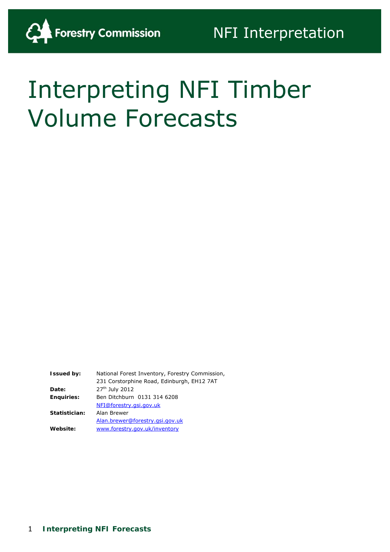# Interpreting NFI Timber Volume Forecasts

**Issued by:** National Forest Inventory, Forestry Commission, 231 Corstorphine Road, Edinburgh, EH12 7AT **Date:** 27th July 2012 **Enquiries:** Ben Ditchburn 0131 314 6208 [NFI@forestry.gsi.gov.uk](mailto:NFI@forestry.gsi.gov.uk) **Statistician:** Alan Brewer [Alan.brewer@forestry.gsi.gov.uk](mailto:Alan.brewer@forestry.gsi.gov.uk) **Website:** [www.forestry.gov.uk/inventory](http://www.forestry.gov.uk/inventory)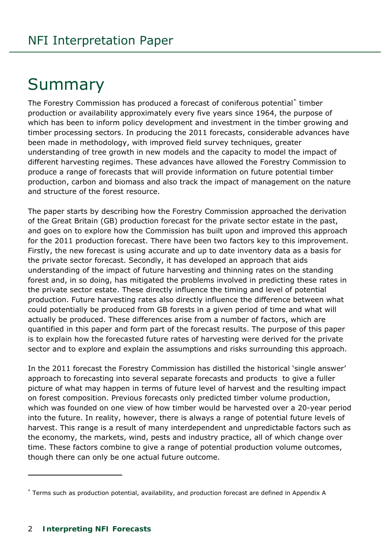# **Summary**

The Forestry Commission has produced a forecast of coniferous potential<sup>[\\*](#page-7-0)</sup> timber production or availability approximately every five years since 1964, the purpose of which has been to inform policy development and investment in the timber growing and timber processing sectors. In producing the 2011 forecasts, considerable advances have been made in methodology, with improved field survey techniques, greater understanding of tree growth in new models and the capacity to model the impact of different harvesting regimes. These advances have allowed the Forestry Commission to produce a range of forecasts that will provide information on future potential timber production, carbon and biomass and also track the impact of management on the nature and structure of the forest resource.

The paper starts by describing how the Forestry Commission approached the derivation of the Great Britain (GB) production forecast for the private sector estate in the past, and goes on to explore how the Commission has built upon and improved this approach for the 2011 production forecast. There have been two factors key to this improvement. Firstly, the new forecast is using accurate and up to date inventory data as a basis for the private sector forecast. Secondly, it has developed an approach that aids understanding of the impact of future harvesting and thinning rates on the standing forest and, in so doing, has mitigated the problems involved in predicting these rates in the private sector estate. These directly influence the timing and level of potential production. Future harvesting rates also directly influence the difference between what could potentially be produced from GB forests in a given period of time and what will actually be produced. These differences arise from a number of factors, which are quantified in this paper and form part of the forecast results. The purpose of this paper is to explain how the forecasted future rates of harvesting were derived for the private sector and to explore and explain the assumptions and risks surrounding this approach.

In the 2011 forecast the Forestry Commission has distilled the historical 'single answer' approach to forecasting into several separate forecasts and products to give a fuller picture of what may happen in terms of future level of harvest and the resulting impact on forest composition. Previous forecasts only predicted timber volume production, which was founded on one view of how timber would be harvested over a 20-year period into the future. In reality, however, there is always a range of potential future levels of harvest. This range is a result of many interdependent and unpredictable factors such as the economy, the markets, wind, pests and industry practice, all of which change over time. These factors combine to give a range of potential production volume outcomes, though there can only be one actual future outcome.

j

<span id="page-1-0"></span><sup>\*</sup> Terms such as production potential, availability, and production forecast are defined in Appendix A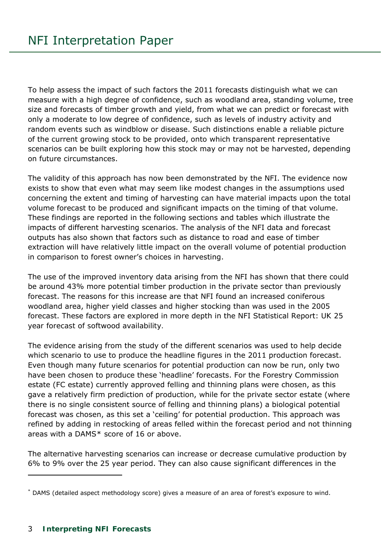To help assess the impact of such factors the 2011 forecasts distinguish what we can measure with a high degree of confidence, such as woodland area, standing volume, tree size and forecasts of timber growth and yield, from what we can predict or forecast with only a moderate to low degree of confidence, such as levels of industry activity and random events such as windblow or disease. Such distinctions enable a reliable picture of the current growing stock to be provided, onto which transparent representative scenarios can be built exploring how this stock may or may not be harvested, depending on future circumstances.

The validity of this approach has now been demonstrated by the NFI. The evidence now exists to show that even what may seem like modest changes in the assumptions used concerning the extent and timing of harvesting can have material impacts upon the total volume forecast to be produced and significant impacts on the timing of that volume. These findings are reported in the following sections and tables which illustrate the impacts of different harvesting scenarios. The analysis of the NFI data and forecast outputs has also shown that factors such as distance to road and ease of timber extraction will have relatively little impact on the overall volume of potential production in comparison to forest owner's choices in harvesting.

The use of the improved inventory data arising from the NFI has shown that there could be around 43% more potential timber production in the private sector than previously forecast. The reasons for this increase are that NFI found an increased coniferous woodland area, higher yield classes and higher stocking than was used in the 2005 forecast. These factors are explored in more depth in the NFI Statistical Report: *UK 25 year forecast of softwood availability.* 

The evidence arising from the study of the different scenarios was used to help decide which scenario to use to produce the headline figures in the 2011 production forecast. Even though many future scenarios for potential production can now be run, only two have been chosen to produce these 'headline' forecasts. For the Forestry Commission estate (FC estate) currently approved felling and thinning plans were chosen, as this gave a relatively firm prediction of production, while for the private sector estate (where there is no single consistent source of felling and thinning plans) a biological potential forecast was chosen, as this set a 'ceiling' for potential production. This approach was refined by adding in restocking of areas felled within the forecast period and not thinning areas with a DAMS[\\*](#page-1-0) score of 16 or above.

The alternative harvesting scenarios can increase or decrease cumulative production by 6% to 9% over the 25 year period. They can also cause significant differences in the

<span id="page-2-0"></span> $\overline{a}$ 

<sup>\*</sup> DAMS (detailed aspect methodology score) gives a measure of an area of forest's exposure to wind.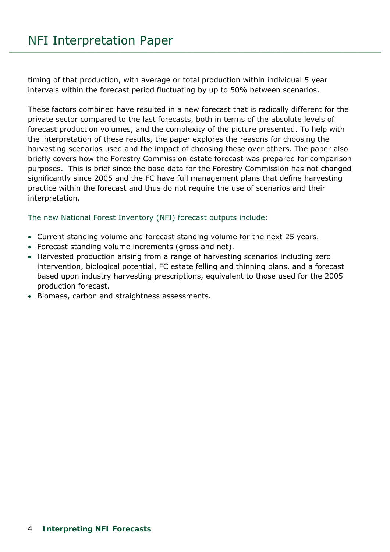timing of that production, with average or total production within individual 5 year intervals within the forecast period fluctuating by up to 50% between scenarios.

These factors combined have resulted in a new forecast that is radically different for the private sector compared to the last forecasts, both in terms of the absolute levels of forecast production volumes, and the complexity of the picture presented. To help with the interpretation of these results, the paper explores the reasons for choosing the harvesting scenarios used and the impact of choosing these over others. The paper also briefly covers how the Forestry Commission estate forecast was prepared for comparison purposes. This is brief since the base data for the Forestry Commission has not changed significantly since 2005 and the FC have full management plans that define harvesting practice within the forecast and thus do not require the use of scenarios and their interpretation.

The new National Forest Inventory (NFI) forecast outputs include:

- Current standing volume and forecast standing volume for the next 25 years.
- Forecast standing volume increments (gross and net).
- Harvested production arising from a range of harvesting scenarios including zero intervention, biological potential, FC estate felling and thinning plans, and a forecast based upon industry harvesting prescriptions, equivalent to those used for the 2005 production forecast.
- Biomass, carbon and straightness assessments.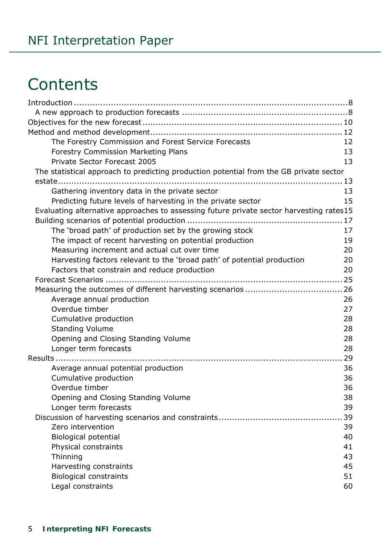# **Contents**

| The Forestry Commission and Forest Service Forecasts                                    | 12 |
|-----------------------------------------------------------------------------------------|----|
| <b>Forestry Commission Marketing Plans</b>                                              | 13 |
| Private Sector Forecast 2005                                                            | 13 |
| The statistical approach to predicting production potential from the GB private sector  |    |
|                                                                                         |    |
| Gathering inventory data in the private sector                                          | 13 |
| Predicting future levels of harvesting in the private sector                            | 15 |
| Evaluating alternative approaches to assessing future private sector harvesting rates15 |    |
|                                                                                         |    |
| The 'broad path' of production set by the growing stock                                 | 17 |
| The impact of recent harvesting on potential production                                 | 19 |
| Measuring increment and actual cut over time                                            | 20 |
| Harvesting factors relevant to the 'broad path' of potential production                 | 20 |
| Factors that constrain and reduce production                                            | 20 |
|                                                                                         |    |
|                                                                                         |    |
| Average annual production                                                               | 26 |
| Overdue timber                                                                          | 27 |
| Cumulative production                                                                   | 28 |
| <b>Standing Volume</b>                                                                  | 28 |
| Opening and Closing Standing Volume                                                     | 28 |
| Longer term forecasts                                                                   | 28 |
|                                                                                         | 29 |
| Average annual potential production                                                     | 36 |
| Cumulative production                                                                   | 36 |
| Overdue timber                                                                          | 36 |
| Opening and Closing Standing Volume                                                     | 38 |
| Longer term forecasts                                                                   | 39 |
|                                                                                         | 39 |
| Zero intervention                                                                       | 39 |
| <b>Biological potential</b>                                                             | 40 |
| Physical constraints                                                                    | 41 |
| Thinning                                                                                | 43 |
| Harvesting constraints                                                                  | 45 |
| <b>Biological constraints</b>                                                           | 51 |
| Legal constraints                                                                       | 60 |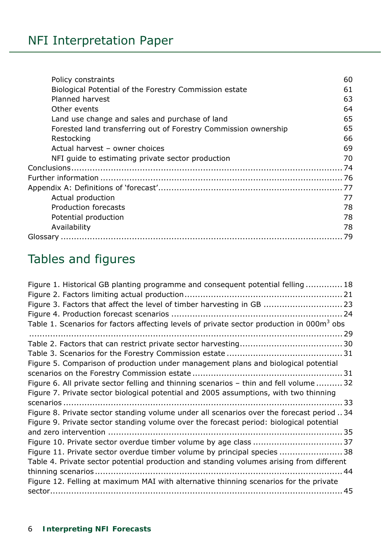| Policy constraints                                              | 60 |
|-----------------------------------------------------------------|----|
| Biological Potential of the Forestry Commission estate          | 61 |
| <b>Planned harvest</b>                                          | 63 |
| Other events                                                    | 64 |
| Land use change and sales and purchase of land                  | 65 |
| Forested land transferring out of Forestry Commission ownership | 65 |
| Restocking                                                      | 66 |
| Actual harvest - owner choices                                  | 69 |
| NFI quide to estimating private sector production               | 70 |
|                                                                 |    |
|                                                                 |    |
|                                                                 | 77 |
| Actual production                                               | 77 |
| Production forecasts                                            | 78 |
| Potential production                                            | 78 |
| Availability                                                    | 78 |
|                                                                 | 79 |

# Tables and figures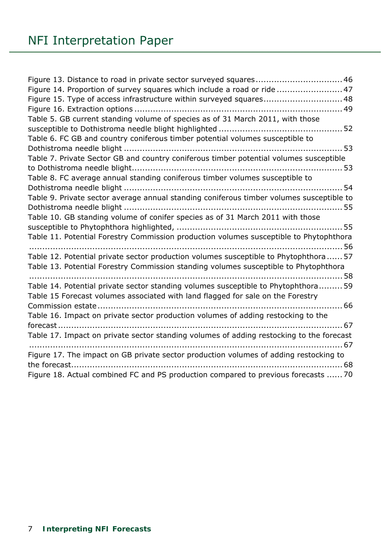| Figure 13. Distance to road in private sector surveyed squares 46                        |
|------------------------------------------------------------------------------------------|
| Figure 14. Proportion of survey squares which include a road or ride  47                 |
| Figure 15. Type of access infrastructure within surveyed squares 48                      |
|                                                                                          |
| Table 5. GB current standing volume of species as of 31 March 2011, with those           |
|                                                                                          |
| Table 6. FC GB and country coniferous timber potential volumes susceptible to            |
|                                                                                          |
| Table 7. Private Sector GB and country coniferous timber potential volumes susceptible   |
|                                                                                          |
| Table 8. FC average annual standing coniferous timber volumes susceptible to             |
|                                                                                          |
| Table 9. Private sector average annual standing coniferous timber volumes susceptible to |
|                                                                                          |
| Table 10. GB standing volume of conifer species as of 31 March 2011 with those           |
|                                                                                          |
| Table 11. Potential Forestry Commission production volumes susceptible to Phytophthora   |
| Table 12. Potential private sector production volumes susceptible to Phytophthora 57     |
| Table 13. Potential Forestry Commission standing volumes susceptible to Phytophthora     |
|                                                                                          |
| Table 14. Potential private sector standing volumes susceptible to Phytophthora 59       |
| Table 15 Forecast volumes associated with land flagged for sale on the Forestry          |
|                                                                                          |
| Table 16. Impact on private sector production volumes of adding restocking to the        |
| fore 67                                                                                  |
| Table 17. Impact on private sector standing volumes of adding restocking to the forecast |
|                                                                                          |
| Figure 17. The impact on GB private sector production volumes of adding restocking to    |
|                                                                                          |
| Figure 18. Actual combined FC and PS production compared to previous forecasts  70       |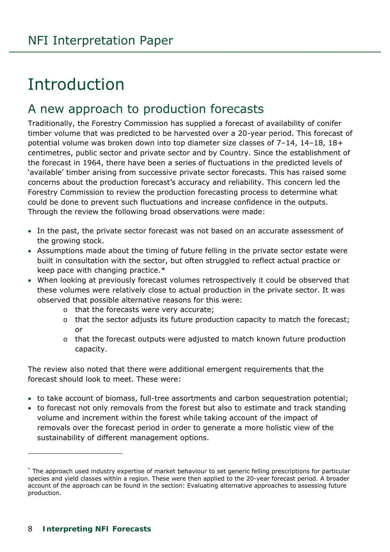# <span id="page-7-1"></span>Introduction

# <span id="page-7-2"></span>A new approach to production forecasts

Traditionally, the Forestry Commission has supplied a forecast of availability of conifer timber volume that was predicted to be harvested over a 20-year period. This forecast of potential volume was broken down into top diameter size classes of 7–14, 14–18, 18+ centimetres, public sector and private sector and by Country. Since the establishment of the forecast in 1964, there have been a series of fluctuations in the predicted levels of 'available' timber arising from successive private sector forecasts. This has raised some concerns about the production forecast's accuracy and reliability. This concern led the Forestry Commission to review the production forecasting process to determine what could be done to prevent such fluctuations and increase confidence in the outputs. Through the review the following broad observations were made:

- In the past, the private sector forecast was not based on an accurate assessment of the growing stock.
- Assumptions made about the timing of future felling in the private sector estate were built in consultation with the sector, but often struggled to reflect actual practice or keep pace with changing practice.[\\*](#page-2-0)
- When looking at previously forecast volumes retrospectively it could be observed that these volumes were relatively close to actual production in the private sector. It was observed that possible alternative reasons for this were:
	- o that the forecasts were very accurate;
	- o that the sector adjusts its future production capacity to match the forecast; or
	- o that the forecast outputs were adjusted to match known future production capacity.

The review also noted that there were additional emergent requirements that the forecast should look to meet. These were:

- to take account of biomass, full-tree assortments and carbon sequestration potential;
- to forecast not only removals from the forest but also to estimate and track standing volume and increment within the forest while taking account of the impact of removals over the forecast period in order to generate a more holistic view of the sustainability of different management options.

j

<span id="page-7-0"></span><sup>\*</sup> The approach used industry expertise of market behaviour to set generic felling prescriptions for particular species and yield classes within a region. These were then applied to the 20-year forecast period. A broader account of the approach can be found in the section: Evaluating alternative approaches to assessing future production.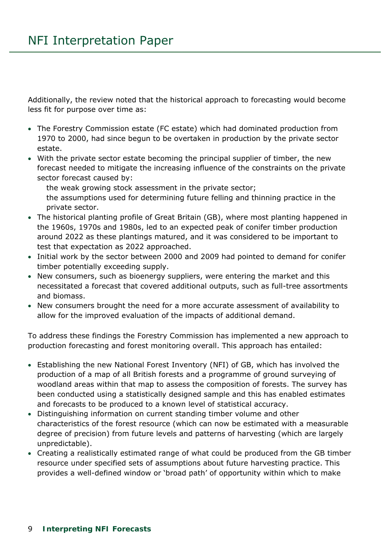Additionally, the review noted that the historical approach to forecasting would become less fit for purpose over time as:

- The Forestry Commission estate (FC estate) which had dominated production from 1970 to 2000, had since begun to be overtaken in production by the private sector estate.
- With the private sector estate becoming the principal supplier of timber, the new forecast needed to mitigate the increasing influence of the constraints on the private sector forecast caused by:

the weak growing stock assessment in the private sector;

 the assumptions used for determining future felling and thinning practice in the private sector.

- The historical planting profile of Great Britain (GB), where most planting happened in the 1960s, 1970s and 1980s, led to an expected peak of conifer timber production around 2022 as these plantings matured, and it was considered to be important to test that expectation as 2022 approached.
- Initial work by the sector between 2000 and 2009 had pointed to demand for conifer timber potentially exceeding supply.
- New consumers, such as bioenergy suppliers, were entering the market and this necessitated a forecast that covered additional outputs, such as full-tree assortments and biomass.
- New consumers brought the need for a more accurate assessment of availability to allow for the improved evaluation of the impacts of additional demand.

To address these findings the Forestry Commission has implemented a new approach to production forecasting and forest monitoring overall. This approach has entailed:

- Establishing the new National Forest Inventory (NFI) of GB, which has involved the production of a map of all British forests and a programme of ground surveying of woodland areas within that map to assess the composition of forests. The survey has been conducted using a statistically designed sample and this has enabled estimates and forecasts to be produced to a known level of statistical accuracy.
- Distinguishing information on current standing timber volume and other characteristics of the forest resource (which can now be estimated with a measurable degree of precision) from future levels and patterns of harvesting (which are largely unpredictable).
- Creating a realistically estimated range of what could be produced from the GB timber resource under specified sets of assumptions about future harvesting practice. This provides a well-defined window or 'broad path' of opportunity within which to make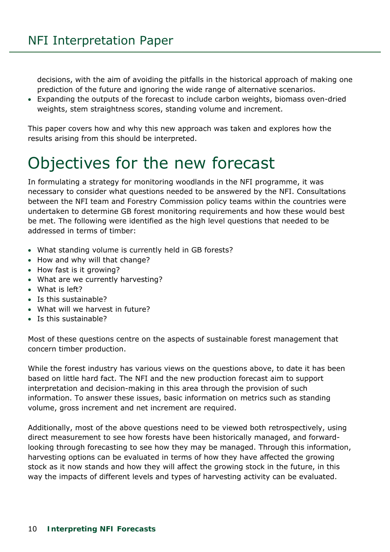decisions, with the aim of avoiding the pitfalls in the historical approach of making one prediction of the future and ignoring the wide range of alternative scenarios.

 Expanding the outputs of the forecast to include carbon weights, biomass oven-dried weights, stem straightness scores, standing volume and increment.

This paper covers how and why this new approach was taken and explores how the results arising from this should be interpreted.

# <span id="page-9-0"></span>Objectives for the new forecast

In formulating a strategy for monitoring woodlands in the NFI programme, it was necessary to consider what questions needed to be answered by the NFI. Consultations between the NFI team and Forestry Commission policy teams within the countries were undertaken to determine GB forest monitoring requirements and how these would best be met. The following were identified as the high level questions that needed to be addressed in terms of timber:

- What standing volume is currently held in GB forests?
- How and why will that change?
- How fast is it growing?
- What are we currently harvesting?
- What is left?
- Is this sustainable?
- What will we harvest in future?
- Is this sustainable?

Most of these questions centre on the aspects of sustainable forest management that concern timber production.

While the forest industry has various views on the questions above, to date it has been based on little hard fact. The NFI and the new production forecast aim to support interpretation and decision-making in this area through the provision of such information. To answer these issues, basic information on metrics such as standing volume, gross increment and net increment are required.

Additionally, most of the above questions need to be viewed both retrospectively, using direct measurement to see how forests have been historically managed, and forwardlooking through forecasting to see how they may be managed. Through this information, harvesting options can be evaluated in terms of how they have affected the growing stock as it now stands and how they will affect the growing stock in the future, in this way the impacts of different levels and types of harvesting activity can be evaluated.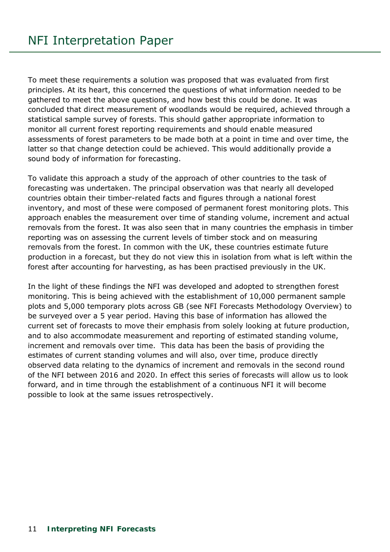To meet these requirements a solution was proposed that was evaluated from first principles. At its heart, this concerned the questions of what information needed to be gathered to meet the above questions, and how best this could be done. It was concluded that direct measurement of woodlands would be required, achieved through a statistical sample survey of forests. This should gather appropriate information to monitor all current forest reporting requirements and should enable measured assessments of forest parameters to be made both at a point in time and over time, the latter so that change detection could be achieved. This would additionally provide a sound body of information for forecasting.

To validate this approach a study of the approach of other countries to the task of forecasting was undertaken. The principal observation was that nearly all developed countries obtain their timber-related facts and figures through a national forest inventory, and most of these were composed of permanent forest monitoring plots. This approach enables the measurement over time of standing volume, increment and actual removals from the forest. It was also seen that in many countries the emphasis in timber reporting was on assessing the current levels of timber stock and on measuring removals from the forest. In common with the UK, these countries estimate future production in a forecast, but they do not view this in isolation from what is left within the forest after accounting for harvesting, as has been practised previously in the UK.

In the light of these findings the NFI was developed and adopted to strengthen forest monitoring. This is being achieved with the establishment of 10,000 permanent sample plots and 5,000 temporary plots across GB (see NFI Forecasts Methodology Overview) to be surveyed over a 5 year period. Having this base of information has allowed the current set of forecasts to move their emphasis from solely looking at future production, and to also accommodate measurement and reporting of estimated standing volume, increment and removals over time. This data has been the basis of providing the estimates of current standing volumes and will also, over time, produce directly observed data relating to the dynamics of increment and removals in the second round of the NFI between 2016 and 2020. In effect this series of forecasts will allow us to look forward, and in time through the establishment of a continuous NFI it will become possible to look at the same issues retrospectively.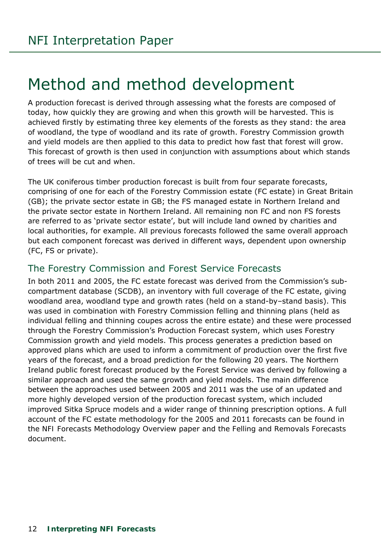# <span id="page-11-0"></span>Method and method development

A production forecast is derived through assessing what the forests are composed of today, how quickly they are growing and when this growth will be harvested. This is achieved firstly by estimating three key elements of the forests as they stand: the area of woodland, the type of woodland and its rate of growth. Forestry Commission growth and yield models are then applied to this data to predict how fast that forest will grow. This forecast of growth is then used in conjunction with assumptions about which stands of trees will be cut and when.

The UK coniferous timber production forecast is built from four separate forecasts, comprising of one for each of the Forestry Commission estate (FC estate) in Great Britain (GB); the private sector estate in GB; the FS managed estate in Northern Ireland and the private sector estate in Northern Ireland. All remaining non FC and non FS forests are referred to as 'private sector estate', but will include land owned by charities and local authorities, for example. All previous forecasts followed the same overall approach but each component forecast was derived in different ways, dependent upon ownership (FC, FS or private).

# <span id="page-11-1"></span>The Forestry Commission and Forest Service Forecasts

In both 2011 and 2005, the FC estate forecast was derived from the Commission's subcompartment database (SCDB), an inventory with full coverage of the FC estate, giving woodland area, woodland type and growth rates (held on a stand-by–stand basis). This was used in combination with Forestry Commission felling and thinning plans (held as individual felling and thinning coupes across the entire estate) and these were processed through the Forestry Commission's Production Forecast system, which uses Forestry Commission growth and yield models. This process generates a prediction based on approved plans which are used to inform a commitment of production over the first five years of the forecast, and a broad prediction for the following 20 years. The Northern Ireland public forest forecast produced by the Forest Service was derived by following a similar approach and used the same growth and yield models. The main difference between the approaches used between 2005 and 2011 was the use of an updated and more highly developed version of the production forecast system, which included improved Sitka Spruce models and a wider range of thinning prescription options. A full account of the FC estate methodology for the 2005 and 2011 forecasts can be found in the *NFI Forecasts Methodology Overview* paper and the *Felling and Removals Forecasts*  document.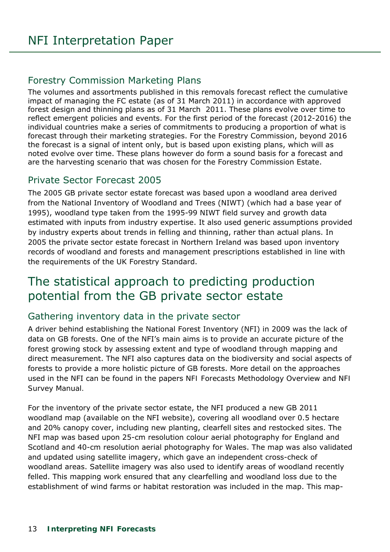# <span id="page-12-0"></span>Forestry Commission Marketing Plans

The volumes and assortments published in this removals forecast reflect the cumulative impact of managing the FC estate (as of 31 March 2011) in accordance with approved forest design and thinning plans as of 31 March 2011. These plans evolve over time to reflect emergent policies and events. For the first period of the forecast (2012-2016) the individual countries make a series of commitments to producing a proportion of what is forecast through their marketing strategies. For the Forestry Commission, beyond 2016 the forecast is a signal of intent only, but is based upon existing plans, which will as noted evolve over time. These plans however do form a sound basis for a forecast and are the harvesting scenario that was chosen for the Forestry Commission Estate.

# <span id="page-12-1"></span>Private Sector Forecast 2005

The 2005 GB private sector estate forecast was based upon a woodland area derived from the National Inventory of Woodland and Trees (NIWT) (which had a base year of 1995), woodland type taken from the 1995-99 NIWT field survey and growth data estimated with inputs from industry expertise. It also used generic assumptions provided by industry experts about trends in felling and thinning, rather than actual plans. In 2005 the private sector estate forecast in Northern Ireland was based upon inventory records of woodland and forests and management prescriptions established in line with the requirements of the UK Forestry Standard.

# <span id="page-12-2"></span>The statistical approach to predicting production potential from the GB private sector estate

# <span id="page-12-3"></span>Gathering inventory data in the private sector

A driver behind establishing the National Forest Inventory (NFI) in 2009 was the lack of data on GB forests. One of the NFI's main aims is to provide an accurate picture of the forest growing stock by assessing extent and type of woodland through mapping and direct measurement. The NFI also captures data on the biodiversity and social aspects of forests to provide a more holistic picture of GB forests. More detail on the approaches used in the NFI can be found in the papers *NFI Forecasts Methodology Overview* and *NFI Survey Manual.*

For the inventory of the private sector estate, the NFI produced a new GB 2011 woodland map (available on the NFI website), covering all woodland over 0.5 hectare and 20% canopy cover, including new planting, clearfell sites and restocked sites. The NFI map was based upon 25-cm resolution colour aerial photography for England and Scotland and 40-cm resolution aerial photography for Wales. The map was also validated and updated using satellite imagery, which gave an independent cross-check of woodland areas. Satellite imagery was also used to identify areas of woodland recently felled. This mapping work ensured that any clearfelling and woodland loss due to the establishment of wind farms or habitat restoration was included in the map. This map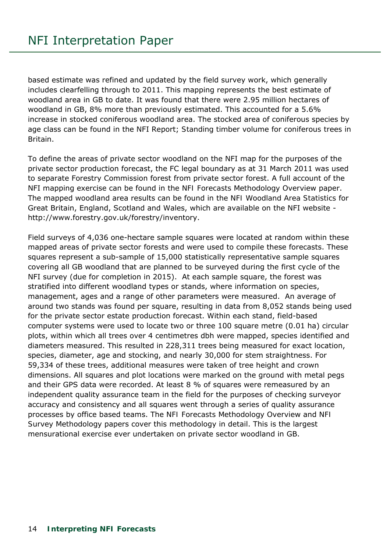based estimate was refined and updated by the field survey work, which generally includes clearfelling through to 2011. This mapping represents the best estimate of woodland area in GB to date. It was found that there were 2.95 million hectares of woodland in GB, 8% more than previously estimated. This accounted for a 5.6% increase in stocked coniferous woodland area. The stocked area of coniferous species by age class can be found in the NFI Report; *Standing timber volume for coniferous trees in Britain*.

To define the areas of private sector woodland on the NFI map for the purposes of the private sector production forecast, the FC legal boundary as at 31 March 2011 was used to separate Forestry Commission forest from private sector forest. A full account of the NFI mapping exercise can be found in the *NFI Forecasts Methodology Overview* paper. The mapped woodland area results can be found in the *NFI Woodland Area Statistics* for Great Britain, England, Scotland and Wales, which are available on the NFI website http://www.forestry.gov.uk/forestry/inventory.

Field surveys of 4,036 one-hectare sample squares were located at random within these mapped areas of private sector forests and were used to compile these forecasts. These squares represent a sub-sample of 15,000 statistically representative sample squares covering all GB woodland that are planned to be surveyed during the first cycle of the NFI survey (due for completion in 2015). At each sample square, the forest was stratified into different woodland types or stands, where information on species, management, ages and a range of other parameters were measured. An average of around two stands was found per square, resulting in data from 8,052 stands being used for the private sector estate production forecast. Within each stand, field-based computer systems were used to locate two or three 100 square metre (0.01 ha) circular plots, within which all trees over 4 centimetres dbh were mapped, species identified and diameters measured. This resulted in 228,311 trees being measured for exact location, species, diameter, age and stocking, and nearly 30,000 for stem straightness. For 59,334 of these trees, additional measures were taken of tree height and crown dimensions. All squares and plot locations were marked on the ground with metal pegs and their GPS data were recorded. At least 8 % of squares were remeasured by an independent quality assurance team in the field for the purposes of checking surveyor accuracy and consistency and all squares went through a series of quality assurance processes by office based teams. The *NFI Forecasts Methodology Overview* and *NFI Survey Methodology* papers cover this methodology in detail. This is the largest mensurational exercise ever undertaken on private sector woodland in GB.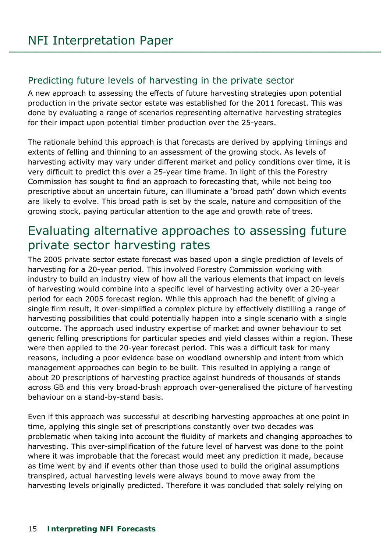### <span id="page-14-0"></span>Predicting future levels of harvesting in the private sector

A new approach to assessing the effects of future harvesting strategies upon potential production in the private sector estate was established for the 2011 forecast. This was done by evaluating a range of scenarios representing alternative harvesting strategies for their impact upon potential timber production over the 25-years.

The rationale behind this approach is that forecasts are derived by applying timings and extents of felling and thinning to an assessment of the growing stock. As levels of harvesting activity may vary under different market and policy conditions over time, it is very difficult to predict this over a 25-year time frame. In light of this the Forestry Commission has sought to find an approach to forecasting that, while not being too prescriptive about an uncertain future, can illuminate a 'broad path' down which events are likely to evolve. This broad path is set by the scale, nature and composition of the growing stock, paying particular attention to the age and growth rate of trees.

# <span id="page-14-1"></span>Evaluating alternative approaches to assessing future private sector harvesting rates

The 2005 private sector estate forecast was based upon a single prediction of levels of harvesting for a 20-year period. This involved Forestry Commission working with industry to build an industry view of how all the various elements that impact on levels of harvesting would combine into a specific level of harvesting activity over a 20-year period for each 2005 forecast region. While this approach had the benefit of giving a single firm result, it over-simplified a complex picture by effectively distilling a range of harvesting possibilities that could potentially happen into a single scenario with a single outcome. The approach used industry expertise of market and owner behaviour to set generic felling prescriptions for particular species and yield classes within a region. These were then applied to the 20-year forecast period. This was a difficult task for many reasons, including a poor evidence base on woodland ownership and intent from which management approaches can begin to be built. This resulted in applying a range of about 20 prescriptions of harvesting practice against hundreds of thousands of stands across GB and this very broad-brush approach over-generalised the picture of harvesting behaviour on a stand-by-stand basis.

Even if this approach was successful at describing harvesting approaches at one point in time, applying this single set of prescriptions constantly over two decades was problematic when taking into account the fluidity of markets and changing approaches to harvesting. This over-simplification of the future level of harvest was done to the point where it was improbable that the forecast would meet any prediction it made, because as time went by and if events other than those used to build the original assumptions transpired, actual harvesting levels were always bound to move away from the harvesting levels originally predicted. Therefore it was concluded that solely relying on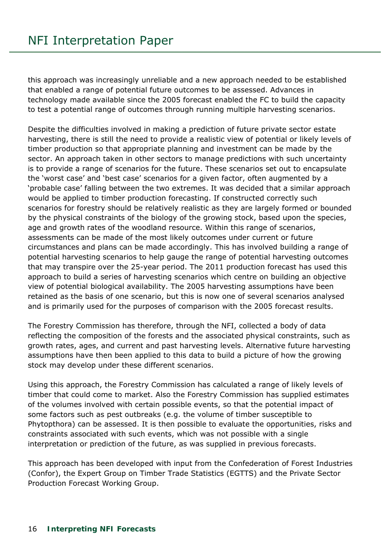this approach was increasingly unreliable and a new approach needed to be established that enabled a range of potential future outcomes to be assessed. Advances in technology made available since the 2005 forecast enabled the FC to build the capacity to test a potential range of outcomes through running multiple harvesting scenarios.

Despite the difficulties involved in making a prediction of future private sector estate harvesting, there is still the need to provide a realistic view of potential or likely levels of timber production so that appropriate planning and investment can be made by the sector. An approach taken in other sectors to manage predictions with such uncertainty is to provide a range of scenarios for the future. These scenarios set out to encapsulate the 'worst case' and 'best case' scenarios for a given factor, often augmented by a 'probable case' falling between the two extremes. It was decided that a similar approach would be applied to timber production forecasting. If constructed correctly such scenarios for forestry should be relatively realistic as they are largely formed or bounded by the physical constraints of the biology of the growing stock, based upon the species, age and growth rates of the woodland resource. Within this range of scenarios, assessments can be made of the most likely outcomes under current or future circumstances and plans can be made accordingly. This has involved building a range of potential harvesting scenarios to help gauge the range of potential harvesting outcomes that may transpire over the 25-year period. The 2011 production forecast has used this approach to build a series of harvesting scenarios which centre on building an objective view of potential biological availability. The 2005 harvesting assumptions have been retained as the basis of one scenario, but this is now one of several scenarios analysed and is primarily used for the purposes of comparison with the 2005 forecast results.

The Forestry Commission has therefore, through the NFI, collected a body of data reflecting the composition of the forests and the associated physical constraints, such as growth rates, ages, and current and past harvesting levels. Alternative future harvesting assumptions have then been applied to this data to build a picture of how the growing stock may develop under these different scenarios.

Using this approach, the Forestry Commission has calculated a range of likely levels of timber that could come to market. Also the Forestry Commission has supplied estimates of the volumes involved with certain possible events, so that the potential impact of some factors such as pest outbreaks (e.g. the volume of timber susceptible to Phytopthora) can be assessed. It is then possible to evaluate the opportunities, risks and constraints associated with such events, which was not possible with a single interpretation or prediction of the future, as was supplied in previous forecasts.

This approach has been developed with input from the Confederation of Forest Industries (Confor), the Expert Group on Timber Trade Statistics (EGTTS) and the Private Sector Production Forecast Working Group.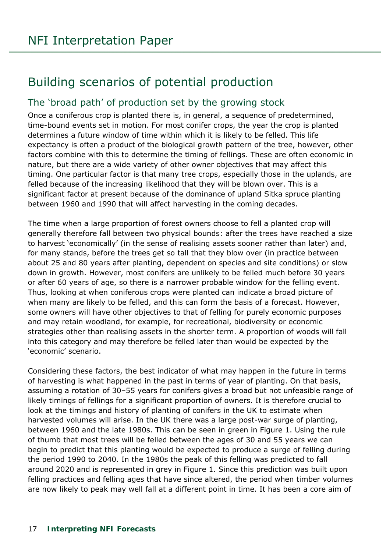# <span id="page-16-0"></span>Building scenarios of potential production

# <span id="page-16-1"></span>The 'broad path' of production set by the growing stock

Once a coniferous crop is planted there is, in general, a sequence of predetermined, time-bound events set in motion. For most conifer crops, the year the crop is planted determines a future window of time within which it is likely to be felled. This life expectancy is often a product of the biological growth pattern of the tree, however, other factors combine with this to determine the timing of fellings. These are often economic in nature, but there are a wide variety of other owner objectives that may affect this timing. One particular factor is that many tree crops, especially those in the uplands, are felled because of the increasing likelihood that they will be blown over. This is a significant factor at present because of the dominance of upland Sitka spruce planting between 1960 and 1990 that will affect harvesting in the coming decades.

The time when a large proportion of forest owners choose to fell a planted crop will generally therefore fall between two physical bounds: after the trees have reached a size to harvest 'economically' (in the sense of realising assets sooner rather than later) and, for many stands, before the trees get so tall that they blow over (in practice between about 25 and 80 years after planting, dependent on species and site conditions) or slow down in growth. However, most conifers are unlikely to be felled much before 30 years or after 60 years of age, so there is a narrower probable window for the felling event. Thus, looking at when coniferous crops were planted can indicate a broad picture of when many are likely to be felled, and this can form the basis of a forecast. However, some owners will have other objectives to that of felling for purely economic purposes and may retain woodland, for example, for recreational, biodiversity or economic strategies other than realising assets in the shorter term. A proportion of woods will fall into this category and may therefore be felled later than would be expected by the 'economic' scenario.

Considering these factors, the best indicator of what may happen in the future in terms of harvesting is what happened in the past in terms of year of planting. On that basis, assuming a rotation of 30–55 years for conifers gives a broad but not unfeasible range of likely timings of fellings for a significant proportion of owners. It is therefore crucial to look at the timings and history of planting of conifers in the UK to estimate when harvested volumes will arise. In the UK there was a large post-war surge of planting, between 1960 and the late 1980s. This can be seen in green in Figure 1. Using the rule of thumb that most trees will be felled between the ages of 30 and 55 years we can begin to predict that this planting would be expected to produce a surge of felling during the period 1990 to 2040. In the 1980s the peak of this felling was predicted to fall around 2020 and is represented in grey in Figure 1. Since this prediction was built upon felling practices and felling ages that have since altered, the period when timber volumes are now likely to peak may well fall at a different point in time. It has been a core aim of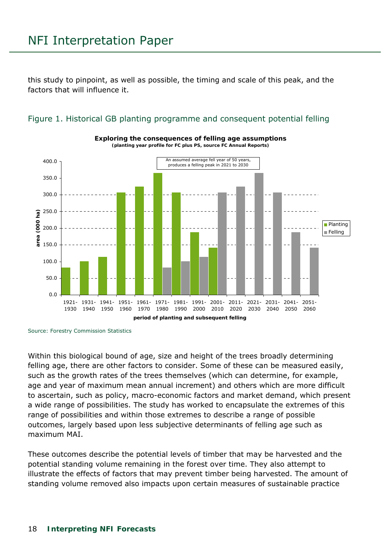this study to pinpoint, as well as possible, the timing and scale of this peak, and the factors that will influence it.

<span id="page-17-0"></span>Figure 1. Historical GB planting programme and consequent potential felling



**Exploring the consequences of felling age assumptions**

Source: Forestry Commission Statistics

Within this biological bound of age, size and height of the trees broadly determining felling age, there are other factors to consider. Some of these can be measured easily, such as the growth rates of the trees themselves (which can determine, for example, age and year of maximum mean annual increment) and others which are more difficult to ascertain, such as policy, macro-economic factors and market demand, which present a wide range of possibilities. The study has worked to encapsulate the extremes of this range of possibilities and within those extremes to describe a range of possible outcomes, largely based upon less subjective determinants of felling age such as maximum MAI.

These outcomes describe the potential levels of timber that may be harvested and the potential standing volume remaining in the forest over time. They also attempt to illustrate the effects of factors that may prevent timber being harvested. The amount of standing volume removed also impacts upon certain measures of sustainable practice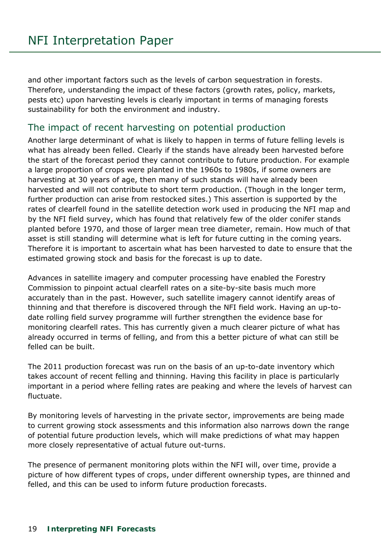and other important factors such as the levels of carbon sequestration in forests. Therefore, understanding the impact of these factors (growth rates, policy, markets, pests etc) upon harvesting levels is clearly important in terms of managing forests sustainability for both the environment and industry.

### <span id="page-18-0"></span>The impact of recent harvesting on potential production

Another large determinant of what is likely to happen in terms of future felling levels is what has already been felled. Clearly if the stands have already been harvested before the start of the forecast period they cannot contribute to future production. For example a large proportion of crops were planted in the 1960s to 1980s, if some owners are harvesting at 30 years of age, then many of such stands will have already been harvested and will not contribute to short term production. (Though in the longer term, further production can arise from restocked sites.) This assertion is supported by the rates of clearfell found in the satellite detection work used in producing the NFI map and by the NFI field survey, which has found that relatively few of the older conifer stands planted before 1970, and those of larger mean tree diameter, remain. How much of that asset is still standing will determine what is left for future cutting in the coming years. Therefore it is important to ascertain what has been harvested to date to ensure that the estimated growing stock and basis for the forecast is up to date.

Advances in satellite imagery and computer processing have enabled the Forestry Commission to pinpoint actual clearfell rates on a site-by-site basis much more accurately than in the past. However, such satellite imagery cannot identify areas of thinning and that therefore is discovered through the NFI field work. Having an up-todate rolling field survey programme will further strengthen the evidence base for monitoring clearfell rates. This has currently given a much clearer picture of what has already occurred in terms of felling, and from this a better picture of what can still be felled can be built.

The 2011 production forecast was run on the basis of an up-to-date inventory which takes account of recent felling and thinning. Having this facility in place is particularly important in a period where felling rates are peaking and where the levels of harvest can fluctuate.

By monitoring levels of harvesting in the private sector, improvements are being made to current growing stock assessments and this information also narrows down the range of potential future production levels, which will make predictions of what may happen more closely representative of actual future out-turns.

The presence of permanent monitoring plots within the NFI will, over time, provide a picture of how different types of crops, under different ownership types, are thinned and felled, and this can be used to inform future production forecasts.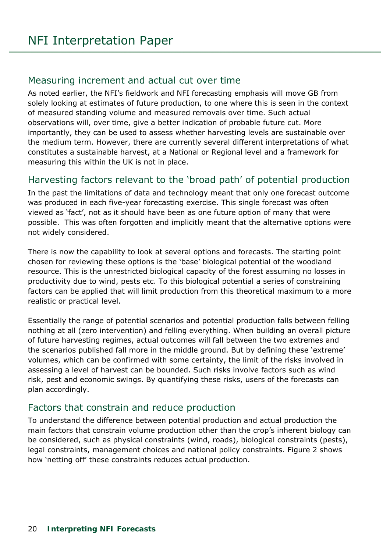#### <span id="page-19-0"></span>Measuring increment and actual cut over time

As noted earlier, the NFI's fieldwork and NFI forecasting emphasis will move GB from solely looking at estimates of future production, to one where this is seen in the context of measured standing volume and measured removals over time. Such actual observations will, over time, give a better indication of probable future cut. More importantly, they can be used to assess whether harvesting levels are sustainable over the medium term. However, there are currently several different interpretations of what constitutes a sustainable harvest, at a National or Regional level and a framework for measuring this within the UK is not in place.

# <span id="page-19-1"></span>Harvesting factors relevant to the 'broad path' of potential production

In the past the limitations of data and technology meant that only one forecast outcome was produced in each five-year forecasting exercise. This single forecast was often viewed as 'fact', not as it should have been as one future option of many that were possible. This was often forgotten and implicitly meant that the alternative options were not widely considered.

There is now the capability to look at several options and forecasts. The starting point chosen for reviewing these options is the 'base' biological potential of the woodland resource. This is the unrestricted biological capacity of the forest assuming no losses in productivity due to wind, pests etc. To this biological potential a series of constraining factors can be applied that will limit production from this theoretical maximum to a more realistic or practical level.

Essentially the range of potential scenarios and potential production falls between felling nothing at all (zero intervention) and felling everything. When building an overall picture of future harvesting regimes, actual outcomes will fall between the two extremes and the scenarios published fall more in the middle ground. But by defining these 'extreme' volumes, which can be confirmed with some certainty, the limit of the risks involved in assessing a level of harvest can be bounded. Such risks involve factors such as wind risk, pest and economic swings. By quantifying these risks, users of the forecasts can plan accordingly.

# <span id="page-19-2"></span>Factors that constrain and reduce production

To understand the difference between potential production and actual production the main factors that constrain volume production other than the crop's inherent biology can be considered, such as physical constraints (wind, roads), biological constraints (pests), legal constraints, management choices and national policy constraints. Figure 2 shows how 'netting off' these constraints reduces actual production.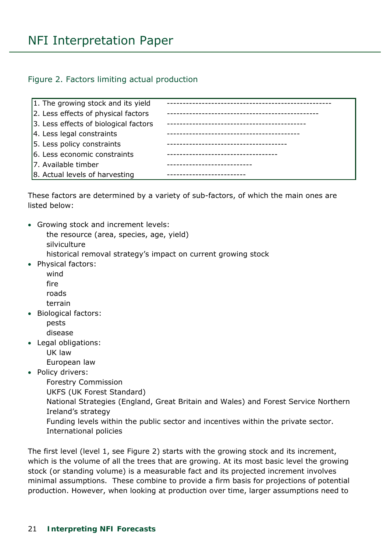#### <span id="page-20-0"></span>Figure 2. Factors limiting actual production

| 1. The growing stock and its yield    |                                      |
|---------------------------------------|--------------------------------------|
| 2. Less effects of physical factors   |                                      |
| 3. Less effects of biological factors | ------------------------------------ |
| 4. Less legal constraints             |                                      |
| 5. Less policy constraints            | -----------------------------------  |
| 6. Less economic constraints          | ----------------------------         |
| 7. Available timber                   | --------------------------           |
| 8. Actual levels of harvesting        |                                      |

These factors are determined by a variety of sub-factors, of which the main ones are listed below:

 Growing stock and increment levels: the resource (area, species, age, yield) silviculture

historical removal strategy's impact on current growing stock

- Physical factors: wind
	- fire roads
	- terrain
- Biological factors: pests disease
- Legal obligations:
	- UK law
	- European law
- Policy drivers:

 Forestry Commission UKFS (UK Forest Standard) National Strategies (England, Great Britain and Wales) and Forest Service Northern Ireland's strategy

 Funding levels within the public sector and incentives within the private sector. International policies

The first level (level 1, see Figure 2) starts with the growing stock and its increment, which is the volume of all the trees that are growing. At its most basic level the growing stock (or standing volume) is a measurable fact and its projected increment involves minimal assumptions. These combine to provide a firm basis for projections of potential production. However, when looking at production over time, larger assumptions need to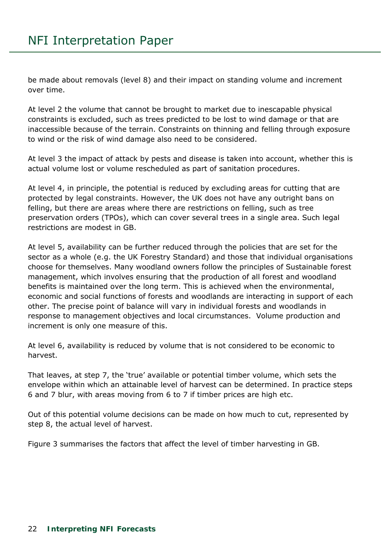be made about removals (level 8) and their impact on standing volume and increment over time.

At level 2 the volume that cannot be brought to market due to inescapable physical constraints is excluded, such as trees predicted to be lost to wind damage or that are inaccessible because of the terrain. Constraints on thinning and felling through exposure to wind or the risk of wind damage also need to be considered.

At level 3 the impact of attack by pests and disease is taken into account, whether this is actual volume lost or volume rescheduled as part of sanitation procedures.

At level 4, in principle, the potential is reduced by excluding areas for cutting that are protected by legal constraints. However, the UK does not have any outright bans on felling, but there are areas where there are restrictions on felling, such as tree preservation orders (TPOs), which can cover several trees in a single area. Such legal restrictions are modest in GB.

At level 5, availability can be further reduced through the policies that are set for the sector as a whole (e.g. the UK Forestry Standard) and those that individual organisations choose for themselves. Many woodland owners follow the principles of Sustainable forest management, which involves ensuring that the production of all forest and woodland benefits is maintained over the long term. This is achieved when the environmental, economic and social functions of forests and woodlands are interacting in support of each other. The precise point of balance will vary in individual forests and woodlands in response to management objectives and local circumstances. Volume production and increment is only one measure of this.

At level 6, availability is reduced by volume that is not considered to be economic to harvest.

That leaves, at step 7, the 'true' available or potential timber volume, which sets the envelope within which an attainable level of harvest can be determined. In practice steps 6 and 7 blur, with areas moving from 6 to 7 if timber prices are high etc.

Out of this potential volume decisions can be made on how much to cut, represented by step 8, the actual level of harvest.

Figure 3 summarises the factors that affect the level of timber harvesting in GB.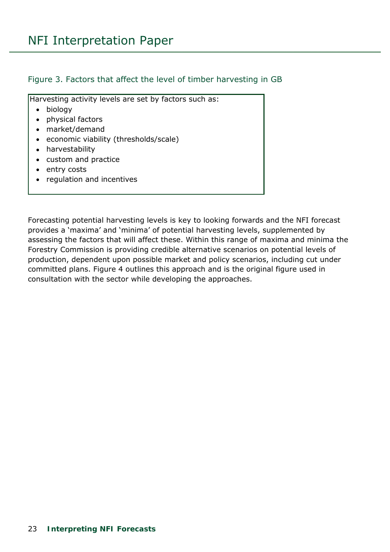#### <span id="page-22-0"></span>Figure 3. Factors that affect the level of timber harvesting in GB

Harvesting activity levels are set by factors such as:

- biology
- physical factors
- market/demand
- economic viability (thresholds/scale)
- harvestability
- custom and practice
- entry costs
- regulation and incentives

Forecasting potential harvesting levels is key to looking forwards and the NFI forecast provides a 'maxima' and 'minima' of potential harvesting levels, supplemented by assessing the factors that will affect these. Within this range of maxima and minima the Forestry Commission is providing credible alternative scenarios on potential levels of production, dependent upon possible market and policy scenarios, including cut under committed plans. Figure 4 outlines this approach and is the original figure used in consultation with the sector while developing the approaches.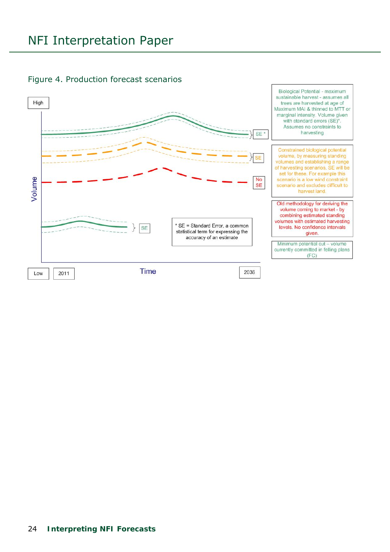

#### <span id="page-23-0"></span>Figure 4. Production forecast scenarios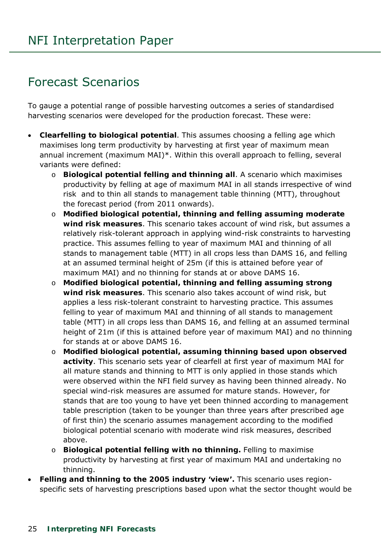# <span id="page-24-0"></span>Forecast Scenarios

To gauge a potential range of possible harvesting outcomes a series of standardised harvesting scenarios were developed for the production forecast. These were:

- **Clearfelling to biological potential**. This assumes choosing a felling age which maximises long term productivity by harvesting at first year of maximum mean annual increment (maximum MAI)\*. Within this overall approach to felling, several variants were defined:
	- o **Biological potential felling and thinning all**. A scenario which maximises productivity by felling at age of maximum MAI in all stands irrespective of wind risk and to thin all stands to management table thinning (MTT), throughout the forecast period (from 2011 onwards).
	- o **Modified biological potential, thinning and felling assuming moderate wind risk measures**. This scenario takes account of wind risk, but assumes a relatively risk-tolerant approach in applying wind-risk constraints to harvesting practice. This assumes felling to year of maximum MAI and thinning of all stands to management table (MTT) in all crops less than DAMS 16, and felling at an assumed terminal height of 25m (if this is attained before year of maximum MAI) and no thinning for stands at or above DAMS 16.
	- o **Modified biological potential, thinning and felling assuming strong wind risk measures**. This scenario also takes account of wind risk, but applies a less risk-tolerant constraint to harvesting practice. This assumes felling to year of maximum MAI and thinning of all stands to management table (MTT) in all crops less than DAMS 16, and felling at an assumed terminal height of 21m (if this is attained before year of maximum MAI) and no thinning for stands at or above DAMS 16.
	- o **Modified biological potential, assuming thinning based upon observed activity**. This scenario sets year of clearfell at first year of maximum MAI for all mature stands and thinning to MTT is only applied in those stands which were observed within the NFI field survey as having been thinned already. No special wind-risk measures are assumed for mature stands. However, for stands that are too young to have yet been thinned according to management table prescription (taken to be younger than three years after prescribed age of first thin) the scenario assumes management according to the modified biological potential scenario with moderate wind risk measures, described above.
	- o **Biological potential felling with no thinning.** Felling to maximise productivity by harvesting at first year of maximum MAI and undertaking no thinning.
- **Felling and thinning to the 2005 industry 'view'.** This scenario uses regionspecific sets of harvesting prescriptions based upon what the sector thought would be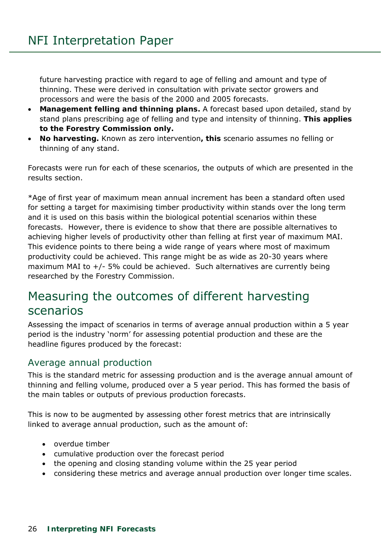future harvesting practice with regard to age of felling and amount and type of thinning. These were derived in consultation with private sector growers and processors and were the basis of the 2000 and 2005 forecasts.

- **Management felling and thinning plans.** A forecast based upon detailed, stand by stand plans prescribing age of felling and type and intensity of thinning. **This applies to the Forestry Commission only.**
- **No harvesting.** Known as zero intervention**, this** scenario assumes no felling or thinning of any stand.

Forecasts were run for each of these scenarios, the outputs of which are presented in the results section.

\*Age of first year of maximum mean annual increment has been a standard often used for setting a target for maximising timber productivity within stands over the long term and it is used on this basis within the biological potential scenarios within these forecasts. However, there is evidence to show that there are possible alternatives to achieving higher levels of productivity other than felling at first year of maximum MAI. This evidence points to there being a wide range of years where most of maximum productivity could be achieved. This range might be as wide as 20-30 years where maximum MAI to +/- 5% could be achieved. Such alternatives are currently being researched by the Forestry Commission.

# <span id="page-25-0"></span>Measuring the outcomes of different harvesting scenarios

Assessing the impact of scenarios in terms of average annual production within a 5 year period is the industry 'norm' for assessing potential production and these are the headline figures produced by the forecast:

# <span id="page-25-1"></span>Average annual production

This is the standard metric for assessing production and is the average annual amount of thinning and felling volume, produced over a 5 year period. This has formed the basis of the main tables or outputs of previous production forecasts.

This is now to be augmented by assessing other forest metrics that are intrinsically linked to average annual production, such as the amount of:

- overdue timber
- cumulative production over the forecast period
- the opening and closing standing volume within the 25 year period
- considering these metrics and average annual production over longer time scales.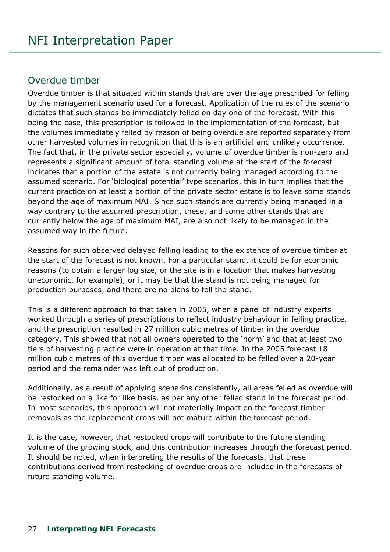### <span id="page-26-0"></span>Overdue timber

Overdue timber is that situated within stands that are over the age prescribed for felling by the management scenario used for a forecast. Application of the rules of the scenario dictates that such stands be immediately felled on day one of the forecast. With this being the case, this prescription is followed in the implementation of the forecast, but the volumes immediately felled by reason of being overdue are reported separately from other harvested volumes in recognition that this is an artificial and unlikely occurrence. The fact that, in the private sector especially, volume of overdue timber is non-zero and represents a significant amount of total standing volume at the start of the forecast indicates that a portion of the estate is not currently being managed according to the assumed scenario. For 'biological potential' type scenarios, this in turn implies that the current practice on at least a portion of the private sector estate is to leave some stands beyond the age of maximum MAI. Since such stands are currently being managed in a way contrary to the assumed prescription, these, and some other stands that are currently below the age of maximum MAI, are also not likely to be managed in the assumed way in the future.

Reasons for such observed delayed felling leading to the existence of overdue timber at the start of the forecast is not known. For a particular stand, it could be for economic reasons (to obtain a larger log size, or the site is in a location that makes harvesting uneconomic, for example), or it may be that the stand is not being managed for production purposes, and there are no plans to fell the stand.

This is a different approach to that taken in 2005, when a panel of industry experts worked through a series of prescriptions to reflect industry behaviour in felling practice, and the prescription resulted in 27 million cubic metres of timber in the overdue category. This showed that not all owners operated to the 'norm' and that at least two tiers of harvesting practice were in operation at that time. In the 2005 forecast 18 million cubic metres of this overdue timber was allocated to be felled over a 20-year period and the remainder was left out of production.

Additionally, as a result of applying scenarios consistently, all areas felled as overdue will be restocked on a like for like basis, as per any other felled stand in the forecast period. In most scenarios, this approach will not materially impact on the forecast timber removals as the replacement crops will not mature within the forecast period.

It is the case, however, that restocked crops will contribute to the future standing volume of the growing stock, and this contribution increases through the forecast period. It should be noted, when interpreting the results of the forecasts, that these contributions derived from restocking of overdue crops are included in the forecasts of future standing volume.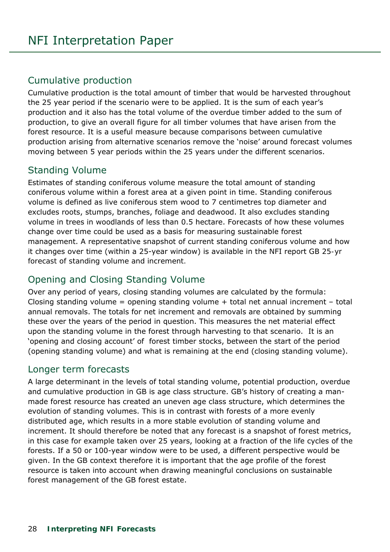# <span id="page-27-0"></span>Cumulative production

Cumulative production is the total amount of timber that would be harvested throughout the 25 year period if the scenario were to be applied. It is the sum of each year's production and it also has the total volume of the overdue timber added to the sum of production, to give an overall figure for all timber volumes that have arisen from the forest resource. It is a useful measure because comparisons between cumulative production arising from alternative scenarios remove the 'noise' around forecast volumes moving between 5 year periods within the 25 years under the different scenarios.

# <span id="page-27-1"></span>Standing Volume

Estimates of standing coniferous volume measure the total amount of standing coniferous volume within a forest area at a given point in time. Standing coniferous volume is defined as live coniferous stem wood to 7 centimetres top diameter and excludes roots, stumps, branches, foliage and deadwood. It also excludes standing volume in trees in woodlands of less than 0.5 hectare. Forecasts of how these volumes change over time could be used as a basis for measuring sustainable forest management. A representative snapshot of current standing coniferous volume and how it changes over time (within a 25-year window) is available in the NFI report *GB 25-yr forecast of standing volume and increment.* 

# <span id="page-27-2"></span>Opening and Closing Standing Volume

Over any period of years, closing standing volumes are calculated by the formula: Closing standing volume = opening standing volume + total net annual increment – total annual removals. The totals for net increment and removals are obtained by summing these over the years of the period in question. This measures the net material effect upon the standing volume in the forest through harvesting to that scenario. It is an 'opening and closing account' of forest timber stocks, between the start of the period (opening standing volume) and what is remaining at the end (closing standing volume).

#### <span id="page-27-3"></span>Longer term forecasts

A large determinant in the levels of total standing volume, potential production, overdue and cumulative production in GB is age class structure. GB's history of creating a manmade forest resource has created an uneven age class structure, which determines the evolution of standing volumes. This is in contrast with forests of a more evenly distributed age, which results in a more stable evolution of standing volume and increment. It should therefore be noted that any forecast is a snapshot of forest metrics, in this case for example taken over 25 years, looking at a fraction of the life cycles of the forests. If a 50 or 100-year window were to be used, a different perspective would be given. In the GB context therefore it is important that the age profile of the forest resource is taken into account when drawing meaningful conclusions on sustainable forest management of the GB forest estate.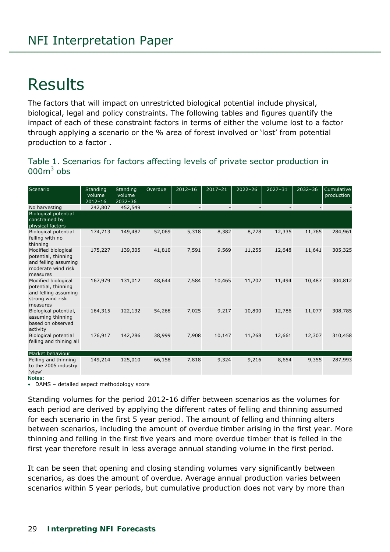# <span id="page-28-0"></span>Results

The factors that will impact on unrestricted biological potential include physical, biological, legal and policy constraints. The following tables and figures quantify the impact of each of these constraint factors in terms of either the volume lost to a factor through applying a scenario or the % area of forest involved or 'lost' from potential production to a factor .

#### <span id="page-28-1"></span>Table 1. Scenarios for factors affecting levels of private sector production in  $000<sup>3</sup>$  obs

| Scenario                                                                                             | Standing    | Standing    | Overdue                  | $2012 - 16$              | $2017 - 21$              | $2022 - 26$              | $2027 - 31$              | $2032 - 36$              | Cumulative |
|------------------------------------------------------------------------------------------------------|-------------|-------------|--------------------------|--------------------------|--------------------------|--------------------------|--------------------------|--------------------------|------------|
|                                                                                                      | volume      | volume      |                          |                          |                          |                          |                          |                          | production |
|                                                                                                      | $2012 - 16$ | $2032 - 36$ |                          |                          |                          |                          |                          |                          |            |
| No harvesting                                                                                        | 242,807     | 452,549     | $\overline{\phantom{a}}$ | $\overline{\phantom{a}}$ | $\overline{\phantom{a}}$ | $\overline{\phantom{a}}$ | $\overline{\phantom{a}}$ | $\overline{\phantom{a}}$ |            |
| <b>Biological potential</b><br>constrained by                                                        |             |             |                          |                          |                          |                          |                          |                          |            |
| physical factors                                                                                     |             |             |                          |                          |                          |                          |                          |                          |            |
| <b>Biological potential</b><br>felling with no<br>thinning                                           | 174,713     | 149,487     | 52,069                   | 5,318                    | 8,382                    | 8,778                    | 12,335                   | 11,765                   | 284,961    |
| Modified biological<br>potential, thinning<br>and felling assuming<br>moderate wind risk<br>measures | 175,227     | 139,305     | 41,810                   | 7,591                    | 9,569                    | 11,255                   | 12,648                   | 11,641                   | 305,325    |
| Modified biological<br>potential, thinning<br>and felling assuming<br>strong wind risk<br>measures   | 167,979     | 131,012     | 48,644                   | 7,584                    | 10,465                   | 11,202                   | 11,494                   | 10,487                   | 304,812    |
| Biological potential,<br>assuming thinning<br>based on observed<br>activity                          | 164,315     | 122,132     | 54,268                   | 7,025                    | 9,217                    | 10,800                   | 12,786                   | 11,077                   | 308,785    |
| <b>Biological potential</b><br>felling and thining all                                               | 176,917     | 142,286     | 38,999                   | 7,908                    | 10,147                   | 11,268                   | 12,661                   | 12,307                   | 310,458    |
| Market behaviour                                                                                     |             |             |                          |                          |                          |                          |                          |                          |            |
| Felling and thinning<br>to the 2005 industry<br>'view'                                               | 149,214     | 125,010     | 66,158                   | 7,818                    | 9,324                    | 9,216                    | 8,654                    | 9,355                    | 287,993    |

**Notes:** 

DAMS – detailed aspect methodology score

Standing volumes for the period 2012-16 differ between scenarios as the volumes for each period are derived by applying the different rates of felling and thinning assumed for each scenario in the first 5 year period. The amount of felling and thinning alters between scenarios, including the amount of overdue timber arising in the first year. More thinning and felling in the first five years and more overdue timber that is felled in the first year therefore result in less average annual standing volume in the first period.

It can be seen that opening and closing standing volumes vary significantly between scenarios, as does the amount of overdue. Average annual production varies between scenarios within 5 year periods, but cumulative production does not vary by more than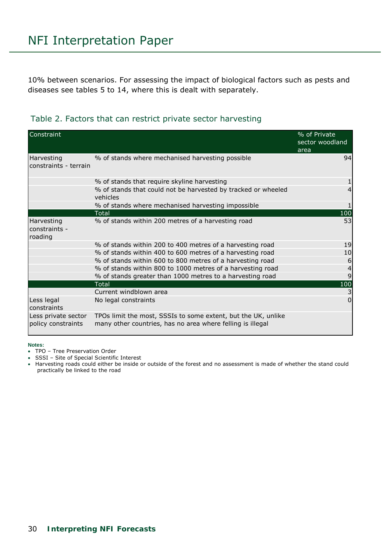10% between scenarios. For assessing the impact of biological factors such as pests and diseases see tables 5 to 14, where this is dealt with separately.

<span id="page-29-0"></span>

|  |  |  | Table 2. Factors that can restrict private sector harvesting |
|--|--|--|--------------------------------------------------------------|
|  |  |  |                                                              |

| Constraint                                |                                                                                                                             | % of Private<br>sector woodland<br>area |
|-------------------------------------------|-----------------------------------------------------------------------------------------------------------------------------|-----------------------------------------|
| Harvesting<br>constraints - terrain       | % of stands where mechanised harvesting possible                                                                            | 94                                      |
|                                           | % of stands that require skyline harvesting                                                                                 |                                         |
|                                           | % of stands that could not be harvested by tracked or wheeled<br>vehicles                                                   |                                         |
|                                           | % of stands where mechanised harvesting impossible                                                                          |                                         |
|                                           | Total                                                                                                                       | 100                                     |
| Harvesting<br>constraints -<br>roading    | % of stands within 200 metres of a harvesting road                                                                          | 53                                      |
|                                           | % of stands within 200 to 400 metres of a harvesting road                                                                   | 19                                      |
|                                           | % of stands within 400 to 600 metres of a harvesting road                                                                   | 10                                      |
|                                           | % of stands within 600 to 800 metres of a harvesting road                                                                   | 6                                       |
|                                           | % of stands within 800 to 1000 metres of a harvesting road                                                                  |                                         |
|                                           | % of stands greater than 1000 metres to a harvesting road                                                                   |                                         |
|                                           | <b>Total</b>                                                                                                                | 100                                     |
|                                           | Current windblown area                                                                                                      | 3                                       |
| Less legal<br>constraints                 | No legal constraints                                                                                                        | $\Omega$                                |
| Less private sector<br>policy constraints | TPOs limit the most, SSSIs to some extent, but the UK, unlike<br>many other countries, has no area where felling is illegal |                                         |

**Notes:** 

TPO – Tree Preservation Order

SSSI – Site of Special Scientific Interest

 Harvesting roads could either be inside or outside of the forest and no assessment is made of whether the stand could practically be linked to the road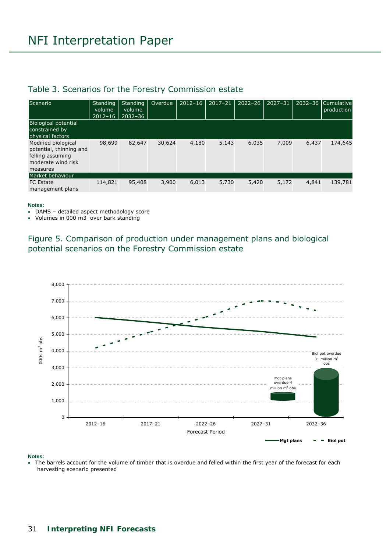#### <span id="page-30-0"></span>Table 3. Scenarios for the Forestry Commission estate

| Scenario                                                                                             | Standing<br>volume<br>$2012 - 16$ | <b>Standing</b><br>volume<br>$2032 - 36$ | Overdue | $2012 - 16$ | $2017 - 21$ | $2022 - 26$ | $2027 - 31$ |       | 2032-36 Cumulative<br>production |
|------------------------------------------------------------------------------------------------------|-----------------------------------|------------------------------------------|---------|-------------|-------------|-------------|-------------|-------|----------------------------------|
| Biological potential<br>constrained by<br>physical factors                                           |                                   |                                          |         |             |             |             |             |       |                                  |
| Modified biological<br>potential, thinning and<br>felling assuming<br>moderate wind risk<br>measures | 98,699                            | 82,647                                   | 30,624  | 4,180       | 5,143       | 6,035       | 7,009       | 6,437 | 174,645                          |
| Market behaviour                                                                                     |                                   |                                          |         |             |             |             |             |       |                                  |
| <b>FC</b> Estate<br>management plans                                                                 | 114,821                           | 95,408                                   | 3,900   | 6,013       | 5,730       | 5,420       | 5,172       | 4,841 | 139,781                          |

#### **Notes:**

- DAMS detailed aspect methodology score
- Volumes in 000 m3 over bark standing

<span id="page-30-1"></span>Figure 5. Comparison of production under management plans and biological potential scenarios on the Forestry Commission estate



#### **Notes:**

• The barrels account for the volume of timber that is overdue and felled within the first year of the forecast for each harvesting scenario presented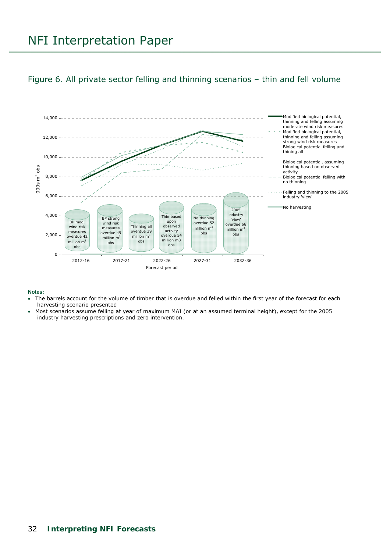#### <span id="page-31-0"></span>Figure 6. All private sector felling and thinning scenarios – thin and fell volume



#### **Notes:**

- The barrels account for the volume of timber that is overdue and felled within the first year of the forecast for each harvesting scenario presented
- Most scenarios assume felling at year of maximum MAI (or at an assumed terminal height), except for the 2005 industry harvesting prescriptions and zero intervention.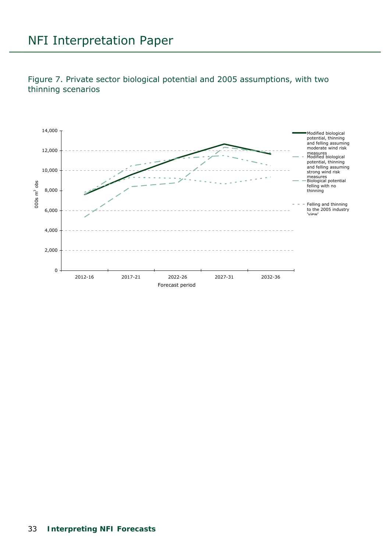<span id="page-32-0"></span>Figure 7. Private sector biological potential and 2005 assumptions, with two thinning scenarios

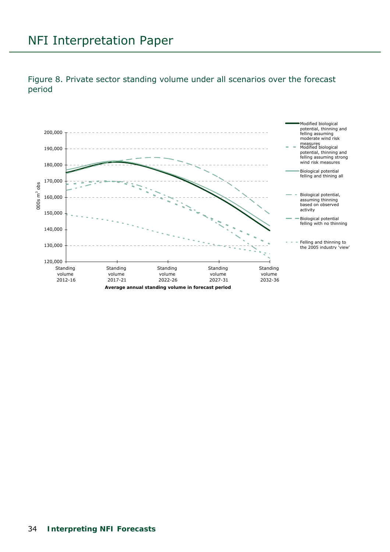

#### <span id="page-33-0"></span>Figure 8. Private sector standing volume under all scenarios over the forecast period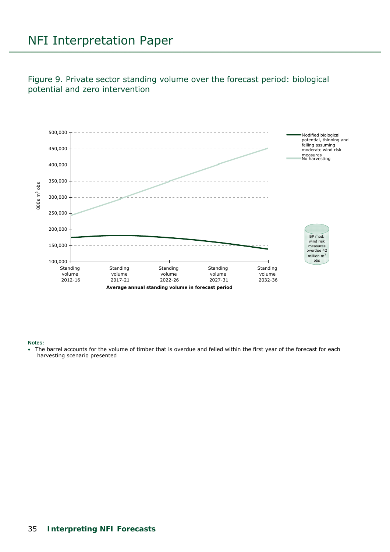<span id="page-34-0"></span>Figure 9. Private sector standing volume over the forecast period: biological potential and zero intervention



#### **Notes:**

 The barrel accounts for the volume of timber that is overdue and felled within the first year of the forecast for each harvesting scenario presented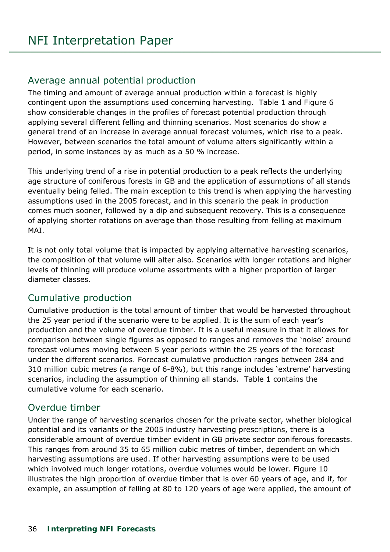# <span id="page-35-0"></span>Average annual potential production

The timing and amount of average annual production within a forecast is highly contingent upon the assumptions used concerning harvesting. Table 1 and Figure 6 show considerable changes in the profiles of forecast potential production through applying several different felling and thinning scenarios. Most scenarios do show a general trend of an increase in average annual forecast volumes, which rise to a peak. However, between scenarios the total amount of volume alters significantly within a period, in some instances by as much as a 50 % increase.

This underlying trend of a rise in potential production to a peak reflects the underlying age structure of coniferous forests in GB and the application of assumptions of all stands eventually being felled. The main exception to this trend is when applying the harvesting assumptions used in the 2005 forecast, and in this scenario the peak in production comes much sooner, followed by a dip and subsequent recovery. This is a consequence of applying shorter rotations on average than those resulting from felling at maximum MAI.

It is not only total volume that is impacted by applying alternative harvesting scenarios, the composition of that volume will alter also. Scenarios with longer rotations and higher levels of thinning will produce volume assortments with a higher proportion of larger diameter classes.

# <span id="page-35-1"></span>Cumulative production

Cumulative production is the total amount of timber that would be harvested throughout the 25 year period if the scenario were to be applied. It is the sum of each year's production and the volume of overdue timber. It is a useful measure in that it allows for comparison between single figures as opposed to ranges and removes the 'noise' around forecast volumes moving between 5 year periods within the 25 years of the forecast under the different scenarios. Forecast cumulative production ranges between 284 and 310 million cubic metres (a range of 6-8%), but this range includes 'extreme' harvesting scenarios, including the assumption of thinning all stands. Table 1 contains the cumulative volume for each scenario.

# <span id="page-35-2"></span>Overdue timber

Under the range of harvesting scenarios chosen for the private sector, whether biological potential and its variants or the 2005 industry harvesting prescriptions, there is a considerable amount of overdue timber evident in GB private sector coniferous forecasts. This ranges from around 35 to 65 million cubic metres of timber, dependent on which harvesting assumptions are used. If other harvesting assumptions were to be used which involved much longer rotations, overdue volumes would be lower. Figure 10 illustrates the high proportion of overdue timber that is over 60 years of age, and if, for example, an assumption of felling at 80 to 120 years of age were applied, the amount of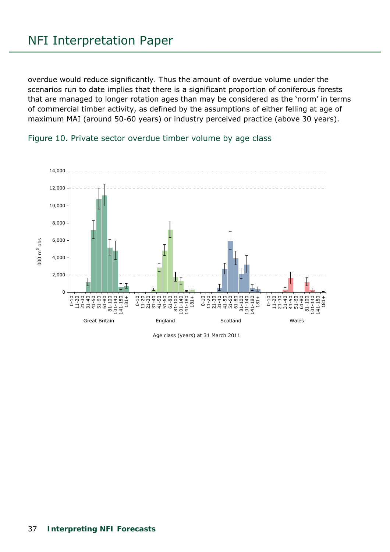overdue would reduce significantly. Thus the amount of overdue volume under the scenarios run to date implies that there is a significant proportion of coniferous forests that are managed to longer rotation ages than may be considered as the 'norm' in terms of commercial timber activity, as defined by the assumptions of either felling at age of maximum MAI (around 50-60 years) or industry perceived practice (above 30 years).





Age class (years) at 31 March 2011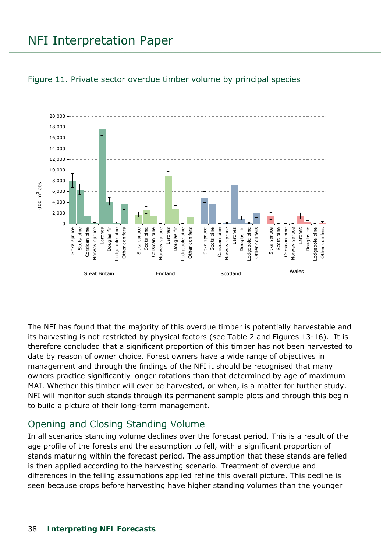## NFI Interpretation Paper



#### Figure 11. Private sector overdue timber volume by principal species

The NFI has found that the majority of this overdue timber is potentially harvestable and its harvesting is not restricted by physical factors (see Table 2 and Figures 13-16). It is therefore concluded that a significant proportion of this timber has not been harvested to date by reason of owner choice. Forest owners have a wide range of objectives in management and through the findings of the NFI it should be recognised that many owners practice significantly longer rotations than that determined by age of maximum MAI. Whether this timber will ever be harvested, or when, is a matter for further study. NFI will monitor such stands through its permanent sample plots and through this begin to build a picture of their long-term management.

## Opening and Closing Standing Volume

In all scenarios standing volume declines over the forecast period. This is a result of the age profile of the forests and the assumption to fell, with a significant proportion of stands maturing within the forecast period. The assumption that these stands are felled is then applied according to the harvesting scenario. Treatment of overdue and differences in the felling assumptions applied refine this overall picture. This decline is seen because crops before harvesting have higher standing volumes than the younger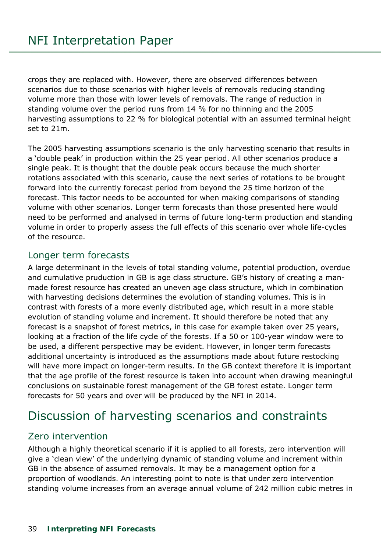crops they are replaced with. However, there are observed differences between scenarios due to those scenarios with higher levels of removals reducing standing volume more than those with lower levels of removals. The range of reduction in standing volume over the period runs from 14 % for no thinning and the 2005 harvesting assumptions to 22 % for biological potential with an assumed terminal height set to 21m.

The 2005 harvesting assumptions scenario is the only harvesting scenario that results in a 'double peak' in production within the 25 year period. All other scenarios produce a single peak. It is thought that the double peak occurs because the much shorter rotations associated with this scenario, cause the next series of rotations to be brought forward into the currently forecast period from beyond the 25 time horizon of the forecast. This factor needs to be accounted for when making comparisons of standing volume with other scenarios. Longer term forecasts than those presented here would need to be performed and analysed in terms of future long-term production and standing volume in order to properly assess the full effects of this scenario over whole life-cycles of the resource.

## Longer term forecasts

A large determinant in the levels of total standing volume, potential production, overdue and cumulative pruduction in GB is age class structure. GB's history of creating a manmade forest resource has created an uneven age class structure, which in combination with harvesting decisions determines the evolution of standing volumes. This is in contrast with forests of a more evenly distributed age, which result in a more stable evolution of standing volume and increment. It should therefore be noted that any forecast is a snapshot of forest metrics, in this case for example taken over 25 years, looking at a fraction of the life cycle of the forests. If a 50 or 100-year window were to be used, a different perspective may be evident. However, in longer term forecasts additional uncertainty is introduced as the assumptions made about future restocking will have more impact on longer-term results. In the GB context therefore it is important that the age profile of the forest resource is taken into account when drawing meaningful conclusions on sustainable forest management of the GB forest estate. Longer term forecasts for 50 years and over will be produced by the NFI in 2014.

## Discussion of harvesting scenarios and constraints

## Zero intervention

Although a highly theoretical scenario if it is applied to all forests, zero intervention will give a 'clean view' of the underlying dynamic of standing volume and increment within GB in the absence of assumed removals. It may be a management option for a proportion of woodlands. An interesting point to note is that under zero intervention standing volume increases from an average annual volume of 242 million cubic metres in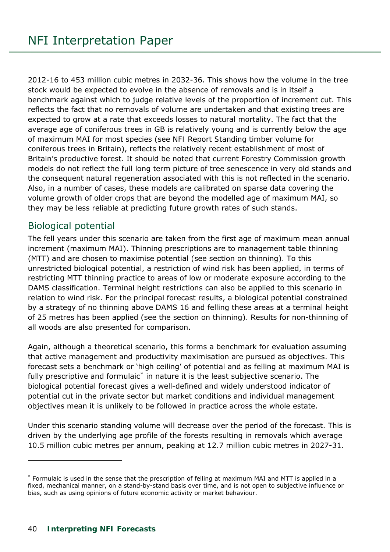2012-16 to 453 million cubic metres in 2032-36. This shows how the volume in the tree stock would be expected to evolve in the absence of removals and is in itself a benchmark against which to judge relative levels of the proportion of increment cut. This reflects the fact that no removals of volume are undertaken and that existing trees are expected to grow at a rate that exceeds losses to natural mortality. The fact that the average age of coniferous trees in GB is relatively young and is currently below the age of maximum MAI for most species (see *NFI Report Standing timber volume for coniferous trees in Britain*), reflects the relatively recent establishment of most of Britain's productive forest. It should be noted that current Forestry Commission growth models do not reflect the full long term picture of tree senescence in very old stands and the consequent natural regeneration associated with this is not reflected in the scenario. Also, in a number of cases, these models are calibrated on sparse data covering the volume growth of older crops that are beyond the modelled age of maximum MAI, so they may be less reliable at predicting future growth rates of such stands.

## Biological potential

The fell years under this scenario are taken from the first age of maximum mean annual increment (maximum MAI). Thinning prescriptions are to management table thinning (MTT) and are chosen to maximise potential (see section on thinning). To this unrestricted biological potential, a restriction of wind risk has been applied, in terms of restricting MTT thinning practice to areas of low or moderate exposure according to the DAMS classification. Terminal height restrictions can also be applied to this scenario in relation to wind risk. For the principal forecast results, a biological potential constrained by a strategy of no thinning above DAMS 16 and felling these areas at a terminal height of 25 metres has been applied (see the section on thinning). Results for non-thinning of all woods are also presented for comparison.

Again, although a theoretical scenario, this forms a benchmark for evaluation assuming that active management and productivity maximisation are pursued as objectives. This forecast sets a benchmark or 'high ceiling' of potential and as felling at maximum MAI is fully prescriptive and formulaic<sup>[\\*](#page-7-0)</sup> in nature it is the least subjective scenario. The biological potential forecast gives a well-defined and widely understood indicator of potential cut in the private sector but market conditions and individual management objectives mean it is unlikely to be followed in practice across the whole estate.

Under this scenario standing volume will decrease over the period of the forecast. This is driven by the underlying age profile of the forests resulting in removals which average 10.5 million cubic metres per annum, peaking at 12.7 million cubic metres in 2027-31.

j

<sup>\*</sup> Formulaic is used in the sense that the prescription of felling at maximum MAI and MTT is applied in a fixed, mechanical manner, on a stand-by-stand basis over time, and is not open to subjective influence or bias, such as using opinions of future economic activity or market behaviour.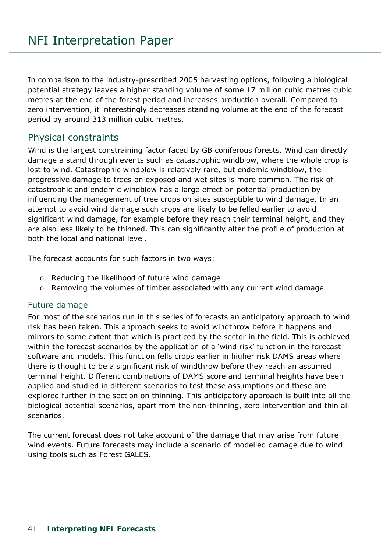In comparison to the industry-prescribed 2005 harvesting options, following a biological potential strategy leaves a higher standing volume of some 17 million cubic metres cubic metres at the end of the forest period and increases production overall. Compared to zero intervention, it interestingly decreases standing volume at the end of the forecast period by around 313 million cubic metres.

## Physical constraints

Wind is the largest constraining factor faced by GB coniferous forests. Wind can directly damage a stand through events such as catastrophic windblow, where the whole crop is lost to wind. Catastrophic windblow is relatively rare, but endemic windblow, the progressive damage to trees on exposed and wet sites is more common. The risk of catastrophic and endemic windblow has a large effect on potential production by influencing the management of tree crops on sites susceptible to wind damage. In an attempt to avoid wind damage such crops are likely to be felled earlier to avoid significant wind damage, for example before they reach their terminal height, and they are also less likely to be thinned. This can significantly alter the profile of production at both the local and national level.

The forecast accounts for such factors in two ways:

- o Reducing the likelihood of future wind damage
- o Removing the volumes of timber associated with any current wind damage

## Future damage

For most of the scenarios run in this series of forecasts an anticipatory approach to wind risk has been taken. This approach seeks to avoid windthrow before it happens and mirrors to some extent that which is practiced by the sector in the field. This is achieved within the forecast scenarios by the application of a 'wind risk' function in the forecast software and models. This function fells crops earlier in higher risk DAMS areas where there is thought to be a significant risk of windthrow before they reach an assumed terminal height. Different combinations of DAMS score and terminal heights have been applied and studied in different scenarios to test these assumptions and these are explored further in the section on thinning. This anticipatory approach is built into all the biological potential scenarios, apart from the non-thinning, zero intervention and thin all scenarios.

The current forecast does not take account of the damage that may arise from future wind events. Future forecasts may include a scenario of modelled damage due to wind using tools such as Forest GALES.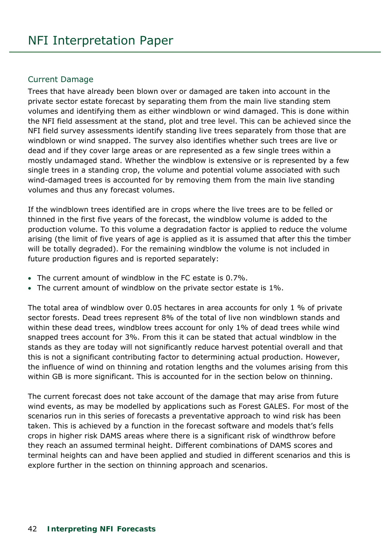#### Current Damage

Trees that have already been blown over or damaged are taken into account in the private sector estate forecast by separating them from the main live standing stem volumes and identifying them as either windblown or wind damaged. This is done within the NFI field assessment at the stand, plot and tree level. This can be achieved since the NFI field survey assessments identify standing live trees separately from those that are windblown or wind snapped. The survey also identifies whether such trees are live or dead and if they cover large areas or are represented as a few single trees within a mostly undamaged stand. Whether the windblow is extensive or is represented by a few single trees in a standing crop, the volume and potential volume associated with such wind-damaged trees is accounted for by removing them from the main live standing volumes and thus any forecast volumes.

If the windblown trees identified are in crops where the live trees are to be felled or thinned in the first five years of the forecast, the windblow volume is added to the production volume. To this volume a degradation factor is applied to reduce the volume arising (the limit of five years of age is applied as it is assumed that after this the timber will be totally degraded). For the remaining windblow the volume is not included in future production figures and is reported separately:

- The current amount of windblow in the FC estate is 0.7%.
- The current amount of windblow on the private sector estate is 1%.

The total area of windblow over 0.05 hectares in area accounts for only 1 % of private sector forests. Dead trees represent 8% of the total of live non windblown stands and within these dead trees, windblow trees account for only 1% of dead trees while wind snapped trees account for 3%. From this it can be stated that actual windblow in the stands as they are today will not significantly reduce harvest potential overall and that this is not a significant contributing factor to determining actual production. However, the influence of wind on thinning and rotation lengths and the volumes arising from this within GB is more significant. This is accounted for in the section below on thinning.

The current forecast does not take account of the damage that may arise from future wind events, as may be modelled by applications such as Forest GALES. For most of the scenarios run in this series of forecasts a preventative approach to wind risk has been taken. This is achieved by a function in the forecast software and models that's fells crops in higher risk DAMS areas where there is a significant risk of windthrow before they reach an assumed terminal height. Different combinations of DAMS scores and terminal heights can and have been applied and studied in different scenarios and this is explore further in the section on thinning approach and scenarios.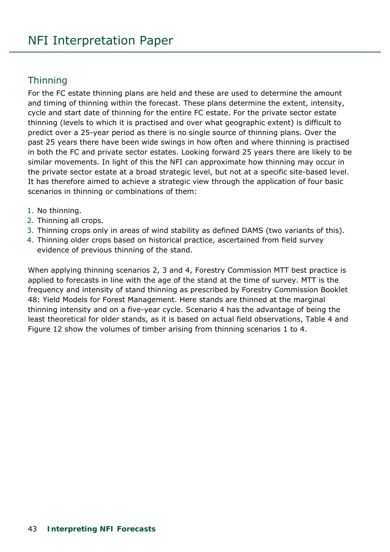## **Thinning**

For the FC estate thinning plans are held and these are used to determine the amount and timing of thinning within the forecast. These plans determine the extent, intensity, cycle and start date of thinning for the entire FC estate. For the private sector estate thinning (levels to which it is practised and over what geographic extent) is difficult to predict over a 25-year period as there is no single source of thinning plans. Over the past 25 years there have been wide swings in how often and where thinning is practised in both the FC and private sector estates. Looking forward 25 years there are likely to be similar movements. In light of this the NFI can approximate how thinning may occur in the private sector estate at a broad strategic level, but not at a specific site-based level. It has therefore aimed to achieve a strategic view through the application of four basic scenarios in thinning or combinations of them:

- 1. No thinning.
- 2. Thinning all crops.
- 3. Thinning crops only in areas of wind stability as defined DAMS (two variants of this).
- 4. Thinning older crops based on historical practice, ascertained from field survey evidence of previous thinning of the stand.

When applying thinning scenarios 2, 3 and 4, Forestry Commission MTT best practice is applied to forecasts in line with the age of the stand at the time of survey. MTT is the frequency and intensity of stand thinning as prescribed by Forestry Commission Booklet 48: Yield Models for Forest Management. Here stands are thinned at the marginal thinning intensity and on a five-year cycle. Scenario 4 has the advantage of being the least theoretical for older stands, as it is based on actual field observations, Table 4 and Figure 12 show the volumes of timber arising from thinning scenarios 1 to 4.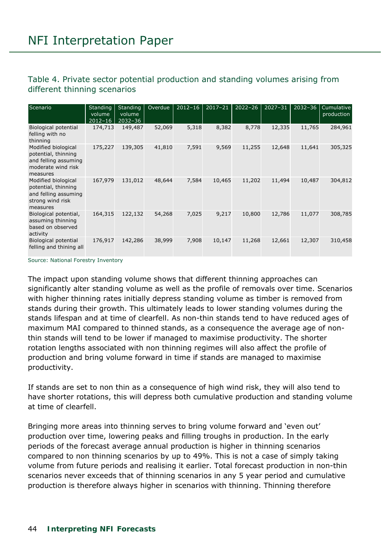#### Table 4. Private sector potential production and standing volumes arising from different thinning scenarios

| Scenario                                                                                             | <b>Standing</b><br>volume<br>$2012 - 16$ | <b>Standing</b><br>volume<br>$2032 - 36$ | Overdue | $2012 - 16$ | $2017 - 21$ | $2022 - 26$ | $2027 - 31$ | $2032 - 36$ | Cumulative<br>production |
|------------------------------------------------------------------------------------------------------|------------------------------------------|------------------------------------------|---------|-------------|-------------|-------------|-------------|-------------|--------------------------|
| Biological potential<br>felling with no<br>thinning                                                  | 174,713                                  | 149,487                                  | 52,069  | 5,318       | 8,382       | 8,778       | 12,335      | 11,765      | 284,961                  |
| Modified biological<br>potential, thinning<br>and felling assuming<br>moderate wind risk<br>measures | 175,227                                  | 139,305                                  | 41,810  | 7,591       | 9,569       | 11,255      | 12,648      | 11,641      | 305,325                  |
| Modified biological<br>potential, thinning<br>and felling assuming<br>strong wind risk<br>measures   | 167,979                                  | 131,012                                  | 48,644  | 7,584       | 10,465      | 11,202      | 11,494      | 10,487      | 304,812                  |
| Biological potential,<br>assuming thinning<br>based on observed<br>activity                          | 164,315                                  | 122,132                                  | 54,268  | 7,025       | 9,217       | 10,800      | 12,786      | 11,077      | 308,785                  |
| Biological potential<br>felling and thining all                                                      | 176,917                                  | 142,286                                  | 38,999  | 7,908       | 10,147      | 11,268      | 12,661      | 12,307      | 310,458                  |

Source: National Forestry Inventory

The impact upon standing volume shows that different thinning approaches can significantly alter standing volume as well as the profile of removals over time. Scenarios with higher thinning rates initially depress standing volume as timber is removed from stands during their growth. This ultimately leads to lower standing volumes during the stands lifespan and at time of clearfell. As non-thin stands tend to have reduced ages of maximum MAI compared to thinned stands, as a consequence the average age of nonthin stands will tend to be lower if managed to maximise productivity. The shorter rotation lengths associated with non thinning regimes will also affect the profile of production and bring volume forward in time if stands are managed to maximise productivity.

If stands are set to non thin as a consequence of high wind risk, they will also tend to have shorter rotations, this will depress both cumulative production and standing volume at time of clearfell.

Bringing more areas into thinning serves to bring volume forward and 'even out' production over time, lowering peaks and filling troughs in production. In the early periods of the forecast average annual production is higher in thinning scenarios compared to non thinning scenarios by up to 49%. This is not a case of simply taking volume from future periods and realising it earlier. Total forecast production in non-thin scenarios never exceeds that of thinning scenarios in any 5 year period and cumulative production is therefore always higher in scenarios with thinning. Thinning therefore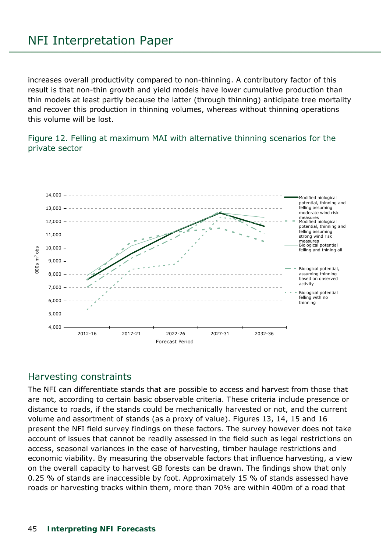increases overall productivity compared to non-thinning. A contributory factor of this result is that non-thin growth and yield models have lower cumulative production than thin models at least partly because the latter (through thinning) anticipate tree mortality and recover this production in thinning volumes, whereas without thinning operations this volume will be lost.

Figure 12. Felling at maximum MAI with alternative thinning scenarios for the private sector



## Harvesting constraints

The NFI can differentiate stands that are possible to access and harvest from those that are not, according to certain basic observable criteria. These criteria include presence or distance to roads, if the stands could be mechanically harvested or not, and the current volume and assortment of stands (as a proxy of value). Figures 13, 14, 15 and 16 present the NFI field survey findings on these factors. The survey however does not take account of issues that cannot be readily assessed in the field such as legal restrictions on access, seasonal variances in the ease of harvesting, timber haulage restrictions and economic viability. By measuring the observable factors that influence harvesting, a view on the overall capacity to harvest GB forests can be drawn. The findings show that only 0.25 % of stands are inaccessible by foot. Approximately 15 % of stands assessed have roads or harvesting tracks within them, more than 70% are within 400m of a road that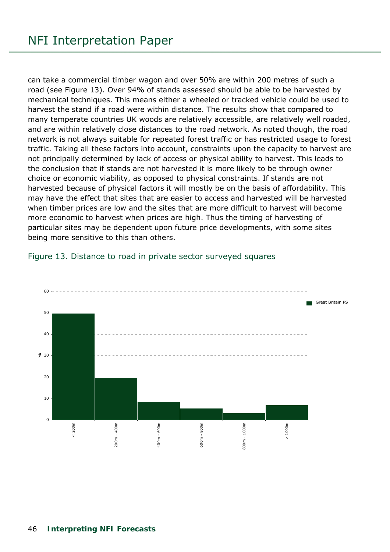can take a commercial timber wagon and over 50% are within 200 metres of such a road (see Figure 13). Over 94% of stands assessed should be able to be harvested by mechanical techniques. This means either a wheeled or tracked vehicle could be used to harvest the stand if a road were within distance. The results show that compared to many temperate countries UK woods are relatively accessible, are relatively well roaded, and are within relatively close distances to the road network. As noted though, the road network is not always suitable for repeated forest traffic or has restricted usage to forest traffic. Taking all these factors into account, constraints upon the capacity to harvest are not principally determined by lack of access or physical ability to harvest. This leads to the conclusion that if stands are not harvested it is more likely to be through owner choice or economic viability, as opposed to physical constraints. If stands are not harvested because of physical factors it will mostly be on the basis of affordability. This may have the effect that sites that are easier to access and harvested will be harvested when timber prices are low and the sites that are more difficult to harvest will become more economic to harvest when prices are high. Thus the timing of harvesting of particular sites may be dependent upon future price developments, with some sites being more sensitive to this than others.



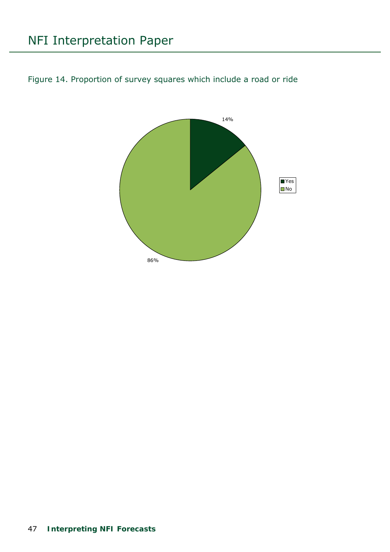# NFI Interpretation Paper

Figure 14. Proportion of survey squares which include a road or ride

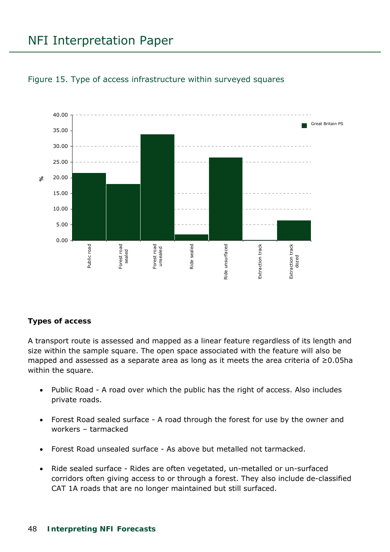## NFI Interpretation Paper



#### Figure 15. Type of access infrastructure within surveyed squares

#### **Types of access**

A transport route is assessed and mapped as a linear feature regardless of its length and size within the sample square. The open space associated with the feature will *also* be mapped and assessed as a separate area as long as it meets the area criteria of ≥0.05ha within the square.

- Public Road A road over which the public has the right of access. Also includes private roads.
- Forest Road sealed surface A road through the forest for use by the owner and workers – tarmacked
- Forest Road unsealed surface As above but metalled not tarmacked.
- Ride sealed surface Rides are often vegetated, un-metalled or un-surfaced corridors often giving access to or through a forest. They also include de-classified CAT 1A roads that are no longer maintained but still surfaced.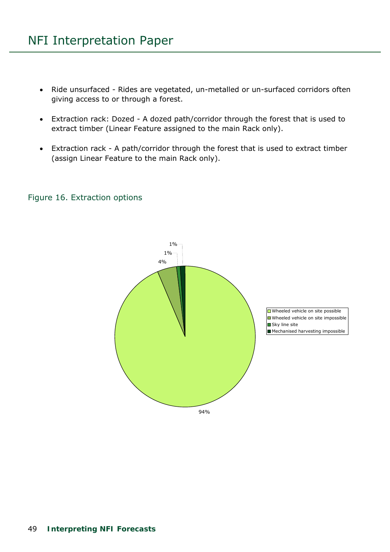- Ride unsurfaced Rides are vegetated, un-metalled or un-surfaced corridors often giving access to or through a forest.
- Extraction rack: Dozed A dozed path/corridor through the forest that is used to extract timber (Linear Feature assigned to the main Rack only).
- Extraction rack A path/corridor through the forest that is used to extract timber (assign Linear Feature to the main Rack only).

#### Figure 16. Extraction options

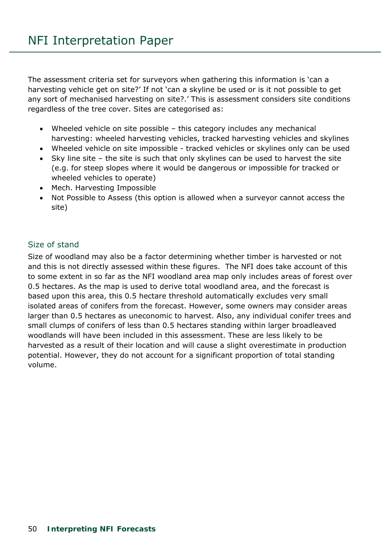The assessment criteria set for surveyors when gathering this information is 'can a harvesting vehicle get on site?' If not 'can a skyline be used or is it not possible to get any sort of mechanised harvesting on site?.' This is assessment considers *site* conditions regardless of the tree cover. Sites are categorised as:

- Wheeled vehicle on site possible this category includes *any* mechanical harvesting: wheeled harvesting vehicles, tracked harvesting vehicles and skylines
- Wheeled vehicle on site impossible tracked vehicles or skylines only can be used
- Sky line site the site is such that only skylines can be used to harvest the site (e.g. for steep slopes where it would be dangerous or impossible for tracked or wheeled vehicles to operate)
- Mech. Harvesting Impossible
- Not Possible to Assess (this option is allowed when a surveyor cannot access the site)

### Size of stand

Size of woodland may also be a factor determining whether timber is harvested or not and this is not directly assessed within these figures. The NFI does take account of this to some extent in so far as the NFI woodland area map only includes areas of forest over 0.5 hectares. As the map is used to derive total woodland area, and the forecast is based upon this area, this 0.5 hectare threshold automatically excludes very small isolated areas of conifers from the forecast. However, some owners may consider areas larger than 0.5 hectares as uneconomic to harvest. Also, any individual conifer trees and small clumps of conifers of less than 0.5 hectares standing within larger broadleaved woodlands will have been included in this assessment. These are less likely to be harvested as a result of their location and will cause a slight overestimate in production potential. However, they do not account for a significant proportion of total standing volume.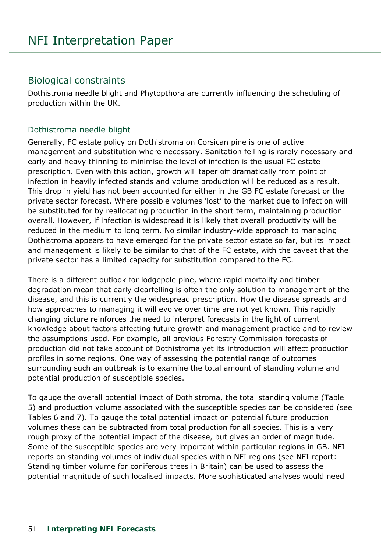## Biological constraints

Dothistroma needle blight and Phytopthora are currently influencing the scheduling of production within the UK.

#### Dothistroma needle blight

Generally, FC estate policy on Dothistroma on Corsican pine is one of active management and substitution where necessary. Sanitation felling is rarely necessary and early and heavy thinning to minimise the level of infection is the usual FC estate prescription. Even with this action, growth will taper off dramatically from point of infection in heavily infected stands and volume production will be reduced as a result. This drop in yield has not been accounted for either in the GB FC estate forecast or the private sector forecast. Where possible volumes 'lost' to the market due to infection will be substituted for by reallocating production in the short term, maintaining production overall. However, if infection is widespread it is likely that overall productivity will be reduced in the medium to long term. No similar industry-wide approach to managing Dothistroma appears to have emerged for the private sector estate so far, but its impact and management is likely to be similar to that of the FC estate, with the caveat that the private sector has a limited capacity for substitution compared to the FC.

There is a different outlook for lodgepole pine, where rapid mortality and timber degradation mean that early clearfelling is often the only solution to management of the disease, and this is currently the widespread prescription. How the disease spreads and how approaches to managing it will evolve over time are not yet known. This rapidly changing picture reinforces the need to interpret forecasts in the light of current knowledge about factors affecting future growth and management practice and to review the assumptions used. For example, all previous Forestry Commission forecasts of production did not take account of Dothistroma yet its introduction will affect production profiles in some regions. One way of assessing the potential range of outcomes surrounding such an outbreak is to examine the total amount of standing volume and potential production of susceptible species.

To gauge the overall potential impact of Dothistroma, the total standing volume (Table 5) and production volume associated with the susceptible species can be considered (see Tables 6 and 7). To gauge the total potential impact on potential future production volumes these can be subtracted from total production for all species. This is a very rough proxy of the potential impact of the disease, but gives an order of magnitude. Some of the susceptible species are very important within particular regions in GB. NFI reports on standing volumes of individual species within NFI regions (see NFI report: *Standing timber volume for coniferous trees in Britain*) can be used to assess the potential magnitude of such localised impacts. More sophisticated analyses would need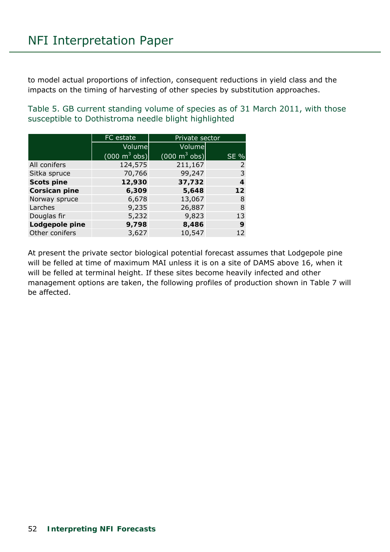to model actual proportions of infection, consequent reductions in yield class and the impacts on the timing of harvesting of other species by substitution approaches.

Table 5. GB current standing volume of species as of 31 March 2011, with those susceptible to Dothistroma needle blight highlighted

|                      | FC estate                       | Private sector                  |                 |
|----------------------|---------------------------------|---------------------------------|-----------------|
|                      | Volume                          | Volume                          |                 |
|                      | $(000 \text{ m}^3 \text{ obs})$ | $(000 \text{ m}^3 \text{ obs})$ | <b>SE %</b>     |
| All conifers         | 124,575                         | 211,167                         | 2               |
| Sitka spruce         | 70,766                          | 99,247                          | 3               |
| <b>Scots pine</b>    | 12,930                          | 37,732                          | 4               |
| <b>Corsican pine</b> | 6,309                           | 5,648                           | 12 <sub>2</sub> |
| Norway spruce        | 6,678                           | 13,067                          | 8               |
| Larches              | 9,235                           | 26,887                          | 8               |
| Douglas fir          | 5,232                           | 9,823                           | 13              |
| Lodgepole pine       | 9,798                           | 8,486                           | 9               |
| Other conifers       | 3,627                           | 10,547                          | 12              |

At present the private sector biological potential forecast assumes that Lodgepole pine will be felled at time of maximum MAI unless it is on a site of DAMS above 16, when it will be felled at terminal height. If these sites become heavily infected and other management options are taken, the following profiles of production shown in Table 7 will be affected.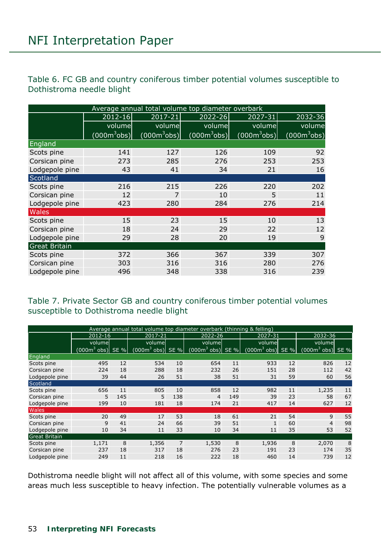Table 6. FC GB and country coniferous timber potential volumes susceptible to Dothistroma needle blight

|                      | Average annual total volume top diameter overbark |                |                |                |                |  |  |  |  |  |  |  |  |
|----------------------|---------------------------------------------------|----------------|----------------|----------------|----------------|--|--|--|--|--|--|--|--|
|                      | 2012-16                                           | $2017 - 21$    | 2022-26        | 2027-31        | 2032-36        |  |  |  |  |  |  |  |  |
|                      | volume                                            | volume         | volume         | volume         | volume         |  |  |  |  |  |  |  |  |
|                      | (000 <sup>m3</sup> obs)                           | $(000m^3$ obs) | $(000m^3$ obs) | $(000m^3$ obs) | $(000m^3$ obs) |  |  |  |  |  |  |  |  |
| England              |                                                   |                |                |                |                |  |  |  |  |  |  |  |  |
| Scots pine           | 141                                               | 127            | 126            | 109            | 92             |  |  |  |  |  |  |  |  |
| Corsican pine        | 273                                               | 285            | 276            | 253            | 253            |  |  |  |  |  |  |  |  |
| Lodgepole pine       | 43                                                | 41             | 34             | 21             | 16             |  |  |  |  |  |  |  |  |
| Scotland             |                                                   |                |                |                |                |  |  |  |  |  |  |  |  |
| Scots pine           | 216                                               | 215            | 226            | 220            | 202            |  |  |  |  |  |  |  |  |
| Corsican pine        | 12                                                | 7              | 10             | 5              | 11             |  |  |  |  |  |  |  |  |
| Lodgepole pine       | 423                                               | 280            | 284            | 276            | 214            |  |  |  |  |  |  |  |  |
| <b>Wales</b>         |                                                   |                |                |                |                |  |  |  |  |  |  |  |  |
| Scots pine           | 15                                                | 23             | 15             | 10             | 13             |  |  |  |  |  |  |  |  |
| Corsican pine        | 18                                                | 24             | 29             | 22             | 12             |  |  |  |  |  |  |  |  |
| Lodgepole pine       | 29                                                | 28             | 20             | 19             | 9              |  |  |  |  |  |  |  |  |
| <b>Great Britain</b> |                                                   |                |                |                |                |  |  |  |  |  |  |  |  |
| Scots pine           | 372                                               | 366            | 367            | 339            | 307            |  |  |  |  |  |  |  |  |
| Corsican pine        | 303                                               | 316            | 316            | 280            | 276            |  |  |  |  |  |  |  |  |
| Lodgepole pine       | 496                                               | 348            | 338            | 316            | 239            |  |  |  |  |  |  |  |  |

Table 7. Private Sector GB and country coniferous timber potential volumes susceptible to Dothistroma needle blight

|                      |                    |     | Average annual total volume top diameter overbark (thinning & felling) |                |                             |     |                    |    |                    |    |
|----------------------|--------------------|-----|------------------------------------------------------------------------|----------------|-----------------------------|-----|--------------------|----|--------------------|----|
|                      | 2012-16            |     | 2017-21                                                                |                | 2022-26                     |     | 2027-31            |    | 2032-36            |    |
|                      | volume             |     | volume                                                                 |                | volume                      |     | volume             |    | volumel            |    |
|                      | $(000m3$ obs) SE % |     | $(0003$ obs) SE %                                                      |                | $(000m^3 \text{ obs})$ SE % |     | $(000m3$ obs) SE % |    | $(000m3$ obs) SE % |    |
| England              |                    |     |                                                                        |                |                             |     |                    |    |                    |    |
| Scots pine           | 495                | 12  | 534                                                                    | 10             | 654                         | 11  | 933                | 12 | 826                | 12 |
| Corsican pine        | 224                | 18  | 288                                                                    | 18             | 232                         | 26  | 151                | 28 | 112                | 42 |
| Lodgepole pine       | 39                 | 44  | 26                                                                     | 51             | 38                          | 51  | 31                 | 59 | 60                 | 56 |
| Scotland             |                    |     |                                                                        |                |                             |     |                    |    |                    |    |
| Scots pine           | 656                | 11  | 805                                                                    | 10             | 858                         | 12  | 982                | 11 | 1,235              | 11 |
| Corsican pine        | 5                  | 145 | 5                                                                      | 138            | $\overline{4}$              | 149 | 39                 | 23 | 58                 | 67 |
| Lodgepole pine       | 199                | 10  | 181                                                                    | 18             | 174                         | 21  | 417                | 14 | 627                | 12 |
| Wales                |                    |     |                                                                        |                |                             |     |                    |    |                    |    |
| Scots pine           | 20                 | 49  | 17                                                                     | 53             | 18                          | 61  | 21                 | 54 | 9                  | 55 |
| Corsican pine        | 9                  | 41  | 24                                                                     | 66             | 39                          | 51  | $\mathbf{1}$       | 60 | $\overline{4}$     | 98 |
| Lodgepole pine       | 10                 | 34  | 11                                                                     | 33             | 10                          | 34  | 11                 | 35 | 53                 | 52 |
| <b>Great Britain</b> |                    |     |                                                                        |                |                             |     |                    |    |                    |    |
| Scots pine           | 1,171              | 8   | 1,356                                                                  | $\overline{7}$ | 1,530                       | 8   | 1,936              | 8  | 2,070              | 8  |
| Corsican pine        | 237                | 18  | 317                                                                    | 18             | 276                         | 23  | 191                | 23 | 174                | 35 |
| Lodgepole pine       | 249                | 11  | 218                                                                    | 16             | 222                         | 18  | 460                | 14 | 739                | 12 |

Dothistroma needle blight will not affect all of this volume, with some species and some areas much less susceptible to heavy infection. The potentially vulnerable volumes as a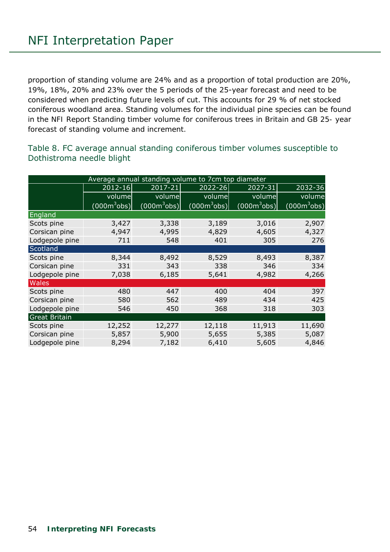proportion of standing volume are 24% and as a proportion of total production are 20%, 19%, 18%, 20% and 23% over the 5 periods of the 25-year forecast and need to be considered when predicting future levels of cut. This accounts for 29 % of net stocked coniferous woodland area. Standing volumes for the individual pine species can be found in the *NFI Report Standing timber volume for coniferous trees in Britain* and *GB 25- year forecast of standing volume and increment.* 

Table 8. FC average annual standing coniferous timber volumes susceptible to Dothistroma needle blight

|                      |                |                | Average annual standing volume to 7cm top diameter |                |                |
|----------------------|----------------|----------------|----------------------------------------------------|----------------|----------------|
|                      | $2012 - 16$    | $2017 - 21$    | 2022-26                                            | 2027-31        | 2032-36        |
|                      | volume         | volume         | volume                                             | volume         | volume         |
|                      | $(000m^3$ obs) | $(000m^3$ obs) | $(000m^3$ obs)                                     | $(000m^3$ obs) | $(000m^3$ obs) |
| England              |                |                |                                                    |                |                |
| Scots pine           | 3,427          | 3,338          | 3,189                                              | 3,016          | 2,907          |
| Corsican pine        | 4,947          | 4,995          | 4,829                                              | 4,605          | 4,327          |
| Lodgepole pine       | 711            | 548            | 401                                                | 305            | 276            |
| Scotland             |                |                |                                                    |                |                |
| Scots pine           | 8,344          | 8,492          | 8,529                                              | 8,493          | 8,387          |
| Corsican pine        | 331            | 343            | 338                                                | 346            | 334            |
| Lodgepole pine       | 7,038          | 6,185          | 5,641                                              | 4,982          | 4,266          |
| Wales                |                |                |                                                    |                |                |
| Scots pine           | 480            | 447            | 400                                                | 404            | 397            |
| Corsican pine        | 580            | 562            | 489                                                | 434            | 425            |
| Lodgepole pine       | 546            | 450            | 368                                                | 318            | 303            |
| <b>Great Britain</b> |                |                |                                                    |                |                |
| Scots pine           | 12,252         | 12,277         | 12,118                                             | 11,913         | 11,690         |
| Corsican pine        | 5,857          | 5,900          | 5,655                                              | 5,385          | 5,087          |
| Lodgepole pine       | 8,294          | 7,182          | 6,410                                              | 5,605          | 4,846          |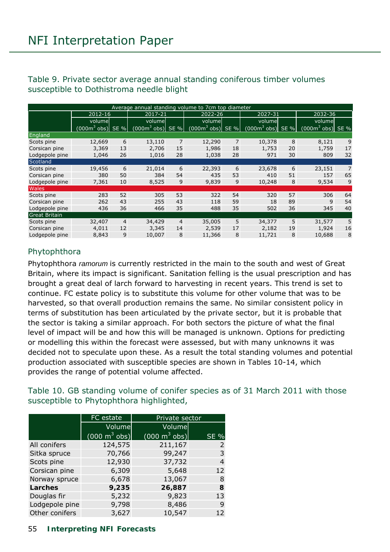#### Table 9. Private sector average annual standing coniferous timber volumes susceptible to Dothistroma needle blight

|                      | Average annual standing volume to 7cm top diameter |                |                     |                |                     |                |                     |    |                     |                |  |  |
|----------------------|----------------------------------------------------|----------------|---------------------|----------------|---------------------|----------------|---------------------|----|---------------------|----------------|--|--|
|                      | 2012-16                                            |                | 2017-21             |                | 2022-26             |                | 2027-31             |    | 2032-36             |                |  |  |
|                      | volume                                             |                | volumel             |                | volumel             |                | volumel             |    | volumel             |                |  |  |
|                      | $(0003$ obs) SE %                                  |                | $(000m^3$ obs) SE % |                | $(000m^3$ obs) SE % |                | $(000m^3$ obs) SE % |    | $(000m^3$ obs) SE % |                |  |  |
| England              |                                                    |                |                     |                |                     |                |                     |    |                     |                |  |  |
| Scots pine           | 12,669                                             | 6              | 13,110              | $\overline{7}$ | 12,290              | $\overline{7}$ | 10,378              | 8  | 8,121               | 9              |  |  |
| Corsican pine        | 3,369                                              | 13             | 2,706               | 15             | 1,986               | 18             | 1,753               | 20 | 1,759               | 17             |  |  |
| Lodgepole pine       | 1,046                                              | 26             | 1,016               | 28             | 1,038               | 28             | 971                 | 30 | 809                 | 32             |  |  |
| Scotland             |                                                    |                |                     |                |                     |                |                     |    |                     |                |  |  |
| Scots pine           | 19,456                                             | 6              | 21,014              | 6              | 22,393              | 6              | 23,678              | 6  | 23,151              | $\overline{7}$ |  |  |
| Corsican pine        | 380                                                | 50             | 384                 | 54             | 435                 | 53             | 410                 | 51 | 157                 | 65             |  |  |
| Lodgepole pine       | 7,361                                              | 10             | 8,525               | 9              | 9,839               | 9              | 10,248              | 8  | 9,534               | 9              |  |  |
| Wales                |                                                    |                |                     |                |                     |                |                     |    |                     |                |  |  |
| Scots pine           | 283                                                | 52             | 305                 | 53             | 322                 | 54             | 320                 | 57 | 306                 | 64             |  |  |
| Corsican pine        | 262                                                | 43             | 255                 | 43             | 118                 | 59             | 18                  | 89 | 9                   | 54             |  |  |
| Lodgepole pine       | 436                                                | 36             | 466                 | 35             | 488                 | 35             | 502                 | 36 | 345                 | 40             |  |  |
| <b>Great Britain</b> |                                                    |                |                     |                |                     |                |                     |    |                     |                |  |  |
| Scots pine           | 32,407                                             | $\overline{4}$ | 34,429              | $\overline{4}$ | 35,005              | 5              | 34,377              | 5  | 31,577              | 5              |  |  |
| Corsican pine        | 4,011                                              | 12             | 3,345               | 14             | 2,539               | 17             | 2,182               | 19 | 1,924               | 16             |  |  |
| Lodgepole pine       | 8,843                                              | 9              | 10,007              | 8              | 11,366              | 8              | 11,721              | 8  | 10,688              | 8              |  |  |

### Phytophthora

*Phytophthora ramorum* is currently restricted in the main to the south and west of Great Britain, where its impact is significant. Sanitation felling is the usual prescription and has brought a great deal of larch forward to harvesting in recent years. This trend is set to continue. FC estate policy is to substitute this volume for other volume that was to be harvested, so that overall production remains the same. No similar consistent policy in terms of substitution has been articulated by the private sector, but it is probable that the sector is taking a similar approach. For both sectors the picture of what the final level of impact will be and how this will be managed is unknown. Options for predicting or modelling this within the forecast were assessed, but with many unknowns it was decided not to speculate upon these. As a result the total standing volumes and potential production associated with susceptible species are shown in Tables 10-14, which provides the range of potential volume affected.

Table 10. GB standing volume of conifer species as of 31 March 2011 with those susceptible to Phytophthora highlighted,

|                | FC estate                       | Private sector                  |                |
|----------------|---------------------------------|---------------------------------|----------------|
|                | Volume                          | Volume                          |                |
|                | $(000 \text{ m}^3 \text{ obs})$ | $(000 \text{ m}^3 \text{ obs})$ | <b>SE %</b>    |
| All conifers   | 124,575                         | 211,167                         | 2              |
| Sitka spruce   | 70,766                          | 99,247                          | 3              |
| Scots pine     | 12,930                          | 37,732                          | $\overline{4}$ |
| Corsican pine  | 6,309                           | 5,648                           | 12             |
| Norway spruce  | 6,678                           | 13,067                          | 8              |
| Larches        | 9,235                           | 26,887                          | 8              |
| Douglas fir    | 5,232                           | 9,823                           | 13             |
| Lodgepole pine | 9,798                           | 8,486                           | 9              |
| Other conifers | 3,627                           | 10,547                          | 12             |

#### 55 **Interpreting NFI Forecasts**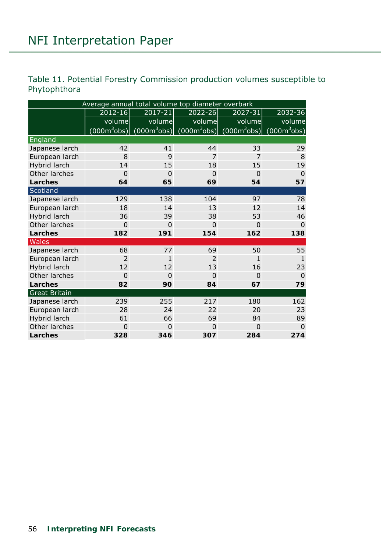## Table 11. Potential Forestry Commission production volumes susceptible to Phytophthora

|                      | Average annual total volume top diameter overbark |                |                                              |                |                |  |  |  |  |  |  |  |
|----------------------|---------------------------------------------------|----------------|----------------------------------------------|----------------|----------------|--|--|--|--|--|--|--|
|                      | $2012 - 16$                                       | $2017 - 21$    | 2022-26                                      | 2027-31        | 2032-36        |  |  |  |  |  |  |  |
|                      | volume                                            | volume         | volume                                       | volume         | volume         |  |  |  |  |  |  |  |
|                      | (000 <sup>3</sup> obs)                            |                | $(000m^3$ obs) $(000m^3$ obs) $(000m^3$ obs) |                | $(000m^3$ obs) |  |  |  |  |  |  |  |
| England              |                                                   |                |                                              |                |                |  |  |  |  |  |  |  |
| Japanese larch       | 42                                                | 41             | 44                                           | 33             | 29             |  |  |  |  |  |  |  |
| European larch       | 8                                                 | 9              | $\overline{7}$                               | $\overline{7}$ | 8              |  |  |  |  |  |  |  |
| Hybrid larch         | 14                                                | 15             | 18                                           | 15             | 19             |  |  |  |  |  |  |  |
| Other larches        | $\mathbf 0$                                       | $\overline{0}$ | $\mathbf 0$                                  | $\overline{0}$ | $\overline{0}$ |  |  |  |  |  |  |  |
| Larches              | 64                                                | 65             | 69                                           | 54             | 57             |  |  |  |  |  |  |  |
| Scotland             |                                                   |                |                                              |                |                |  |  |  |  |  |  |  |
| Japanese larch       | 129                                               | 138            | 104                                          | 97             | 78             |  |  |  |  |  |  |  |
| European larch       | 18                                                | 14             | 13                                           | 12             | 14             |  |  |  |  |  |  |  |
| Hybrid larch         | 36                                                | 39             | 38                                           | 53             | 46             |  |  |  |  |  |  |  |
| Other larches        | $\mathbf 0$                                       | $\mathbf 0$    | $\mathbf 0$                                  | $\mathbf 0$    | $\overline{0}$ |  |  |  |  |  |  |  |
| Larches              | 182                                               | 191            | 154                                          | 162            | 138            |  |  |  |  |  |  |  |
| Wales                |                                                   |                |                                              |                |                |  |  |  |  |  |  |  |
| Japanese larch       | 68                                                | 77             | 69                                           | 50             | 55             |  |  |  |  |  |  |  |
| European larch       | $\overline{2}$                                    | $\mathbf{1}$   | $\overline{2}$                               | $\mathbf{1}$   | $\mathbf{1}$   |  |  |  |  |  |  |  |
| Hybrid larch         | 12                                                | 12             | 13                                           | 16             | 23             |  |  |  |  |  |  |  |
| Other larches        | $\overline{0}$                                    | $\overline{0}$ | $\overline{0}$                               | $\overline{0}$ | $\overline{0}$ |  |  |  |  |  |  |  |
| Larches              | 82                                                | 90             | 84                                           | 67             | 79             |  |  |  |  |  |  |  |
| <b>Great Britain</b> |                                                   |                |                                              |                |                |  |  |  |  |  |  |  |
| Japanese larch       | 239                                               | 255            | 217                                          | 180            | 162            |  |  |  |  |  |  |  |
| European larch       | 28                                                | 24             | 22                                           | 20             | 23             |  |  |  |  |  |  |  |
| Hybrid larch         | 61                                                | 66             | 69                                           | 84             | 89             |  |  |  |  |  |  |  |
| Other larches        | 0                                                 | 0              | $\mathbf 0$                                  | $\mathbf 0$    | $\Omega$       |  |  |  |  |  |  |  |
| <b>Larches</b>       | 328                                               | 346            | 307                                          | 284            | 274            |  |  |  |  |  |  |  |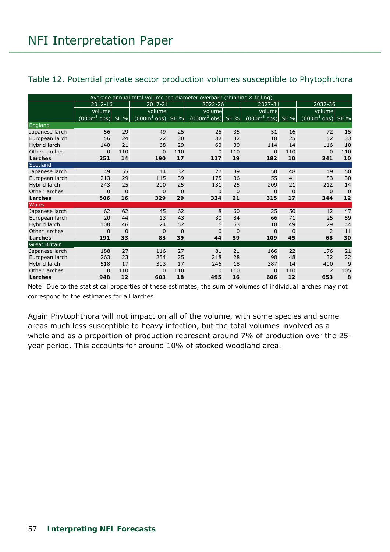#### Table 12. Potential private sector production volumes susceptible to Phytophthora

|                      | Average annual total volume top diameter overbark (thinning & felling) |          |                             |          |                     |             |                    |          |                     |             |
|----------------------|------------------------------------------------------------------------|----------|-----------------------------|----------|---------------------|-------------|--------------------|----------|---------------------|-------------|
|                      | 2012-16                                                                |          | 2017-21                     |          | 2022-26             |             | 2027-31            |          | 2032-36             |             |
|                      | volume                                                                 |          | volume                      |          | volume              |             | volume             |          | volume              |             |
|                      | $(000m^3$ obs) SE %                                                    |          | $(000m^3 \text{ obs})$ SE % |          | $(000m^3$ obs) SE % |             | $(000m3$ obs) SE % |          | $(000m^3$ obs) SE % |             |
| England              |                                                                        |          |                             |          |                     |             |                    |          |                     |             |
| Japanese larch       | 56                                                                     | 29       | 49                          | 25       | 25                  | 35          | 51                 | 16       | 72                  | 15          |
| European larch       | 56                                                                     | 24       | 72                          | 30       | 32                  | 32          | 18                 | 25       | 52                  | 33          |
| Hybrid larch         | 140                                                                    | 21       | 68                          | 29       | 60                  | 30          | 114                | 14       | 116                 | 10          |
| Other larches        | $\mathbf 0$                                                            | 110      | $\mathbf{0}$                | 110      | 0                   | 110         | $\Omega$           | 110      | $\mathbf{0}$        | 110         |
| Larches              | 251                                                                    | 14       | 190                         | 17       | 117                 | 19          | 182                | 10       | 241                 | 10          |
| Scotland             |                                                                        |          |                             |          |                     |             |                    |          |                     |             |
| Japanese larch       | 49                                                                     | 55       | 14                          | 32       | 27                  | 39          | 50                 | 48       | 49                  | 50          |
| European larch       | 213                                                                    | 29       | 115                         | 39       | 175                 | 36          | 55                 | 41       | 83                  | 30          |
| Hybrid larch         | 243                                                                    | 25       | 200                         | 25       | 131                 | 25          | 209                | 21       | 212                 | 14          |
| Other larches        | $\mathbf 0$                                                            | 0        | $\mathbf{0}$                | $\Omega$ | 0                   | 0           | $\Omega$           | $\Omega$ | $\mathbf{0}$        | $\mathbf 0$ |
| Larches              | 506                                                                    | 16       | 329                         | 29       | 334                 | 21          | 315                | 17       | 344                 | 12          |
| <b>Wales</b>         |                                                                        |          |                             |          |                     |             |                    |          |                     |             |
| Japanese larch       | 62                                                                     | 62       | 45                          | 62       | 8                   | 60          | 25                 | 50       | 12                  | 47          |
| European larch       | 20                                                                     | 44       | 13                          | 43       | 30                  | 84          | 66                 | 71       | 25                  | 59          |
| Hybrid larch         | 108                                                                    | 46       | 24                          | 62       | 6                   | 63          | 18                 | 49       | 29                  | 44          |
| Other larches        | $\mathbf 0$                                                            | $\Omega$ | $\Omega$                    | $\Omega$ | 0                   | $\mathbf 0$ | $\Omega$           | $\Omega$ | $\overline{2}$      | 111         |
| Larches              | 191                                                                    | 33       | 83                          | 39       | 44                  | 59          | 109                | 45       | 68                  | 30          |
| <b>Great Britain</b> |                                                                        |          |                             |          |                     |             |                    |          |                     |             |
| Japanese larch       | 188                                                                    | 27       | 116                         | 27       | 81                  | 21          | 166                | 22       | 176                 | 21          |
| European larch       | 263                                                                    | 23       | 254                         | 25       | 218                 | 28          | 98                 | 48       | 132                 | 22          |
| Hybrid larch         | 518                                                                    | 17       | 303                         | 17       | 246                 | 18          | 387                | 14       | 400                 | 9           |
| Other larches        | $\mathbf 0$                                                            | 110      | $\Omega$                    | 110      | 0                   | 110         | $\Omega$           | 110      | 2                   | 105         |
| Larches              | 948                                                                    | 12       | 603                         | 18       | 495                 | 16          | 606                | 12       | 653                 | 8           |

Note: Due to the statistical properties of these estimates, the sum of volumes of individual larches may not correspond to the estimates for all larches

Again Phytophthora will not impact on all of the volume, with some species and some areas much less susceptible to heavy infection, but the total volumes involved as a whole and as a proportion of production represent around 7% of production over the 25 year period. This accounts for around 10% of stocked woodland area.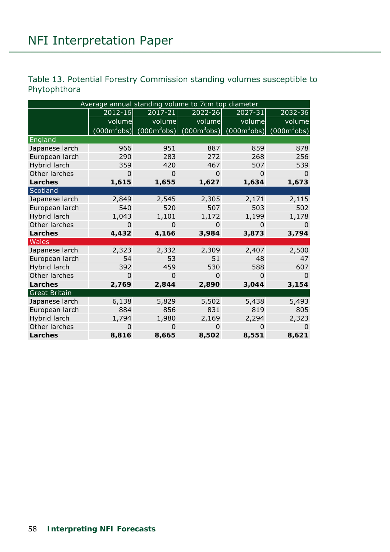## Table 13. Potential Forestry Commission standing volumes susceptible to Phytophthora

|                      | Average annual standing volume to 7cm top diameter |                |                               |                |                |
|----------------------|----------------------------------------------------|----------------|-------------------------------|----------------|----------------|
|                      | 2012-16                                            | 2017-21        | 2022-26                       | 2027-31        | 2032-36        |
|                      | volume                                             | volume         | volume                        | volume         | volume         |
|                      | $(000m^3$ obs)                                     |                | $(000m^3$ obs) $(000m^3$ obs) | $(000m^3$ obs) | $(000m^3$ obs) |
| England              |                                                    |                |                               |                |                |
| Japanese larch       | 966                                                | 951            | 887                           | 859            | 878            |
| European larch       | 290                                                | 283            | 272                           | 268            | 256            |
| Hybrid larch         | 359                                                | 420            | 467                           | 507            | 539            |
| Other larches        | $\Omega$                                           | $\overline{0}$ | 0                             | $\Omega$       | $\Omega$       |
| Larches              | 1,615                                              | 1,655          | 1,627                         | 1,634          | 1,673          |
| Scotland             |                                                    |                |                               |                |                |
| Japanese larch       | 2,849                                              | 2,545          | 2,305                         | 2,171          | 2,115          |
| European larch       | 540                                                | 520            | 507                           | 503            | 502            |
| Hybrid larch         | 1,043                                              | 1,101          | 1,172                         | 1,199          | 1,178          |
| Other larches        | $\mathbf{0}$                                       | $\overline{0}$ | $\mathbf 0$                   | 0              | $\Omega$       |
| Larches              | 4,432                                              | 4,166          | 3,984                         | 3,873          | 3,794          |
| <b>Wales</b>         |                                                    |                |                               |                |                |
| Japanese larch       | 2,323                                              | 2,332          | 2,309                         | 2,407          | 2,500          |
| European larch       | 54                                                 | 53             | 51                            | 48             | 47             |
| Hybrid larch         | 392                                                | 459            | 530                           | 588            | 607            |
| Other larches        | $\Omega$                                           | $\Omega$       | $\Omega$                      | $\Omega$       | $\Omega$       |
| Larches              | 2,769                                              | 2,844          | 2,890                         | 3,044          | 3,154          |
| <b>Great Britain</b> |                                                    |                |                               |                |                |
| Japanese larch       | 6,138                                              | 5,829          | 5,502                         | 5,438          | 5,493          |
| European larch       | 884                                                | 856            | 831                           | 819            | 805            |
| Hybrid larch         | 1,794                                              | 1,980          | 2,169                         | 2,294          | 2,323          |
| Other larches        | $\Omega$                                           | $\overline{0}$ | 0                             | $\Omega$       | $\Omega$       |
| Larches              | 8,816                                              | 8,665          | 8,502                         | 8,551          | 8,621          |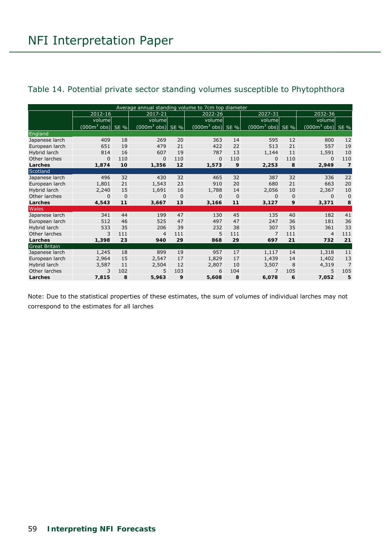|                      |                   |             | Average annual standing volume to 7cm top diameter |             |                     |         |                     |                |                             |                |
|----------------------|-------------------|-------------|----------------------------------------------------|-------------|---------------------|---------|---------------------|----------------|-----------------------------|----------------|
|                      | 2012-16           |             | 2017-21                                            |             | 2022-26             |         | 2027-31             |                | 2032-36                     |                |
|                      | volume            |             | volume                                             |             | volume              |         | volume              |                | volume                      |                |
|                      | $(0003$ obs) SE % |             | $(0003$ obs)                                       | SE %        | $(000m^3$ obs) SE % |         | $(000m^3$ obs) SE % |                | $(000m^3 \text{ obs})$ SE % |                |
| England              |                   |             |                                                    |             |                     |         |                     |                |                             |                |
| Japanese larch       | 409               | 18          | 269                                                | 20          | 363                 | 14      | 595                 | 12             | 800                         | 12             |
| European larch       | 651               | 19          | 479                                                | 21          | 422                 | 22      | 513                 | 21             | 557                         | 19             |
| Hybrid larch         | 814               | 16          | 607                                                | 19          | 787                 | 13      | 1,144               | 11             | 1,591                       | 10             |
| Other larches        | $\mathbf 0$       | 110         | $\Omega$                                           | 110         | $\mathbf{0}$        | 110     | $\Omega$            | 110            | $\Omega$                    | 110            |
| Larches              | 1,874             | 10          | 1,356                                              | 12          | 1,573               | 9       | 2,253               | 8              | 2,949                       | $\overline{7}$ |
| Scotland             |                   |             |                                                    |             |                     |         |                     |                |                             |                |
| Japanese larch       | 496               | 32          | 430                                                | 32          | 465                 | 32      | 387                 | 32             | 336                         | 22             |
| European larch       | 1,801             | 21          | 1,543                                              | 23          | 910                 | 20      | 680                 | 21             | 663                         | 20             |
| Hybrid larch         | 2,240             | 15          | 1,691                                              | 16          | 1,788               | 14      | 2,056               | 10             | 2,367                       | 10             |
| Other larches        | $\mathbf 0$       | $\mathbf 0$ | $\mathbf{0}$                                       | $\mathbf 0$ | $\mathbf{0}$        | $\bf 0$ | $\Omega$            | $\overline{0}$ | $\mathbf{0}$                | $\mathbf 0$    |
| Larches              | 4,543             | 11          | 3,667                                              | 13          | 3,166               | 11      | 3,127               | 9              | 3,371                       | 8              |
| Wales                |                   |             |                                                    |             |                     |         |                     |                |                             |                |
| Japanese larch       | 341               | 44          | 199                                                | 47          | 130                 | 45      | 135                 | 40             | 182                         | 41             |
| European larch       | 512               | 46          | 525                                                | 47          | 497                 | 47      | 247                 | 36             | 181                         | 36             |
| Hybrid larch         | 533               | 35          | 206                                                | 39          | 232                 | 38      | 307                 | 35             | 361                         | 33             |
| Other larches        | 3                 | 111         | $\overline{4}$                                     | 111         | 5                   | 111     | $\overline{7}$      | 111            | $\overline{4}$              | 111            |
| Larches              | 1,398             | 23          | 940                                                | 29          | 868                 | 29      | 697                 | 21             | 732                         | 21             |
| <b>Great Britain</b> |                   |             |                                                    |             |                     |         |                     |                |                             |                |
| Japanese larch       | 1,245             | 18          | 899                                                | 19          | 957                 | 17      | 1,117               | 14             | 1,318                       | 11             |
| European larch       | 2,964             | 15          | 2,547                                              | 17          | 1,829               | 17      | 1,439               | 14             | 1,402                       | 13             |
| Hybrid larch         | 3,587             | 11          | 2,504                                              | 12          | 2,807               | 10      | 3,507               | 8              | 4,319                       | $\overline{7}$ |
| Other larches        | 3                 | 102         | 5                                                  | 103         | 6                   | 104     | $\overline{7}$      | 105            | 5                           | 105            |
| Larches              | 7,815             | 8           | 5,963                                              | 9           | 5,608               | 8       | 6.078               | 6              | 7,052                       | 5              |

### Table 14. Potential private sector standing volumes susceptible to Phytophthora

Note: Due to the statistical properties of these estimates, the sum of volumes of individual larches may not correspond to the estimates for all larches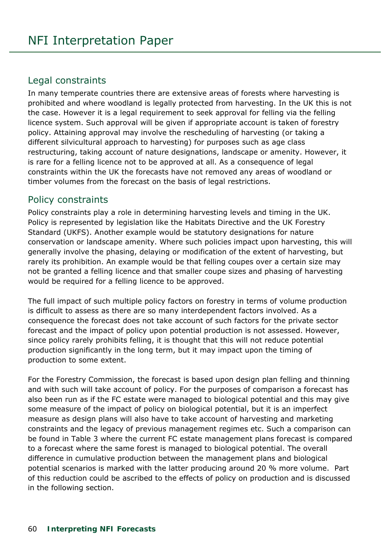## Legal constraints

In many temperate countries there are extensive areas of forests where harvesting is prohibited and where woodland is legally protected from harvesting. In the UK this is not the case. However it is a legal requirement to seek approval for felling via the felling licence system. Such approval will be given if appropriate account is taken of forestry policy. Attaining approval may involve the rescheduling of harvesting (or taking a different silvicultural approach to harvesting) for purposes such as age class restructuring, taking account of nature designations, landscape or amenity. However, it is rare for a felling licence not to be approved at all. As a consequence of legal constraints within the UK the forecasts have not removed any areas of woodland or timber volumes from the forecast on the basis of legal restrictions.

## Policy constraints

Policy constraints play a role in determining harvesting levels and timing in the UK. Policy is represented by legislation like the Habitats Directive and the UK Forestry Standard (UKFS). Another example would be statutory designations for nature conservation or landscape amenity. Where such policies impact upon harvesting, this will generally involve the phasing, delaying or modification of the extent of harvesting, but rarely its prohibition. An example would be that felling coupes over a certain size may not be granted a felling licence and that smaller coupe sizes and phasing of harvesting would be required for a felling licence to be approved.

The full impact of such multiple policy factors on forestry in terms of volume production is difficult to assess as there are so many interdependent factors involved. As a consequence the forecast does not take account of such factors for the private sector forecast and the impact of policy upon potential production is not assessed. However, since policy rarely prohibits felling, it is thought that this will not reduce potential production significantly in the long term, but it may impact upon the timing of production to some extent.

For the Forestry Commission, the forecast is based upon design plan felling and thinning and with such will take account of policy. For the purposes of comparison a forecast has also been run as if the FC estate were managed to biological potential and this may give some measure of the impact of policy on biological potential, but it is an imperfect measure as design plans will also have to take account of harvesting and marketing constraints and the legacy of previous management regimes etc. Such a comparison can be found in Table 3 where the current FC estate management plans forecast is compared to a forecast where the same forest is managed to biological potential. The overall difference in cumulative production between the management plans and biological potential scenarios is marked with the latter producing around 20 % more volume. Part of this reduction could be ascribed to the effects of policy on production and is discussed in the following section.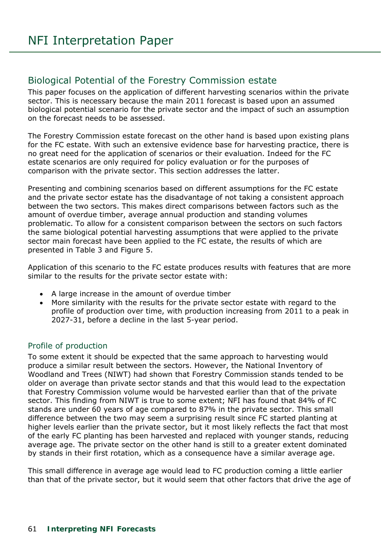## Biological Potential of the Forestry Commission estate

This paper focuses on the application of different harvesting scenarios within the private sector. This is necessary because the main 2011 forecast is based upon an assumed biological potential scenario for the private sector and the impact of such an assumption on the forecast needs to be assessed.

The Forestry Commission estate forecast on the other hand is based upon existing plans for the FC estate. With such an extensive evidence base for harvesting practice, there is no great need for the application of scenarios or their evaluation. Indeed for the FC estate scenarios are only required for policy evaluation or for the purposes of comparison with the private sector. This section addresses the latter.

Presenting and combining scenarios based on different assumptions for the FC estate and the private sector estate has the disadvantage of not taking a consistent approach between the two sectors. This makes direct comparisons between factors such as the amount of overdue timber, average annual production and standing volumes problematic. To allow for a consistent comparison between the sectors on such factors the same biological potential harvesting assumptions that were applied to the private sector main forecast have been applied to the FC estate, the results of which are presented in Table 3 and Figure 5.

Application of this scenario to the FC estate produces results with features that are more similar to the results for the private sector estate with:

- A large increase in the amount of overdue timber
- More similarity with the results for the private sector estate with regard to the profile of production over time, with production increasing from 2011 to a peak in 2027-31, before a decline in the last 5-year period.

#### Profile of production

To some extent it should be expected that the same approach to harvesting would produce a similar result between the sectors. However, the National Inventory of Woodland and Trees (NIWT) had shown that Forestry Commission stands tended to be older on average than private sector stands and that this would lead to the expectation that Forestry Commission volume would be harvested earlier than that of the private sector. This finding from NIWT is true to some extent; NFI has found that 84% of FC stands are under 60 years of age compared to 87% in the private sector. This small difference between the two may seem a surprising result since FC started planting at higher levels earlier than the private sector, but it most likely reflects the fact that most of the early FC planting has been harvested and replaced with younger stands, reducing average age. The private sector on the other hand is still to a greater extent dominated by stands in their first rotation, which as a consequence have a similar average age.

This small difference in average age would lead to FC production coming a little earlier than that of the private sector, but it would seem that other factors that drive the age of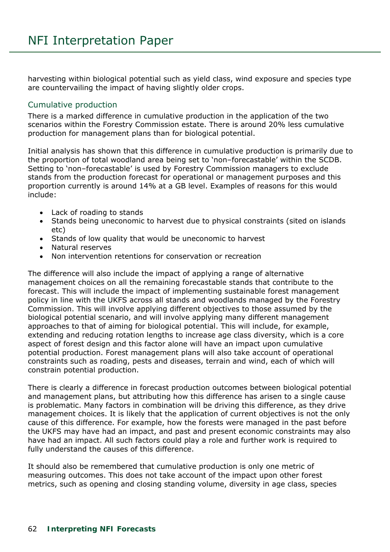harvesting within biological potential such as yield class, wind exposure and species type are countervailing the impact of having slightly older crops.

#### Cumulative production

There is a marked difference in cumulative production in the application of the two scenarios within the Forestry Commission estate. There is around 20% less cumulative production for management plans than for biological potential.

Initial analysis has shown that this difference in cumulative production is primarily due to the proportion of total woodland area being set to 'non–forecastable' within the SCDB. Setting to 'non–forecastable' is used by Forestry Commission managers to exclude stands from the production forecast for operational or management purposes and this proportion currently is around 14% at a GB level. Examples of reasons for this would include:

- Lack of roading to stands
- Stands being uneconomic to harvest due to physical constraints (sited on islands etc)
- Stands of low quality that would be uneconomic to harvest
- Natural reserves
- Non intervention retentions for conservation or recreation

The difference will also include the impact of applying a range of alternative management choices on all the remaining forecastable stands that contribute to the forecast. This will include the impact of implementing sustainable forest management policy in line with the UKFS across all stands and woodlands managed by the Forestry Commission. This will involve applying different objectives to those assumed by the biological potential scenario, and will involve applying many different management approaches to that of aiming for biological potential. This will include, for example, extending and reducing rotation lengths to increase age class diversity, which is a core aspect of forest design and this factor alone will have an impact upon cumulative potential production. Forest management plans will also take account of operational constraints such as roading, pests and diseases, terrain and wind, each of which will constrain potential production.

There is clearly a difference in forecast production outcomes between biological potential and management plans, but attributing how this difference has arisen to a single cause is problematic. Many factors in combination will be driving this difference, as they drive management choices. It is likely that the application of current objectives is not the only cause of this difference. For example, how the forests were managed in the past before the UKFS may have had an impact, and past and present economic constraints may also have had an impact. All such factors could play a role and further work is required to fully understand the causes of this difference.

It should also be remembered that cumulative production is only one metric of measuring outcomes. This does not take account of the impact upon other forest metrics, such as opening and closing standing volume, diversity in age class, species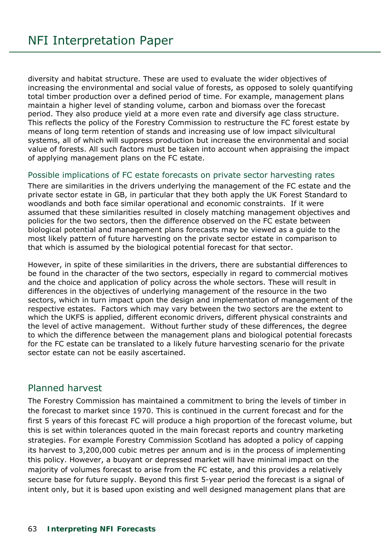diversity and habitat structure. These are used to evaluate the wider objectives of increasing the environmental and social value of forests, as opposed to solely quantifying total timber production over a defined period of time. For example, management plans maintain a higher level of standing volume, carbon and biomass over the forecast period. They also produce yield at a more even rate and diversify age class structure. This reflects the policy of the Forestry Commission to restructure the FC forest estate by means of long term retention of stands and increasing use of low impact silvicultural systems, all of which will suppress production but increase the environmental and social value of forests. All such factors must be taken into account when appraising the impact of applying management plans on the FC estate.

#### Possible implications of FC estate forecasts on private sector harvesting rates

There are similarities in the drivers underlying the management of the FC estate and the private sector estate in GB, in particular that they both apply the UK Forest Standard to woodlands and both face similar operational and economic constraints. If it were assumed that these similarities resulted in closely matching management objectives and policies for the two sectors, then the difference observed on the FC estate between biological potential and management plans forecasts may be viewed as a guide to the most likely pattern of future harvesting on the private sector estate in comparison to that which is assumed by the biological potential forecast for that sector.

However, in spite of these similarities in the drivers, there are substantial differences to be found in the character of the two sectors, especially in regard to commercial motives and the choice and application of policy across the whole sectors. These will result in differences in the objectives of underlying management of the resource in the two sectors, which in turn impact upon the design and implementation of management of the respective estates. Factors which may vary between the two sectors are the extent to which the UKFS is applied, different economic drivers, different physical constraints and the level of active management. Without further study of these differences, the degree to which the difference between the management plans and biological potential forecasts for the FC estate can be translated to a likely future harvesting scenario for the private sector estate can not be easily ascertained.

## Planned harvest

The Forestry Commission has maintained a commitment to bring the levels of timber in the forecast to market since 1970. This is continued in the current forecast and for the first 5 years of this forecast FC will produce a high proportion of the forecast volume, but this is set within tolerances quoted in the main forecast reports and country marketing strategies. For example Forestry Commission Scotland has adopted a policy of capping its harvest to 3,200,000 cubic metres per annum and is in the process of implementing this policy. However, a buoyant or depressed market will have minimal impact on the majority of volumes forecast to arise from the FC estate, and this provides a relatively secure base for future supply. Beyond this first 5-year period the forecast is a signal of intent only, but it is based upon existing and well designed management plans that are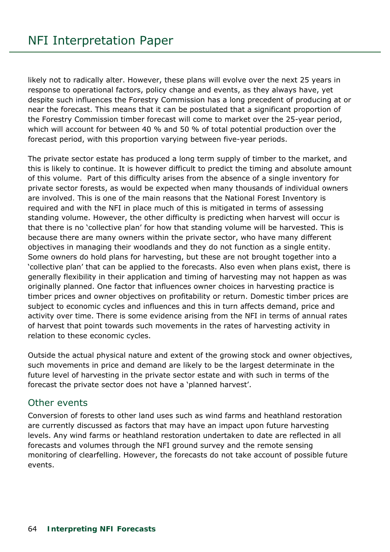likely not to radically alter. However, these plans will evolve over the next 25 years in response to operational factors, policy change and events, as they always have, yet despite such influences the Forestry Commission has a long precedent of producing at or near the forecast. This means that it can be postulated that a significant proportion of the Forestry Commission timber forecast will come to market over the 25-year period, which will account for between 40 % and 50 % of total potential production over the forecast period, with this proportion varying between five-year periods.

The private sector estate has produced a long term supply of timber to the market, and this is likely to continue. It is however difficult to predict the timing and absolute amount of this volume. Part of this difficulty arises from the absence of a single inventory for private sector forests, as would be expected when many thousands of individual owners are involved. This is one of the main reasons that the National Forest Inventory is required and with the NFI in place much of this is mitigated in terms of assessing standing volume. However, the other difficulty is predicting when harvest will occur is that there is no 'collective plan' for how that standing volume will be harvested. This is because there are many owners within the private sector, who have many different objectives in managing their woodlands and they do not function as a single entity. Some owners do hold plans for harvesting, but these are not brought together into a 'collective plan' that can be applied to the forecasts. Also even when plans exist, there is generally flexibility in their application and timing of harvesting may not happen as was originally planned. One factor that influences owner choices in harvesting practice is timber prices and owner objectives on profitability or return. Domestic timber prices are subject to economic cycles and influences and this in turn affects demand, price and activity over time. There is some evidence arising from the NFI in terms of annual rates of harvest that point towards such movements in the rates of harvesting activity in relation to these economic cycles.

Outside the actual physical nature and extent of the growing stock and owner objectives, such movements in price and demand are likely to be the largest determinate in the future level of harvesting in the private sector estate and with such in terms of the forecast the private sector does not have a 'planned harvest'.

## Other events

Conversion of forests to other land uses such as wind farms and heathland restoration are currently discussed as factors that may have an impact upon future harvesting levels. Any wind farms or heathland restoration undertaken to date are reflected in all forecasts and volumes through the NFI ground survey and the remote sensing monitoring of clearfelling. However, the forecasts do not take account of possible future events.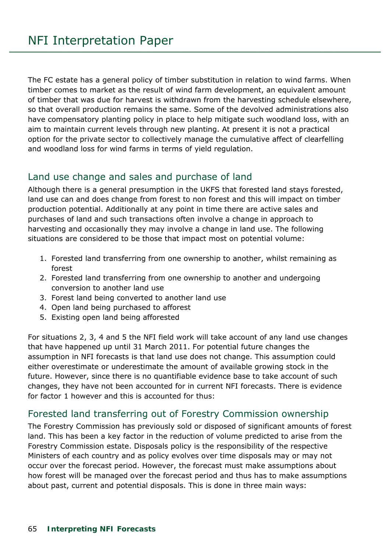The FC estate has a general policy of timber substitution in relation to wind farms. When timber comes to market as the result of wind farm development, an equivalent amount of timber that was due for harvest is withdrawn from the harvesting schedule elsewhere, so that overall production remains the same. Some of the devolved administrations also have compensatory planting policy in place to help mitigate such woodland loss, with an aim to maintain current levels through new planting. At present it is not a practical option for the private sector to collectively manage the cumulative affect of clearfelling and woodland loss for wind farms in terms of yield regulation.

## Land use change and sales and purchase of land

Although there is a general presumption in the UKFS that forested land stays forested, land use can and does change from forest to non forest and this will impact on timber production potential. Additionally at any point in time there are active sales and purchases of land and such transactions often involve a change in approach to harvesting and occasionally they may involve a change in land use. The following situations are considered to be those that impact most on potential volume:

- 1. Forested land transferring from one ownership to another, whilst remaining as forest
- 2. Forested land transferring from one ownership to another and undergoing conversion to another land use
- 3. Forest land being converted to another land use
- 4. Open land being purchased to afforest
- 5. Existing open land being afforested

For situations 2, 3, 4 and 5 the NFI field work will take account of any land use changes that have happened up until 31 March 2011. For potential future changes the assumption in NFI forecasts is that land use does not change. This assumption could either overestimate or underestimate the amount of available growing stock in the future. However, since there is no quantifiable evidence base to take account of such changes, they have not been accounted for in current NFI forecasts. There is evidence for factor 1 however and this is accounted for thus:

## Forested land transferring out of Forestry Commission ownership

The Forestry Commission has previously sold or disposed of significant amounts of forest land. This has been a key factor in the reduction of volume predicted to arise from the Forestry Commission estate. Disposals policy is the responsibility of the respective Ministers of each country and as policy evolves over time disposals may or may not occur over the forecast period. However, the forecast must make assumptions about how forest will be managed over the forecast period and thus has to make assumptions about past, current and potential disposals. This is done in three main ways: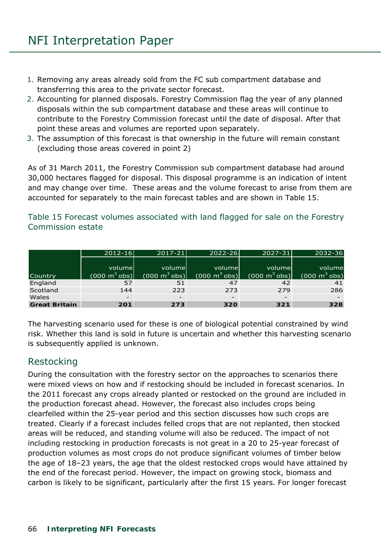- 1. Removing any areas already sold from the FC sub compartment database and transferring this area to the private sector forecast.
- 2. Accounting for planned disposals. Forestry Commission flag the year of any planned disposals within the sub compartment database and these areas will continue to contribute to the Forestry Commission forecast until the date of disposal. After that point these areas and volumes are reported upon separately.
- 3. The assumption of this forecast is that ownership in the future will remain constant (excluding those areas covered in point 2)

As of 31 March 2011, the Forestry Commission sub compartment database had around 30,000 hectares flagged for disposal. This disposal programme is an indication of intent and may change over time. These areas and the volume forecast to arise from them are accounted for separately to the main forecast tables and are shown in Table 15.

#### Table 15 Forecast volumes associated with land flagged for sale on the Forestry Commission estate

|                      | $2012 - 16$                     | $2017 - 21$                     | $2022 - 26$                     | $2027 - 31$                     | $2032 - 36$                     |
|----------------------|---------------------------------|---------------------------------|---------------------------------|---------------------------------|---------------------------------|
|                      |                                 |                                 |                                 |                                 |                                 |
|                      | volumel                         | volumel                         | volumel                         | volumel                         | volume                          |
| Country              | $(000 \text{ m}^3 \text{ obs})$ | $(000 \text{ m}^3 \text{ obs})$ | $(000 \text{ m}^3 \text{ obs})$ | $(000 \text{ m}^3 \text{ obs})$ | $(000 \text{ m}^3 \text{ obs})$ |
| England              | 57                              | 51                              | 47                              | 42                              | 41                              |
| Scotland             | 144                             | 223                             | 273                             | 279                             | 286                             |
| Wales                | $\qquad \qquad =$               | $\overline{\phantom{0}}$        | $\qquad \qquad -$               |                                 |                                 |
| <b>Great Britain</b> | 201                             | 273                             | 320                             | 321                             | 328                             |

The harvesting scenario used for these is one of biological potential constrained by wind risk. Whether this land is sold in future is uncertain and whether this harvesting scenario is subsequently applied is unknown.

## Restocking

During the consultation with the forestry sector on the approaches to scenarios there were mixed views on how and if restocking should be included in forecast scenarios. In the 2011 forecast any crops already planted or restocked on the ground are included in the production forecast ahead. However, the forecast also includes crops being clearfelled within the 25-year period and this section discusses how such crops are treated. Clearly if a forecast includes felled crops that are not replanted, then stocked areas will be reduced, and standing volume will also be reduced. The impact of not including restocking in production forecasts is not great in a 20 to 25-year forecast of production volumes as most crops do not produce significant volumes of timber below the age of 18–23 years, the age that the oldest restocked crops would have attained by the end of the forecast period. However, the impact on growing stock, biomass and carbon is likely to be significant, particularly after the first 15 years. For longer forecast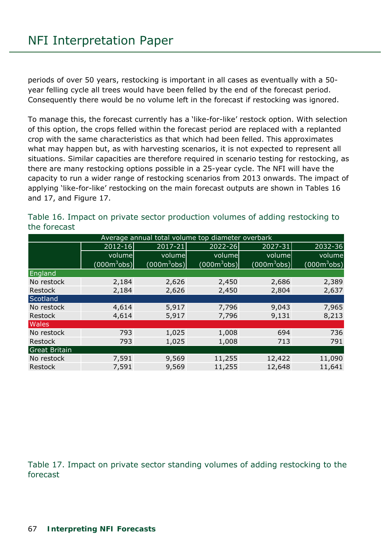periods of over 50 years, restocking is important in all cases as eventually with a 50 year felling cycle all trees would have been felled by the end of the forecast period. Consequently there would be no volume left in the forecast if restocking was ignored.

To manage this, the forecast currently has a 'like-for-like' restock option. With selection of this option, the crops felled within the forecast period are replaced with a replanted crop with the same characteristics as that which had been felled. This approximates what may happen but, as with harvesting scenarios, it is not expected to represent all situations. Similar capacities are therefore required in scenario testing for restocking, as there are many restocking options possible in a 25-year cycle. The NFI will have the capacity to run a wider range of restocking scenarios from 2013 onwards. The impact of applying 'like-for-like' restocking on the main forecast outputs are shown in Tables 16 and 17, and Figure 17.

| Average annual total volume top diameter overbark |                               |                |                               |                               |                |  |  |  |
|---------------------------------------------------|-------------------------------|----------------|-------------------------------|-------------------------------|----------------|--|--|--|
|                                                   | $2012 - 16$                   | 2017-21        | $2022 - 26$                   | 2027-31                       | 2032-36        |  |  |  |
|                                                   | volume                        | volume         | volume                        | volume                        | volume         |  |  |  |
|                                                   | $(000 \text{m}^3 \text{obs})$ | $(000m^3$ obs) | $(000 \text{m}^3 \text{obs})$ | $(000 \text{m}^3 \text{obs})$ | $(000m^3$ obs) |  |  |  |
| England                                           |                               |                |                               |                               |                |  |  |  |
| No restock                                        | 2,184                         | 2,626          | 2,450                         | 2,686                         | 2,389          |  |  |  |
| Restock                                           | 2,184                         | 2,626          | 2,450                         | 2,804                         | 2,637          |  |  |  |
| Scotland                                          |                               |                |                               |                               |                |  |  |  |
| No restock                                        | 4,614                         | 5,917          | 7,796                         | 9,043                         | 7,965          |  |  |  |
| Restock                                           | 4,614                         | 5,917          | 7,796                         | 9,131                         | 8,213          |  |  |  |
| <b>Wales</b>                                      |                               |                |                               |                               |                |  |  |  |
| No restock                                        | 793                           | 1,025          | 1,008                         | 694                           | 736            |  |  |  |
| Restock                                           | 793                           | 1,025          | 1,008                         | 713                           | 791            |  |  |  |
| <b>Great Britain</b>                              |                               |                |                               |                               |                |  |  |  |
| No restock                                        | 7,591                         | 9,569          | 11,255                        | 12,422                        | 11,090         |  |  |  |
| Restock                                           | 7,591                         | 9,569          | 11,255                        | 12,648                        | 11,641         |  |  |  |

Table 16. Impact on private sector production volumes of adding restocking to the forecast

Table 17. Impact on private sector standing volumes of adding restocking to the forecast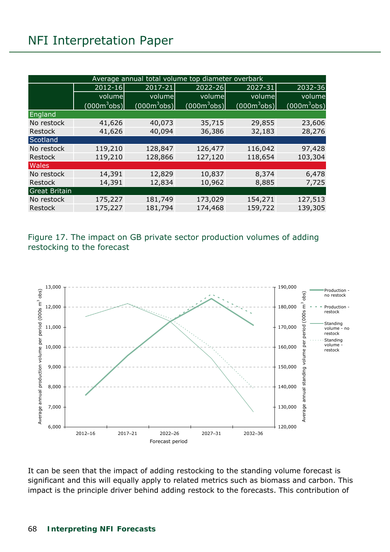## NFI Interpretation Paper

| Average annual total volume top diameter overbark |                |                               |                        |                |                |  |  |
|---------------------------------------------------|----------------|-------------------------------|------------------------|----------------|----------------|--|--|
|                                                   | 2012-16        | 2017-21                       | 2022-26                | 2027-31        | 2032-36        |  |  |
|                                                   | volume         | volume                        | volume                 | volume         | volume         |  |  |
|                                                   | $(000m^3$ obs) | $(000 \text{m}^3 \text{obs})$ | (000 <sup>3</sup> obs) | $(000m^3$ obs) | $(000m^3$ obs) |  |  |
| England                                           |                |                               |                        |                |                |  |  |
| No restock                                        | 41,626         | 40,073                        | 35,715                 | 29,855         | 23,606         |  |  |
| Restock                                           | 41,626         | 40,094                        | 36,386                 | 32,183         | 28,276         |  |  |
| Scotland                                          |                |                               |                        |                |                |  |  |
| No restock                                        | 119,210        | 128,847                       | 126,477                | 116,042        | 97,428         |  |  |
| Restock                                           | 119,210        | 128,866                       | 127,120                | 118,654        | 103,304        |  |  |
| <b>Wales</b>                                      |                |                               |                        |                |                |  |  |
| No restock                                        | 14,391         | 12,829                        | 10,837                 | 8,374          | 6,478          |  |  |
| Restock                                           | 14,391         | 12,834                        | 10,962                 | 8,885          | 7,725          |  |  |
| <b>Great Britain</b>                              |                |                               |                        |                |                |  |  |
| No restock                                        | 175,227        | 181,749                       | 173,029                | 154,271        | 127,513        |  |  |
| Restock                                           | 175,227        | 181,794                       | 174,468                | 159,722        | 139,305        |  |  |

Figure 17. The impact on GB private sector production volumes of adding restocking to the forecast



It can be seen that the impact of adding restocking to the standing volume forecast is significant and this will equally apply to related metrics such as biomass and carbon. This impact is the principle driver behind adding restock to the forecasts. This contribution of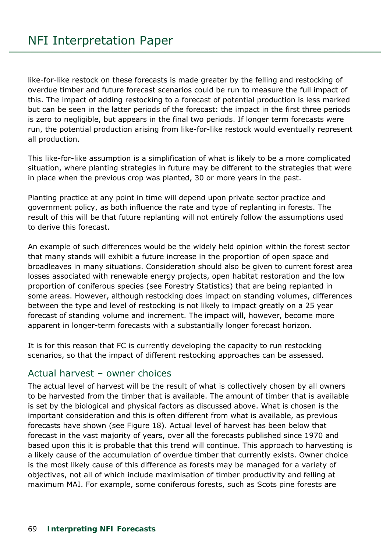like-for-like restock on these forecasts is made greater by the felling and restocking of overdue timber and future forecast scenarios could be run to measure the full impact of this. The impact of adding restocking to a forecast of potential production is less marked but can be seen in the latter periods of the forecast: the impact in the first three periods is zero to negligible, but appears in the final two periods. If longer term forecasts were run, the potential production arising from like-for-like restock would eventually represent all production.

This like-for-like assumption is a simplification of what is likely to be a more complicated situation, where planting strategies in future may be different to the strategies that were in place when the previous crop was planted, 30 or more years in the past.

Planting practice at any point in time will depend upon private sector practice and government policy, as both influence the rate and type of replanting in forests. The result of this will be that future replanting will not entirely follow the assumptions used to derive this forecast.

An example of such differences would be the widely held opinion within the forest sector that many stands will exhibit a future increase in the proportion of open space and broadleaves in many situations. Consideration should also be given to current forest area losses associated with renewable energy projects, open habitat restoration and the low proportion of coniferous species (see Forestry Statistics) that are being replanted in some areas. However, although restocking does impact on standing volumes, differences between the type and level of restocking is not likely to impact greatly on a 25 year forecast of standing volume and increment. The impact will, however, become more apparent in longer-term forecasts with a substantially longer forecast horizon.

It is for this reason that FC is currently developing the capacity to run restocking scenarios, so that the impact of different restocking approaches can be assessed.

## Actual harvest – owner choices

The actual level of harvest will be the result of what is collectively chosen by all owners to be harvested from the timber that is available. The amount of timber that is available is set by the biological and physical factors as discussed above. What is chosen is the important consideration and this is often different from what is available, as previous forecasts have shown (see Figure 18). Actual level of harvest has been below that forecast in the vast majority of years, over all the forecasts published since 1970 and based upon this it is probable that this trend will continue. This approach to harvesting is a likely cause of the accumulation of overdue timber that currently exists. Owner choice is the most likely cause of this difference as forests may be managed for a variety of objectives, not all of which include maximisation of timber productivity and felling at maximum MAI. For example, some coniferous forests, such as Scots pine forests are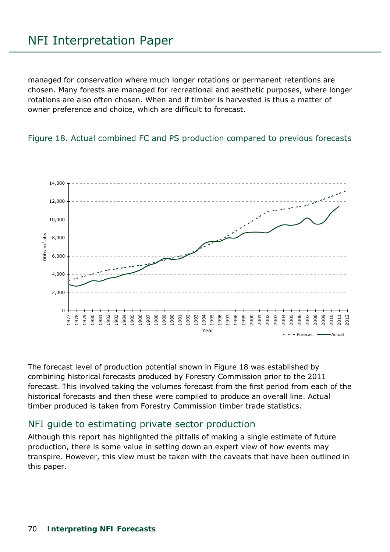## NFI Interpretation Paper

managed for conservation where much longer rotations or permanent retentions are chosen. Many forests are managed for recreational and aesthetic purposes, where longer rotations are also often chosen. When and if timber is harvested is thus a matter of owner preference and choice, which are difficult to forecast.





The forecast level of production potential shown in Figure 18 was established by combining historical forecasts produced by Forestry Commission prior to the 2011 forecast. This involved taking the volumes forecast from the first period from each of the historical forecasts and then these were compiled to produce an overall line. Actual timber produced is taken from Forestry Commission timber trade statistics.

## NFI guide to estimating private sector production

Although this report has highlighted the pitfalls of making a single estimate of future production, there is some value in setting down an expert view of how events may transpire. However, this view must be taken with the caveats that have been outlined in this paper.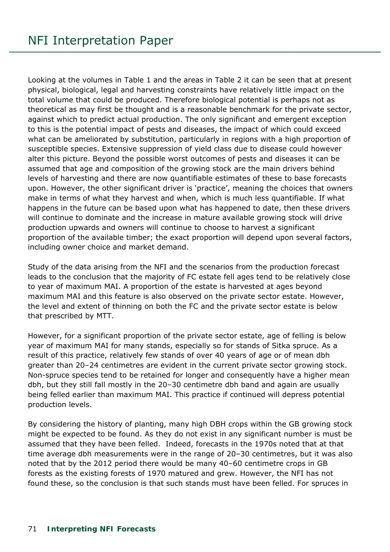Looking at the volumes in Table 1 and the areas in Table 2 it can be seen that at present physical, biological, legal and harvesting constraints have relatively little impact on the total volume that could be produced. Therefore biological potential is perhaps not as theoretical as may first be thought and is a reasonable benchmark for the private sector, against which to predict actual production. The only significant and emergent exception to this is the potential impact of pests and diseases, the impact of which could exceed what can be ameliorated by substitution, particularly in regions with a high proportion of susceptible species. Extensive suppression of yield class due to disease could however alter this picture. Beyond the possible worst outcomes of pests and diseases it can be assumed that age and composition of the growing stock are the main drivers behind levels of harvesting and there are now quantifiable estimates of these to base forecasts upon. However, the other significant driver is 'practice', meaning the choices that owners make in terms of what they harvest and when, which is much less quantifiable. If what happens in the future can be based upon what has happened to date, then these drivers will continue to dominate and the increase in mature available growing stock will drive production upwards and owners will continue to choose to harvest a significant proportion of the available timber; the exact proportion will depend upon several factors, including owner choice and market demand.

Study of the data arising from the NFI and the scenarios from the production forecast leads to the conclusion that the majority of FC estate fell ages tend to be relatively close to year of maximum MAI. A proportion of the estate is harvested at ages beyond maximum MAI and this feature is also observed on the private sector estate. However, the level and extent of thinning on both the FC and the private sector estate is below that prescribed by MTT.

However, for a significant proportion of the private sector estate, age of felling is below year of maximum MAI for many stands, especially so for stands of Sitka spruce. As a result of this practice, relatively few stands of over 40 years of age or of mean dbh greater than 20–24 centimetres are evident in the current private sector growing stock. Non-spruce species tend to be retained for longer and consequently have a higher mean dbh, but they still fall mostly in the 20–30 centimetre dbh band and again are usually being felled earlier than maximum MAI. This practice if continued will depress potential production levels.

By considering the history of planting, many high DBH crops within the GB growing stock might be expected to be found. As they do not exist in any significant number is must be assumed that they have been felled. Indeed, forecasts in the 1970s noted that at that time average dbh measurements were in the range of 20–30 centimetres, but it was also noted that by the 2012 period there would be many 40–60 centimetre crops in GB forests as the existing forests of 1970 matured and grew. However, the NFI has not found these, so the conclusion is that such stands must have been felled. For spruces in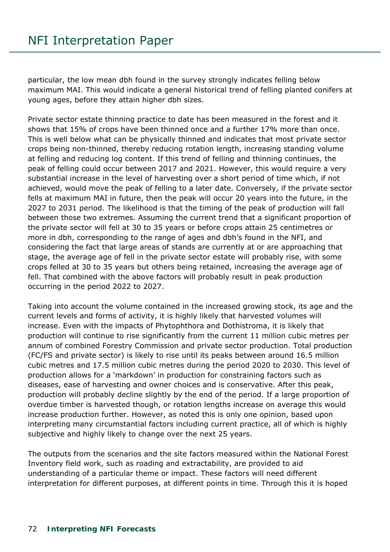particular, the low mean dbh found in the survey strongly indicates felling below maximum MAI. This would indicate a general historical trend of felling planted conifers at young ages, before they attain higher dbh sizes.

Private sector estate thinning practice to date has been measured in the forest and it shows that 15% of crops have been thinned once and a further 17% more than once. This is well below what can be physically thinned and indicates that most private sector crops being non-thinned, thereby reducing rotation length, increasing standing volume at felling and reducing log content. If this trend of felling and thinning continues, the peak of felling could occur between 2017 and 2021. However, this would require a very substantial increase in the level of harvesting over a short period of time which, if not achieved, would move the peak of felling to a later date. Conversely, if the private sector fells at maximum MAI in future, then the peak will occur 20 years into the future, in the 2027 to 2031 period. The likelihood is that the timing of the peak of production will fall between those two extremes. Assuming the current trend that a significant proportion of the private sector will fell at 30 to 35 years or before crops attain 25 centimetres or more in dbh, corresponding to the range of ages and dbh's found in the NFI, and considering the fact that large areas of stands are currently at or are approaching that stage, the average age of fell in the private sector estate will probably rise, with some crops felled at 30 to 35 years but others being retained, increasing the average age of fell. That combined with the above factors will probably result in peak production occurring in the period 2022 to 2027.

Taking into account the volume contained in the increased growing stock, its age and the current levels and forms of activity, it is highly likely that harvested volumes will increase. Even with the impacts of Phytophthora and Dothistroma, it is likely that production will continue to rise significantly from the current 11 million cubic metres per annum of combined Forestry Commission and private sector production. Total production (FC/FS and private sector) is likely to rise until its peaks between around 16.5 million cubic metres and 17.5 million cubic metres during the period 2020 to 2030. This level of production allows for a 'markdown' in production for constraining factors such as diseases, ease of harvesting and owner choices and is conservative. After this peak, production will probably decline slightly by the end of the period. If a large proportion of overdue timber is harvested though, or rotation lengths increase on average this would increase production further. However, as noted this is only one opinion, based upon interpreting many circumstantial factors including current practice, all of which is highly subjective and highly likely to change over the next 25 years.

The outputs from the scenarios and the site factors measured within the National Forest Inventory field work, such as roading and extractability, are provided to aid understanding of a particular theme or impact. These factors will need different interpretation for different purposes, at different points in time. Through this it is hoped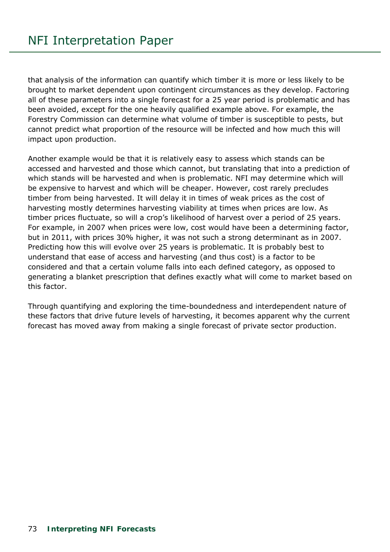that analysis of the information can quantify which timber it is more or less likely to be brought to market dependent upon contingent circumstances as they develop. Factoring all of these parameters into a single forecast for a 25 year period is problematic and has been avoided, except for the one heavily qualified example above. For example, the Forestry Commission can determine what volume of timber is susceptible to pests, but cannot predict what proportion of the resource will be infected and how much this will impact upon production.

Another example would be that it is relatively easy to assess which stands can be accessed and harvested and those which cannot, but translating that into a prediction of which stands will be harvested and when is problematic. NFI may determine which will be expensive to harvest and which will be cheaper. However, cost rarely precludes timber from being harvested. It will delay it in times of weak prices as the cost of harvesting mostly determines harvesting viability at times when prices are low. As timber prices fluctuate, so will a crop's likelihood of harvest over a period of 25 years. For example, in 2007 when prices were low, cost would have been a determining factor, but in 2011, with prices 30% higher, it was not such a strong determinant as in 2007. Predicting how this will evolve over 25 years is problematic. It is probably best to understand that ease of access and harvesting (and thus cost) is a factor to be considered and that a certain volume falls into each defined category, as opposed to generating a blanket prescription that defines exactly what will come to market based on this factor.

Through quantifying and exploring the time-boundedness and interdependent nature of these factors that drive future levels of harvesting, it becomes apparent why the current forecast has moved away from making a single forecast of private sector production.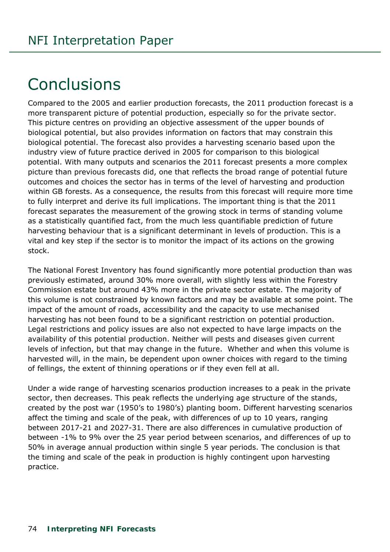## **Conclusions**

Compared to the 2005 and earlier production forecasts, the 2011 production forecast is a more transparent picture of potential production, especially so for the private sector. This picture centres on providing an objective assessment of the upper bounds of biological potential, but also provides information on factors that may constrain this biological potential. The forecast also provides a harvesting scenario based upon the industry view of future practice derived in 2005 for comparison to this biological potential. With many outputs and scenarios the 2011 forecast presents a more complex picture than previous forecasts did, one that reflects the broad range of potential future outcomes and choices the sector has in terms of the level of harvesting and production within GB forests. As a consequence, the results from this forecast will require more time to fully interpret and derive its full implications. The important thing is that the 2011 forecast separates the measurement of the growing stock in terms of standing volume as a statistically quantified fact, from the much less quantifiable prediction of future harvesting behaviour that is a significant determinant in levels of production. This is a vital and key step if the sector is to monitor the impact of its actions on the growing stock.

The National Forest Inventory has found significantly more potential production than was previously estimated, around 30% more overall, with slightly less within the Forestry Commission estate but around 43% more in the private sector estate. The majority of this volume is not constrained by known factors and may be available at some point. The impact of the amount of roads, accessibility and the capacity to use mechanised harvesting has not been found to be a significant restriction on potential production. Legal restrictions and policy issues are also not expected to have large impacts on the availability of this potential production. Neither will pests and diseases given current levels of infection, but that may change in the future. Whether and when this volume is harvested will, in the main, be dependent upon owner choices with regard to the timing of fellings, the extent of thinning operations or if they even fell at all.

Under a wide range of harvesting scenarios production increases to a peak in the private sector, then decreases. This peak reflects the underlying age structure of the stands, created by the post war (1950's to 1980's) planting boom. Different harvesting scenarios affect the timing and scale of the peak, with differences of up to 10 years, ranging between 2017-21 and 2027-31. There are also differences in cumulative production of between -1% to 9% over the 25 year period between scenarios, and differences of up to 50% in average annual production within single 5 year periods. The conclusion is that the timing and scale of the peak in production is highly contingent upon harvesting practice.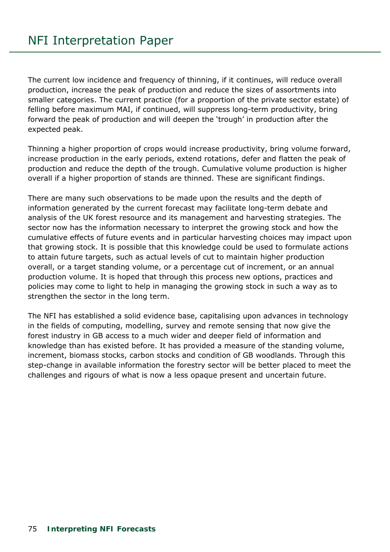The current low incidence and frequency of thinning, if it continues, will reduce overall production, increase the peak of production and reduce the sizes of assortments into smaller categories. The current practice (for a proportion of the private sector estate) of felling before maximum MAI, if continued, will suppress long-term productivity, bring forward the peak of production and will deepen the 'trough' in production after the expected peak.

Thinning a higher proportion of crops would increase productivity, bring volume forward, increase production in the early periods, extend rotations, defer and flatten the peak of production and reduce the depth of the trough. Cumulative volume production is higher overall if a higher proportion of stands are thinned. These are significant findings.

There are many such observations to be made upon the results and the depth of information generated by the current forecast may facilitate long-term debate and analysis of the UK forest resource and its management and harvesting strategies. The sector now has the information necessary to interpret the growing stock and how the cumulative effects of future events and in particular harvesting choices may impact upon that growing stock. It is possible that this knowledge could be used to formulate actions to attain future targets, such as actual levels of cut to maintain higher production overall, or a target standing volume, or a percentage cut of increment, or an annual production volume. It is hoped that through this process new options, practices and policies may come to light to help in managing the growing stock in such a way as to strengthen the sector in the long term.

The NFI has established a solid evidence base, capitalising upon advances in technology in the fields of computing, modelling, survey and remote sensing that now give the forest industry in GB access to a much wider and deeper field of information and knowledge than has existed before. It has provided a measure of the standing volume, increment, biomass stocks, carbon stocks and condition of GB woodlands. Through this step-change in available information the forestry sector will be better placed to meet the challenges and rigours of what is now a less opaque present and uncertain future.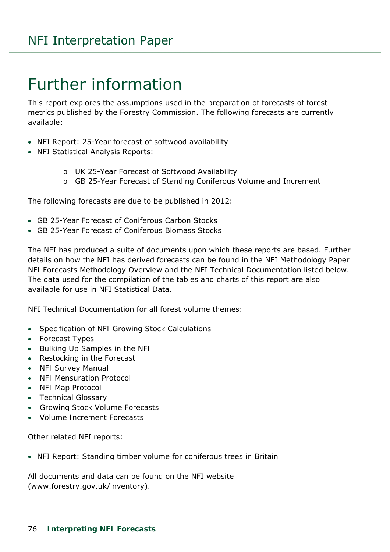## Further information

This report explores the assumptions used in the preparation of forecasts of forest metrics published by the Forestry Commission. The following forecasts are currently available:

- NFI Report: 25-Year forecast of softwood availability
- NFI Statistical Analysis Reports:
	- o UK 25-Year Forecast of Softwood Availability
	- o GB 25-Year Forecast of Standing Coniferous Volume and Increment

The following forecasts are due to be published in 2012:

- GB 25-Year Forecast of Coniferous Carbon Stocks
- GB 25-Year Forecast of Coniferous Biomass Stocks

The NFI has produced a suite of documents upon which these reports are based. Further details on how the NFI has derived forecasts can be found in the NFI Methodology Paper *NFI Forecasts Methodology Overview* and the NFI Technical Documentation listed below. The data used for the compilation of the tables and charts of this report are also available for use in NFI Statistical Data.

NFI Technical Documentation for all forest volume themes:

- *Specification of NFI Growing Stock Calculations*
- *Forecast Types*
- *Bulking Up Samples in the NFI*
- *Restocking in the Forecast*
- *NFI Survey Manual*
- *NFI Mensuration Protocol*
- *NFI Map Protocol*
- *Technical Glossary*
- *Growing Stock Volume Forecasts*
- *Volume Increment Forecasts*

Other related NFI reports:

NFI Report: Standing timber volume for coniferous trees in Britain

All documents and data can be found on the NFI website (www.forestry.gov.uk/inventory).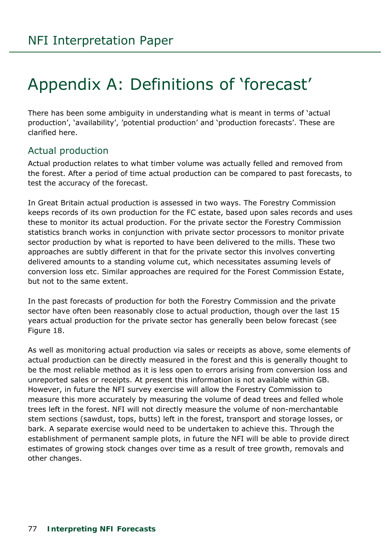# Appendix A: Definitions of 'forecast'

There has been some ambiguity in understanding what is meant in terms of 'actual production', 'availability', 'potential production' and 'production forecasts'. These are clarified here.

#### Actual production

Actual production relates to what timber volume was actually felled and removed from the forest. After a period of time actual production can be compared to past forecasts, to test the accuracy of the forecast.

In Great Britain actual production is assessed in two ways. The Forestry Commission keeps records of its own production for the FC estate, based upon sales records and uses these to monitor its actual production. For the private sector the Forestry Commission statistics branch works in conjunction with private sector processors to monitor private sector production by what is reported to have been delivered to the mills. These two approaches are subtly different in that for the private sector this involves converting delivered amounts to a standing volume cut, which necessitates assuming levels of conversion loss etc. Similar approaches are required for the Forest Commission Estate, but not to the same extent.

In the past forecasts of production for both the Forestry Commission and the private sector have often been reasonably close to actual production, though over the last 15 years actual production for the private sector has generally been below forecast (see Figure 18.

As well as monitoring actual production via sales or receipts as above, some elements of actual production can be directly measured in the forest and this is generally thought to be the most reliable method as it is less open to errors arising from conversion loss and unreported sales or receipts. At present this information is not available within GB. However, in future the NFI survey exercise will allow the Forestry Commission to measure this more accurately by measuring the volume of dead trees and felled whole trees left in the forest. NFI will not directly measure the volume of non-merchantable stem sections (sawdust, tops, butts) left in the forest, transport and storage losses, or bark. A separate exercise would need to be undertaken to achieve this. Through the establishment of permanent sample plots, in future the NFI will be able to provide direct estimates of growing stock changes over time as a result of tree growth, removals and other changes.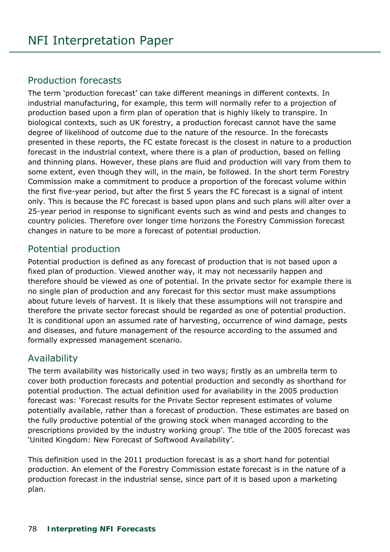#### Production forecasts

The term 'production forecast' can take different meanings in different contexts. In industrial manufacturing, for example, this term will normally refer to a projection of production based upon a firm plan of operation that is highly likely to transpire. In biological contexts, such as UK forestry, a production forecast cannot have the same degree of likelihood of outcome due to the nature of the resource. In the forecasts presented in these reports, the FC estate forecast is the closest in nature to a production forecast in the industrial context, where there is a plan of production, based on felling and thinning plans. However, these plans are fluid and production will vary from them to some extent, even though they will, in the main, be followed. In the short term Forestry Commission make a commitment to produce a proportion of the forecast volume within the first five-year period, but after the first 5 years the FC forecast is a signal of intent only. This is because the FC forecast is based upon plans and such plans will alter over a 25-year period in response to significant events such as wind and pests and changes to country policies. Therefore over longer time horizons the Forestry Commission forecast changes in nature to be more a forecast of potential production.

#### Potential production

Potential production is defined as any forecast of production that is not based upon a fixed plan of production. Viewed another way, it may not necessarily happen and therefore should be viewed as one of potential. In the private sector for example there is no single plan of production and any forecast for this sector must make assumptions about future levels of harvest. It is likely that these assumptions will not transpire and therefore the private sector forecast should be regarded as one of potential production. It is conditional upon an assumed rate of harvesting, occurrence of wind damage, pests and diseases, and future management of the resource according to the assumed and formally expressed management scenario.

#### Availability

The term availability was historically used in two ways; firstly as an umbrella term to cover both production forecasts and potential production and secondly as shorthand for potential production. The actual definition used for availability in the 2005 production forecast was: 'Forecast results for the Private Sector represent estimates of volume potentially available, rather than a forecast of production. These estimates are based on the fully productive potential of the growing stock when managed according to the prescriptions provided by the industry working group'. The title of the 2005 forecast was 'United Kingdom: New Forecast of Softwood Availability'.

This definition used in the 2011 production forecast is as a short hand for potential production. An element of the Forestry Commission estate forecast is in the nature of a production forecast in the industrial sense, since part of it is based upon a marketing plan.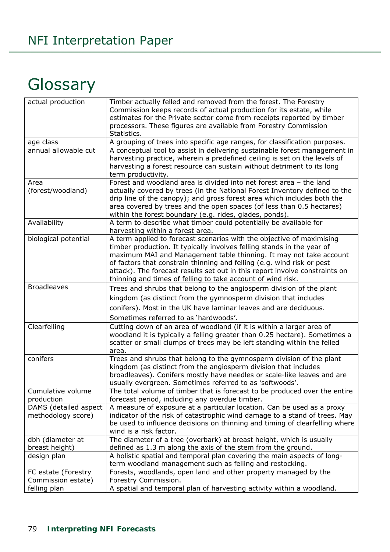# **Glossary**

| actual production     | Timber actually felled and removed from the forest. The Forestry            |
|-----------------------|-----------------------------------------------------------------------------|
|                       | Commission keeps records of actual production for its estate, while         |
|                       | estimates for the Private sector come from receipts reported by timber      |
|                       | processors. These figures are available from Forestry Commission            |
|                       | Statistics.                                                                 |
| age class             | A grouping of trees into specific age ranges, for classification purposes.  |
| annual allowable cut  | A conceptual tool to assist in delivering sustainable forest management in  |
|                       | harvesting practice, wherein a predefined ceiling is set on the levels of   |
|                       | harvesting a forest resource can sustain without detriment to its long      |
|                       | term productivity.                                                          |
| Area                  | Forest and woodland area is divided into net forest area - the land         |
| (forest/woodland)     | actually covered by trees (in the National Forest Inventory defined to the  |
|                       | drip line of the canopy); and gross forest area which includes both the     |
|                       | area covered by trees and the open spaces (of less than 0.5 hectares)       |
|                       | within the forest boundary (e.g. rides, glades, ponds).                     |
| Availability          | A term to describe what timber could potentially be available for           |
|                       | harvesting within a forest area.                                            |
| biological potential  | A term applied to forecast scenarios with the objective of maximising       |
|                       | timber production. It typically involves felling stands in the year of      |
|                       | maximum MAI and Management table thinning. It may not take account          |
|                       | of factors that constrain thinning and felling (e.g. wind risk or pest      |
|                       | attack). The forecast results set out in this report involve constraints on |
|                       | thinning and times of felling to take account of wind risk.                 |
| <b>Broadleaves</b>    | Trees and shrubs that belong to the angiosperm division of the plant        |
|                       | kingdom (as distinct from the gymnosperm division that includes             |
|                       | conifers). Most in the UK have laminar leaves and are deciduous.            |
|                       | Sometimes referred to as 'hardwoods'.                                       |
| Clearfelling          | Cutting down of an area of woodland (if it is within a larger area of       |
|                       | woodland it is typically a felling greater than 0.25 hectare). Sometimes a  |
|                       | scatter or small clumps of trees may be left standing within the felled     |
|                       | area.                                                                       |
| conifers              | Trees and shrubs that belong to the gymnosperm division of the plant        |
|                       | kingdom (as distinct from the angiosperm division that includes             |
|                       | broadleaves). Conifers mostly have needles or scale-like leaves and are     |
|                       | usually evergreen. Sometimes referred to as 'softwoods'.                    |
| Cumulative volume     | The total volume of timber that is forecast to be produced over the entire  |
| production            | forecast period, including any overdue timber.                              |
| DAMS (detailed aspect | A measure of exposure at a particular location. Can be used as a proxy      |
| methodology score)    | indicator of the risk of catastrophic wind damage to a stand of trees. May  |
|                       | be used to influence decisions on thinning and timing of clearfelling where |
|                       | wind is a risk factor.                                                      |
| dbh (diameter at      | The diameter of a tree (overbark) at breast height, which is usually        |
| breast height)        | defined as 1.3 m along the axis of the stem from the ground.                |
| design plan           | A holistic spatial and temporal plan covering the main aspects of long-     |
|                       | term woodland management such as felling and restocking.                    |
| FC estate (Forestry   | Forests, woodlands, open land and other property managed by the             |
| Commission estate)    | Forestry Commission.                                                        |
| felling plan          | A spatial and temporal plan of harvesting activity within a woodland.       |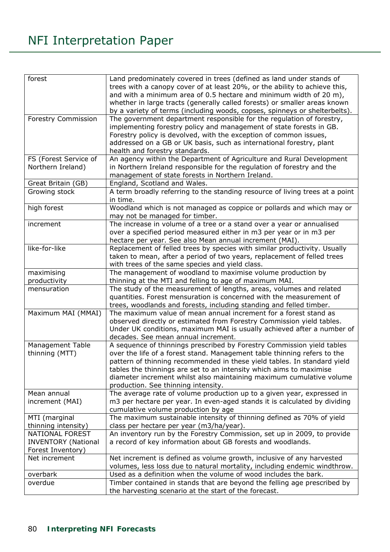### NFI Interpretation Paper

| forest                     | Land predominately covered in trees (defined as land under stands of         |
|----------------------------|------------------------------------------------------------------------------|
|                            |                                                                              |
|                            | trees with a canopy cover of at least 20%, or the ability to achieve this,   |
|                            | and with a minimum area of 0.5 hectare and minimum width of 20 m),           |
|                            | whether in large tracts (generally called forests) or smaller areas known    |
|                            | by a variety of terms (including woods, copses, spinneys or shelterbelts).   |
| <b>Forestry Commission</b> | The government department responsible for the regulation of forestry,        |
|                            | implementing forestry policy and management of state forests in GB.          |
|                            | Forestry policy is devolved, with the exception of common issues,            |
|                            | addressed on a GB or UK basis, such as international forestry, plant         |
|                            | health and forestry standards.                                               |
| FS (Forest Service of      | An agency within the Department of Agriculture and Rural Development         |
| Northern Ireland)          | in Northern Ireland responsible for the regulation of forestry and the       |
|                            | management of state forests in Northern Ireland.                             |
| Great Britain (GB)         | England, Scotland and Wales.                                                 |
| Growing stock              | A term broadly referring to the standing resource of living trees at a point |
|                            | in time.                                                                     |
| high forest                | Woodland which is not managed as coppice or pollards and which may or        |
|                            | may not be managed for timber.                                               |
| increment                  | The increase in volume of a tree or a stand over a year or annualised        |
|                            | over a specified period measured either in m3 per year or in m3 per          |
|                            | hectare per year. See also Mean annual increment (MAI).                      |
| like-for-like              | Replacement of felled trees by species with similar productivity. Usually    |
|                            | taken to mean, after a period of two years, replacement of felled trees      |
|                            | with trees of the same species and yield class.                              |
| maximising                 | The management of woodland to maximise volume production by                  |
| productivity               | thinning at the MTI and felling to age of maximum MAI.                       |
| mensuration                | The study of the measurement of lengths, areas, volumes and related          |
|                            | quantities. Forest mensuration is concerned with the measurement of          |
|                            | trees, woodlands and forests, including standing and felled timber.          |
| Maximum MAI (MMAI)         | The maximum value of mean annual increment for a forest stand as             |
|                            | observed directly or estimated from Forestry Commission yield tables.        |
|                            | Under UK conditions, maximum MAI is usually achieved after a number of       |
|                            | decades. See mean annual increment.                                          |
| <b>Management Table</b>    | A sequence of thinnings prescribed by Forestry Commission yield tables       |
|                            |                                                                              |
| thinning (MTT)             | over the life of a forest stand. Management table thinning refers to the     |
|                            | pattern of thinning recommended in these yield tables. In standard yield     |
|                            | tables the thinnings are set to an intensity which aims to maximise          |
|                            | diameter increment whilst also maintaining maximum cumulative volume         |
|                            | production. See thinning intensity.                                          |
| Mean annual                | The average rate of volume production up to a given year, expressed in       |
| increment (MAI)            | m3 per hectare per year. In even-aged stands it is calculated by dividing    |
|                            | cumulative volume production by age                                          |
| MTI (marginal              | The maximum sustainable intensity of thinning defined as 70% of yield        |
| thinning intensity)        | class per hectare per year (m3/ha/year).                                     |
| <b>NATIONAL FOREST</b>     | An inventory run by the Forestry Commission, set up in 2009, to provide      |
| <b>INVENTORY (National</b> | a record of key information about GB forests and woodlands.                  |
| Forest Inventory)          |                                                                              |
| Net increment              | Net increment is defined as volume growth, inclusive of any harvested        |
|                            | volumes, less loss due to natural mortality, including endemic windthrow.    |
| overbark                   | Used as a definition when the volume of wood includes the bark.              |
| overdue                    | Timber contained in stands that are beyond the felling age prescribed by     |
|                            | the harvesting scenario at the start of the forecast.                        |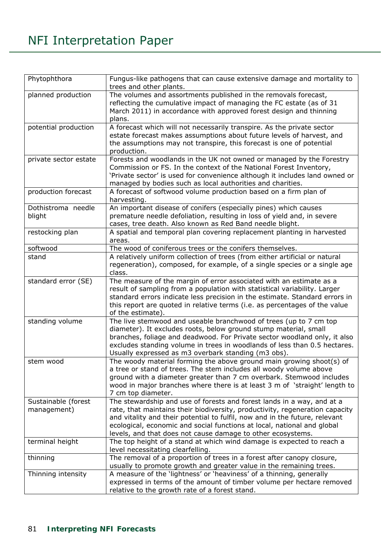### NFI Interpretation Paper

| Phytophthora                       | Fungus-like pathogens that can cause extensive damage and mortality to<br>trees and other plants.                                                                                                                                                                                                                                                                               |
|------------------------------------|---------------------------------------------------------------------------------------------------------------------------------------------------------------------------------------------------------------------------------------------------------------------------------------------------------------------------------------------------------------------------------|
| planned production                 | The volumes and assortments published in the removals forecast,<br>reflecting the cumulative impact of managing the FC estate (as of 31<br>March 2011) in accordance with approved forest design and thinning<br>plans.                                                                                                                                                         |
| potential production               | A forecast which will not necessarily transpire. As the private sector<br>estate forecast makes assumptions about future levels of harvest, and<br>the assumptions may not transpire, this forecast is one of potential<br>production.                                                                                                                                          |
| private sector estate              | Forests and woodlands in the UK not owned or managed by the Forestry<br>Commission or FS. In the context of the National Forest Inventory,<br>'Private sector' is used for convenience although it includes land owned or<br>managed by bodies such as local authorities and charities.                                                                                         |
| production forecast                | A forecast of softwood volume production based on a firm plan of<br>harvesting.                                                                                                                                                                                                                                                                                                 |
| Dothistroma needle<br>blight       | An important disease of conifers (especially pines) which causes<br>premature needle defoliation, resulting in loss of yield and, in severe<br>cases, tree death. Also known as Red Band needle blight.                                                                                                                                                                         |
| restocking plan                    | A spatial and temporal plan covering replacement planting in harvested<br>areas.                                                                                                                                                                                                                                                                                                |
| softwood                           | The wood of coniferous trees or the conifers themselves.                                                                                                                                                                                                                                                                                                                        |
| stand                              | A relatively uniform collection of trees (from either artificial or natural<br>regeneration), composed, for example, of a single species or a single age<br>class.                                                                                                                                                                                                              |
| standard error (SE)                | The measure of the margin of error associated with an estimate as a<br>result of sampling from a population with statistical variability. Larger<br>standard errors indicate less precision in the estimate. Standard errors in<br>this report are quoted in relative terms (i.e. as percentages of the value<br>of the estimate).                                              |
| standing volume                    | The live stemwood and useable branchwood of trees (up to 7 cm top<br>diameter). It excludes roots, below ground stump material, small<br>branches, foliage and deadwood. For Private sector woodland only, it also<br>excludes standing volume in trees in woodlands of less than 0.5 hectares.<br>Usually expressed as m3 overbark standing (m3 obs).                          |
| stem wood                          | The woody material forming the above ground main growing shoot(s) of<br>a tree or stand of trees. The stem includes all woody volume above<br>ground with a diameter greater than 7 cm overbark. Stemwood includes<br>wood in major branches where there is at least 3 m of 'straight' length to<br>7 cm top diameter.                                                          |
| Sustainable (forest<br>management) | The stewardship and use of forests and forest lands in a way, and at a<br>rate, that maintains their biodiversity, productivity, regeneration capacity<br>and vitality and their potential to fulfil, now and in the future, relevant<br>ecological, economic and social functions at local, national and global<br>levels, and that does not cause damage to other ecosystems. |
| terminal height                    | The top height of a stand at which wind damage is expected to reach a<br>level necessitating clearfelling.                                                                                                                                                                                                                                                                      |
| thinning                           | The removal of a proportion of trees in a forest after canopy closure,<br>usually to promote growth and greater value in the remaining trees.                                                                                                                                                                                                                                   |
| Thinning intensity                 | A measure of the 'lightness' or 'heaviness' of a thinning, generally<br>expressed in terms of the amount of timber volume per hectare removed<br>relative to the growth rate of a forest stand.                                                                                                                                                                                 |